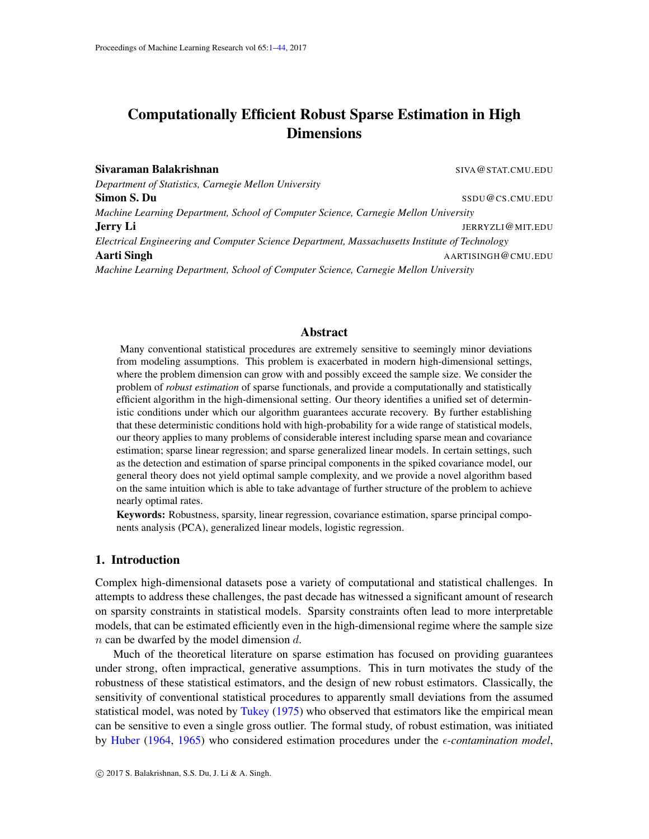# <span id="page-0-1"></span><span id="page-0-0"></span>Computationally Efficient Robust Sparse Estimation in High Dimensions

Sivaraman Balakrishnan SIVA Care and SIVA Care and SIVA CATA SIVA CATA CATA SIVA CATA CATA SIVA CATA CATA SIVA *Department of Statistics, Carnegie Mellon University* Simon S. Du SSDU@CS.CMU.EDU *Machine Learning Department, School of Computer Science, Carnegie Mellon University* **Jerry Li** JERRYZLI@MIT.EDU *Electrical Engineering and Computer Science Department, Massachusetts Institute of Technology* **Aarti Singh And And And AARTISINGH@CMU.EDU** *Machine Learning Department, School of Computer Science, Carnegie Mellon University*

## Abstract

Many conventional statistical procedures are extremely sensitive to seemingly minor deviations from modeling assumptions. This problem is exacerbated in modern high-dimensional settings, where the problem dimension can grow with and possibly exceed the sample size. We consider the problem of *robust estimation* of sparse functionals, and provide a computationally and statistically efficient algorithm in the high-dimensional setting. Our theory identifies a unified set of deterministic conditions under which our algorithm guarantees accurate recovery. By further establishing that these deterministic conditions hold with high-probability for a wide range of statistical models, our theory applies to many problems of considerable interest including sparse mean and covariance estimation; sparse linear regression; and sparse generalized linear models. In certain settings, such as the detection and estimation of sparse principal components in the spiked covariance model, our general theory does not yield optimal sample complexity, and we provide a novel algorithm based on the same intuition which is able to take advantage of further structure of the problem to achieve nearly optimal rates.

Keywords: Robustness, sparsity, linear regression, covariance estimation, sparse principal components analysis (PCA), generalized linear models, logistic regression.

# 1. Introduction

Complex high-dimensional datasets pose a variety of computational and statistical challenges. In attempts to address these challenges, the past decade has witnessed a significant amount of research on sparsity constraints in statistical models. Sparsity constraints often lead to more interpretable models, that can be estimated efficiently even in the high-dimensional regime where the sample size  $n$  can be dwarfed by the model dimension  $d$ .

Much of the theoretical literature on sparse estimation has focused on providing guarantees under strong, often impractical, generative assumptions. This in turn motivates the study of the robustness of these statistical estimators, and the design of new robust estimators. Classically, the sensitivity of conventional statistical procedures to apparently small deviations from the assumed statistical model, was noted by [Tukey](#page-14-0) [\(1975\)](#page-14-0) who observed that estimators like the empirical mean can be sensitive to even a single gross outlier. The formal study, of robust estimation, was initiated by [Huber](#page-13-0) [\(1964,](#page-13-0) [1965\)](#page-13-1) who considered estimation procedures under the *-contamination model*,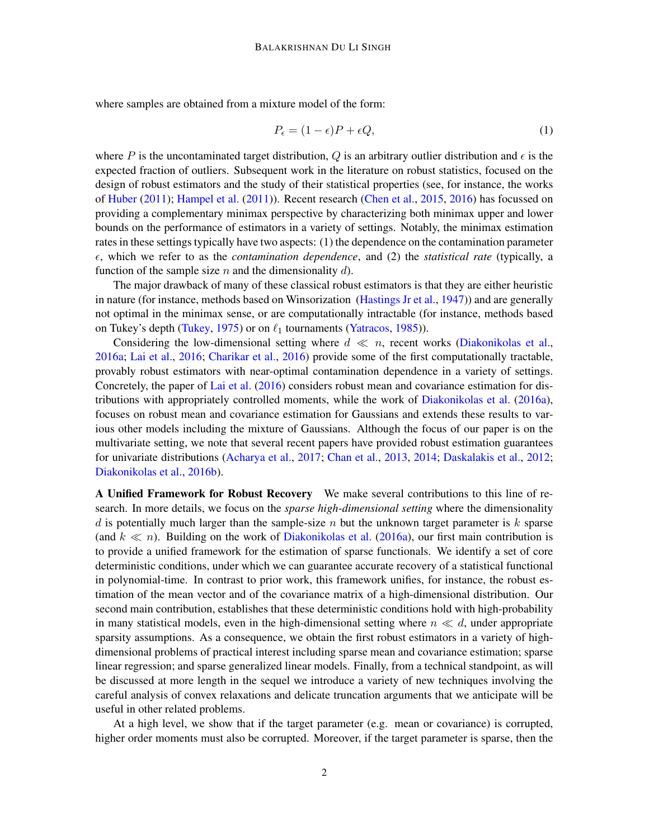where samples are obtained from a mixture model of the form:

<span id="page-1-0"></span>
$$
P_{\epsilon} = (1 - \epsilon)P + \epsilon Q,\tag{1}
$$

where P is the uncontaminated target distribution, Q is an arbitrary outlier distribution and  $\epsilon$  is the expected fraction of outliers. Subsequent work in the literature on robust statistics, focused on the design of robust estimators and the study of their statistical properties (see, for instance, the works of [Huber](#page-14-1) [\(2011\)](#page-14-1); [Hampel et al.](#page-13-2) [\(2011\)](#page-13-2)). Recent research [\(Chen et al.,](#page-13-3) [2015,](#page-13-3) [2016\)](#page-13-4) has focussed on providing a complementary minimax perspective by characterizing both minimax upper and lower bounds on the performance of estimators in a variety of settings. Notably, the minimax estimation rates in these settings typically have two aspects: (1) the dependence on the contamination parameter , which we refer to as the *contamination dependence*, and (2) the *statistical rate* (typically, a function of the sample size n and the dimensionality  $d$ ).

The major drawback of many of these classical robust estimators is that they are either heuristic in nature (for instance, methods based on Winsorization [\(Hastings Jr et al.,](#page-13-5) [1947\)](#page-13-5)) and are generally not optimal in the minimax sense, or are computationally intractable (for instance, methods based on Tukey's depth [\(Tukey,](#page-14-0) [1975\)](#page-14-0) or on  $\ell_1$  tournaments [\(Yatracos,](#page-14-2) [1985\)](#page-14-2)).

Considering the low-dimensional setting where  $d \ll n$ , recent works [\(Diakonikolas et al.,](#page-13-6) [2016a;](#page-13-6) [Lai et al.,](#page-14-3) [2016;](#page-14-3) [Charikar et al.,](#page-13-7) [2016\)](#page-13-7) provide some of the first computationally tractable, provably robust estimators with near-optimal contamination dependence in a variety of settings. Concretely, the paper of [Lai et al.](#page-14-3) [\(2016\)](#page-14-3) considers robust mean and covariance estimation for distributions with appropriately controlled moments, while the work of [Diakonikolas et al.](#page-13-6) [\(2016a\)](#page-13-6), focuses on robust mean and covariance estimation for Gaussians and extends these results to various other models including the mixture of Gaussians. Although the focus of our paper is on the multivariate setting, we note that several recent papers have provided robust estimation guarantees for univariate distributions [\(Acharya et al.,](#page-12-0) [2017;](#page-12-0) [Chan et al.,](#page-13-8) [2013,](#page-13-8) [2014;](#page-13-9) [Daskalakis et al.,](#page-13-10) [2012;](#page-13-10) [Diakonikolas et al.,](#page-13-11) [2016b\)](#page-13-11).

A Unified Framework for Robust Recovery We make several contributions to this line of research. In more details, we focus on the *sparse high-dimensional setting* where the dimensionality d is potentially much larger than the sample-size  $n$  but the unknown target parameter is  $k$  sparse (and  $k \ll n$ ). Building on the work of [Diakonikolas et al.](#page-13-6) [\(2016a\)](#page-13-6), our first main contribution is to provide a unified framework for the estimation of sparse functionals. We identify a set of core deterministic conditions, under which we can guarantee accurate recovery of a statistical functional in polynomial-time. In contrast to prior work, this framework unifies, for instance, the robust estimation of the mean vector and of the covariance matrix of a high-dimensional distribution. Our second main contribution, establishes that these deterministic conditions hold with high-probability in many statistical models, even in the high-dimensional setting where  $n \ll d$ , under appropriate sparsity assumptions. As a consequence, we obtain the first robust estimators in a variety of highdimensional problems of practical interest including sparse mean and covariance estimation; sparse linear regression; and sparse generalized linear models. Finally, from a technical standpoint, as will be discussed at more length in the sequel we introduce a variety of new techniques involving the careful analysis of convex relaxations and delicate truncation arguments that we anticipate will be useful in other related problems.

At a high level, we show that if the target parameter (e.g. mean or covariance) is corrupted, higher order moments must also be corrupted. Moreover, if the target parameter is sparse, then the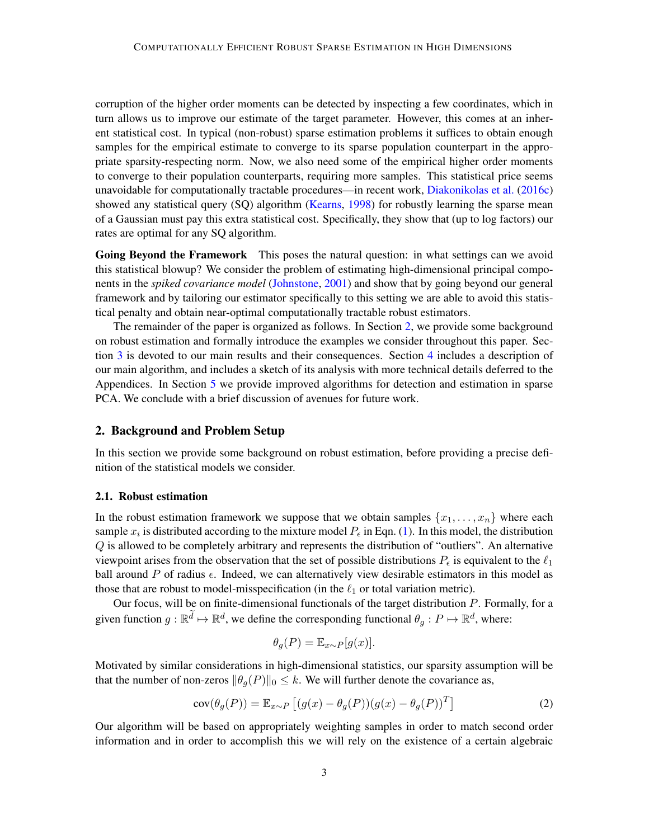corruption of the higher order moments can be detected by inspecting a few coordinates, which in turn allows us to improve our estimate of the target parameter. However, this comes at an inherent statistical cost. In typical (non-robust) sparse estimation problems it suffices to obtain enough samples for the empirical estimate to converge to its sparse population counterpart in the appropriate sparsity-respecting norm. Now, we also need some of the empirical higher order moments to converge to their population counterparts, requiring more samples. This statistical price seems unavoidable for computationally tractable procedures—in recent work, [Diakonikolas et al.](#page-13-12) [\(2016c\)](#page-13-12) showed any statistical query (SQ) algorithm [\(Kearns,](#page-14-4) [1998\)](#page-14-4) for robustly learning the sparse mean of a Gaussian must pay this extra statistical cost. Specifically, they show that (up to log factors) our rates are optimal for any SQ algorithm.

Going Beyond the Framework This poses the natural question: in what settings can we avoid this statistical blowup? We consider the problem of estimating high-dimensional principal components in the *spiked covariance model* [\(Johnstone,](#page-14-5) [2001\)](#page-14-5) and show that by going beyond our general framework and by tailoring our estimator specifically to this setting we are able to avoid this statistical penalty and obtain near-optimal computationally tractable robust estimators.

The remainder of the paper is organized as follows. In Section [2,](#page-2-0) we provide some background on robust estimation and formally introduce the examples we consider throughout this paper. Section [3](#page-5-0) is devoted to our main results and their consequences. Section [4](#page-9-0) includes a description of our main algorithm, and includes a sketch of its analysis with more technical details deferred to the Appendices. In Section [5](#page-10-0) we provide improved algorithms for detection and estimation in sparse PCA. We conclude with a brief discussion of avenues for future work.

## <span id="page-2-0"></span>2. Background and Problem Setup

In this section we provide some background on robust estimation, before providing a precise definition of the statistical models we consider.

#### 2.1. Robust estimation

In the robust estimation framework we suppose that we obtain samples  $\{x_1, \ldots, x_n\}$  where each sample  $x_i$  is distributed according to the mixture model  $P_\epsilon$  in Eqn. [\(1\)](#page-1-0). In this model, the distribution Q is allowed to be completely arbitrary and represents the distribution of "outliers". An alternative viewpoint arises from the observation that the set of possible distributions  $P_{\epsilon}$  is equivalent to the  $\ell_1$ ball around P of radius  $\epsilon$ . Indeed, we can alternatively view desirable estimators in this model as those that are robust to model-misspecification (in the  $\ell_1$  or total variation metric).

Our focus, will be on finite-dimensional functionals of the target distribution P. Formally, for a given function  $g : \mathbb{R}^d \mapsto \mathbb{R}^d$ , we define the corresponding functional  $\theta_g : P \mapsto \mathbb{R}^d$ , where:

<span id="page-2-1"></span>
$$
\theta_g(P) = \mathbb{E}_{x \sim P}[g(x)].
$$

Motivated by similar considerations in high-dimensional statistics, our sparsity assumption will be that the number of non-zeros  $\|\theta_q(P)\|_0 \leq k$ . We will further denote the covariance as,

$$
cov(\theta_g(P)) = \mathbb{E}_{x \sim P} [(g(x) - \theta_g(P))(g(x) - \theta_g(P))^T]
$$
\n(2)

Our algorithm will be based on appropriately weighting samples in order to match second order information and in order to accomplish this we will rely on the existence of a certain algebraic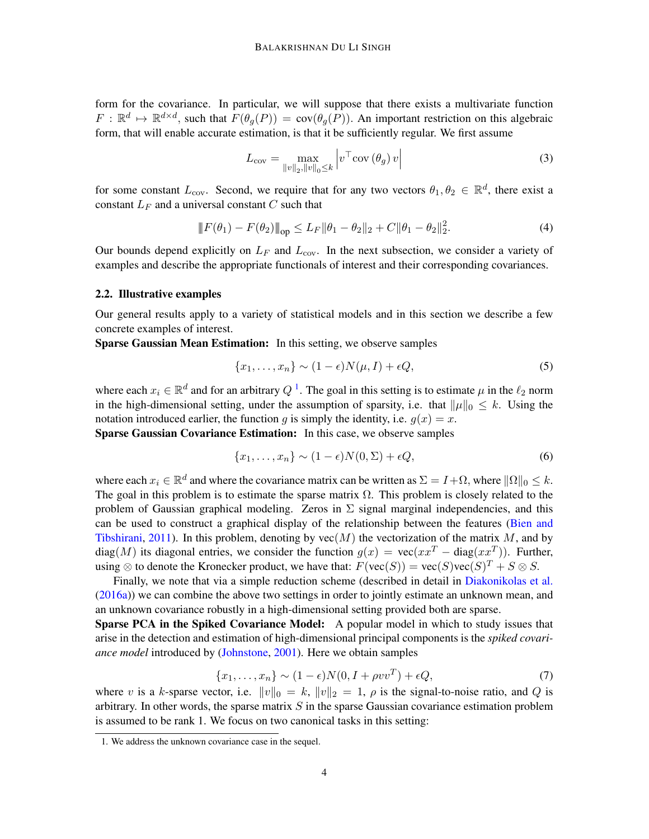form for the covariance. In particular, we will suppose that there exists a multivariate function  $F: \mathbb{R}^d \mapsto \mathbb{R}^{d \times d}$ , such that  $F(\theta_g(P)) = \text{cov}(\theta_g(P))$ . An important restriction on this algebraic form, that will enable accurate estimation, is that it be sufficiently regular. We first assume

<span id="page-3-3"></span><span id="page-3-2"></span>
$$
L_{\text{cov}} = \max_{\|v\|_2, \|v\|_0 \le k} \left| v^\top \text{cov}\left(\theta_g\right) v \right| \tag{3}
$$

for some constant  $L_{\text{cov}}$ . Second, we require that for any two vectors  $\theta_1, \theta_2 \in \mathbb{R}^d$ , there exist a constant  $L_F$  and a universal constant C such that

$$
||F(\theta_1) - F(\theta_2)||_{op} \le L_F ||\theta_1 - \theta_2||_2 + C ||\theta_1 - \theta_2||_2^2.
$$
 (4)

Our bounds depend explicitly on  $L_F$  and  $L_{\text{cov}}$ . In the next subsection, we consider a variety of examples and describe the appropriate functionals of interest and their corresponding covariances.

#### 2.2. Illustrative examples

Our general results apply to a variety of statistical models and in this section we describe a few concrete examples of interest.

Sparse Gaussian Mean Estimation: In this setting, we observe samples

<span id="page-3-4"></span>
$$
\{x_1, \ldots, x_n\} \sim (1 - \epsilon)N(\mu, I) + \epsilon Q,\tag{5}
$$

where each  $x_i \in \mathbb{R}^d$  and for an arbitrary  $Q^1$  $Q^1$ . The goal in this setting is to estimate  $\mu$  in the  $\ell_2$  norm in the high-dimensional setting, under the assumption of sparsity, i.e. that  $||\mu||_0 \leq k$ . Using the notation introduced earlier, the function g is simply the identity, i.e.  $g(x) = x$ .

Sparse Gaussian Covariance Estimation: In this case, we observe samples

<span id="page-3-5"></span>
$$
\{x_1, \ldots, x_n\} \sim (1 - \epsilon)N(0, \Sigma) + \epsilon Q,\tag{6}
$$

where each  $x_i \in \mathbb{R}^d$  and where the covariance matrix can be written as  $\Sigma = I + \Omega$ , where  $\|\Omega\|_0 \leq k$ . The goal in this problem is to estimate the sparse matrix  $\Omega$ . This problem is closely related to the problem of Gaussian graphical modeling. Zeros in  $\Sigma$  signal marginal independencies, and this can be used to construct a graphical display of the relationship between the features [\(Bien and](#page-12-1) [Tibshirani,](#page-12-1) [2011\)](#page-12-1). In this problem, denoting by  $vec(M)$  the vectorization of the matrix M, and by diag(M) its diagonal entries, we consider the function  $g(x) = \text{vec}(xx^T - \text{diag}(xx^T))$ . Further, using  $\otimes$  to denote the Kronecker product, we have that:  $F(\text{vec}(S)) = \text{vec}(S)\text{vec}(S)^T + S \otimes S$ .

Finally, we note that via a simple reduction scheme (described in detail in [Diakonikolas et al.](#page-13-6) [\(2016a\)](#page-13-6)) we can combine the above two settings in order to jointly estimate an unknown mean, and an unknown covariance robustly in a high-dimensional setting provided both are sparse.

Sparse PCA in the Spiked Covariance Model: A popular model in which to study issues that arise in the detection and estimation of high-dimensional principal components is the *spiked covariance model* introduced by [\(Johnstone,](#page-14-5) [2001\)](#page-14-5). Here we obtain samples

<span id="page-3-1"></span>
$$
\{x_1, \ldots, x_n\} \sim (1 - \epsilon)N(0, I + \rho vv^T) + \epsilon Q,\tag{7}
$$

where v is a k-sparse vector, i.e.  $||v||_0 = k$ ,  $||v||_2 = 1$ ,  $\rho$  is the signal-to-noise ratio, and Q is arbitrary. In other words, the sparse matrix  $S$  in the sparse Gaussian covariance estimation problem is assumed to be rank 1. We focus on two canonical tasks in this setting:

<span id="page-3-0"></span><sup>1.</sup> We address the unknown covariance case in the sequel.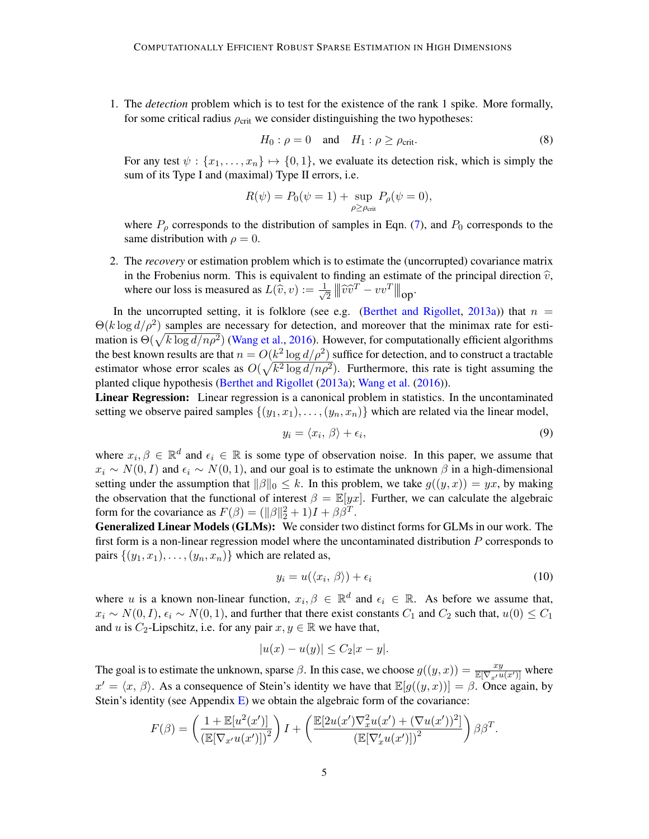1. The *detection* problem which is to test for the existence of the rank 1 spike. More formally, for some critical radius  $\rho_{\text{crit}}$  we consider distinguishing the two hypotheses:

<span id="page-4-2"></span>
$$
H_0: \rho = 0 \quad \text{and} \quad H_1: \rho \ge \rho_{\text{crit}}.\tag{8}
$$

For any test  $\psi : \{x_1, \ldots, x_n\} \mapsto \{0, 1\}$ , we evaluate its detection risk, which is simply the sum of its Type I and (maximal) Type II errors, i.e.

$$
R(\psi) = P_0(\psi = 1) + \sup_{\rho \ge \rho_{\text{crit}}} P_{\rho}(\psi = 0),
$$

where  $P_\rho$  corresponds to the distribution of samples in Eqn. [\(7\)](#page-3-1), and  $P_0$  corresponds to the same distribution with  $\rho = 0$ .

2. The *recovery* or estimation problem which is to estimate the (uncorrupted) covariance matrix in the Frobenius norm. This is equivalent to finding an estimate of the principal direction  $\hat{v}$ , where our loss is measured as  $L(\hat{v}, v) := \frac{1}{\sqrt{2\pi}}$  $\frac{1}{2} \left\| \widehat{v}\widehat{v}^T - vv^T \right\|$ op $\cdot$ 

In the uncorrupted setting, it is folklore (see e.g. [\(Berthet and Rigollet,](#page-12-2) [2013a\)](#page-12-2)) that  $n =$  $\Theta(k \log d/\rho^2)$  samples are necessary for detection, and moreover that the minimax rate for estimation is  $\Theta(\sqrt{k \log d/n \rho^2})$  [\(Wang et al.,](#page-14-6) [2016\)](#page-14-6). However, for computationally efficient algorithms the best known results are that  $n = O(k^2 \log d/\rho^2)$  suffice for detection, and to construct a tractable estimator whose error scales as  $O(\sqrt{k^2 \log d / n \rho^2})$ . Furthermore, this rate is tight assuming the planted clique hypothesis [\(Berthet and Rigollet](#page-12-2) [\(2013a\)](#page-12-2); [Wang et al.](#page-14-6) [\(2016\)](#page-14-6)).

Linear Regression: Linear regression is a canonical problem in statistics. In the uncontaminated setting we observe paired samples  $\{(y_1, x_1), \ldots, (y_n, x_n)\}\$  which are related via the linear model,

<span id="page-4-0"></span>
$$
y_i = \langle x_i, \beta \rangle + \epsilon_i,\tag{9}
$$

where  $x_i, \beta \in \mathbb{R}^d$  and  $\epsilon_i \in \mathbb{R}$  is some type of observation noise. In this paper, we assume that  $x_i \sim N(0, I)$  and  $\epsilon_i \sim N(0, 1)$ , and our goal is to estimate the unknown  $\beta$  in a high-dimensional setting under the assumption that  $\|\beta\|_0 \leq k$ . In this problem, we take  $g((y, x)) = yx$ , by making the observation that the functional of interest  $\beta = \mathbb{E}[yx]$ . Further, we can calculate the algebraic form for the covariance as  $F(\beta) = (||\beta||_2^2 + 1)I + \beta \beta^T$ .

Generalized Linear Models (GLMs): We consider two distinct forms for GLMs in our work. The first form is a non-linear regression model where the uncontaminated distribution  $P$  corresponds to pairs  $\{(y_1, x_1), \ldots, (y_n, x_n)\}\$  which are related as,

<span id="page-4-1"></span>
$$
y_i = u(\langle x_i, \beta \rangle) + \epsilon_i \tag{10}
$$

where u is a known non-linear function,  $x_i, \beta \in \mathbb{R}^d$  and  $\epsilon_i \in \mathbb{R}$ . As before we assume that,  $x_i \sim N(0, I)$ ,  $\epsilon_i \sim N(0, 1)$ , and further that there exist constants  $C_1$  and  $C_2$  such that,  $u(0) \le C_1$ and u is C<sub>2</sub>-Lipschitz, i.e. for any pair  $x, y \in \mathbb{R}$  we have that,

$$
|u(x) - u(y)| \le C_2 |x - y|.
$$

The goal is to estimate the unknown, sparse  $\beta$ . In this case, we choose  $g((y, x)) = \frac{xy}{\mathbb{E}[\nabla_{x'} u(x')] }$  where  $x' = \langle x, \beta \rangle$ . As a consequence of Stein's identity we have that  $\mathbb{E}[g((y,x))] = \beta$ . Once again, by Stein's identity (see Appendix  $E$ ) we obtain the algebraic form of the covariance:

$$
F(\beta) = \left(\frac{1 + \mathbb{E}[u^2(x')] }{\left(\mathbb{E}[\nabla_{x'} u(x')] \right)^2}\right)I + \left(\frac{\mathbb{E}[2u(x')\nabla_x^2 u(x') + (\nabla u(x'))^2]}{\left(\mathbb{E}[\nabla_x'u(x')] \right)^2}\right)\beta\beta^T.
$$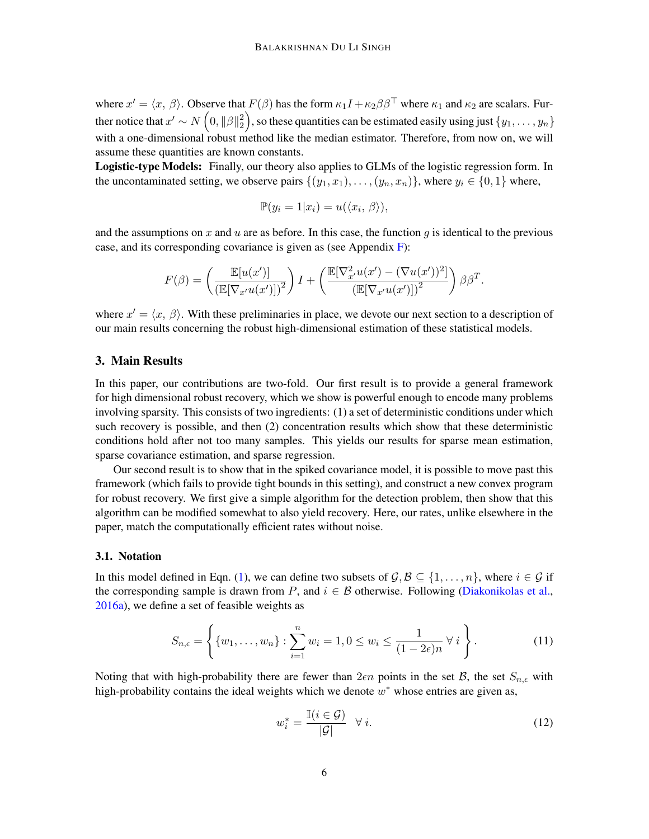where  $x' = \langle x, \beta \rangle$ . Observe that  $F(\beta)$  has the form  $\kappa_1 I + \kappa_2 \beta \beta^{\top}$  where  $\kappa_1$  and  $\kappa_2$  are scalars. Further notice that  $x' \sim N\left(0, \|\beta\|_2^2\right)$  $\binom{2}{2}$ , so these quantities can be estimated easily using just  $\{y_1, \ldots, y_n\}$ with a one-dimensional robust method like the median estimator. Therefore, from now on, we will assume these quantities are known constants.

Logistic-type Models: Finally, our theory also applies to GLMs of the logistic regression form. In the uncontaminated setting, we observe pairs  $\{(y_1, x_1), \ldots, (y_n, x_n)\}\)$ , where  $y_i \in \{0, 1\}$  where,

$$
\mathbb{P}(y_i = 1 | x_i) = u(\langle x_i, \beta \rangle),
$$

and the assumptions on x and u are as before. In this case, the function g is identical to the previous case, and its corresponding covariance is given as (see Appendix [F\)](#page-33-0):

$$
F(\beta) = \left(\frac{\mathbb{E}[u(x')] }{\left(\mathbb{E}[\nabla_{x'} u(x')] \right)^2}\right) I + \left(\frac{\mathbb{E}[\nabla_{x'}^2 u(x') - (\nabla u(x'))^2]}{\left(\mathbb{E}[\nabla_{x'} u(x')]\right)^2}\right) \beta \beta^T.
$$

where  $x' = \langle x, \beta \rangle$ . With these preliminaries in place, we devote our next section to a description of our main results concerning the robust high-dimensional estimation of these statistical models.

## <span id="page-5-0"></span>3. Main Results

In this paper, our contributions are two-fold. Our first result is to provide a general framework for high dimensional robust recovery, which we show is powerful enough to encode many problems involving sparsity. This consists of two ingredients: (1) a set of deterministic conditions under which such recovery is possible, and then (2) concentration results which show that these deterministic conditions hold after not too many samples. This yields our results for sparse mean estimation, sparse covariance estimation, and sparse regression.

Our second result is to show that in the spiked covariance model, it is possible to move past this framework (which fails to provide tight bounds in this setting), and construct a new convex program for robust recovery. We first give a simple algorithm for the detection problem, then show that this algorithm can be modified somewhat to also yield recovery. Here, our rates, unlike elsewhere in the paper, match the computationally efficient rates without noise.

#### 3.1. Notation

In this model defined in Eqn. [\(1\)](#page-1-0), we can define two subsets of  $\mathcal{G}, \mathcal{B} \subseteq \{1, \ldots, n\}$ , where  $i \in \mathcal{G}$  if the corresponding sample is drawn from P, and  $i \in \mathcal{B}$  otherwise. Following [\(Diakonikolas et al.,](#page-13-6) [2016a\)](#page-13-6), we define a set of feasible weights as

$$
S_{n,\epsilon} = \left\{ \{w_1, \ldots, w_n\} : \sum_{i=1}^n w_i = 1, 0 \le w_i \le \frac{1}{(1 - 2\epsilon)n} \ \forall \ i \right\}.
$$
 (11)

Noting that with high-probability there are fewer than  $2\epsilon n$  points in the set  $\mathcal{B}$ , the set  $S_{n,\epsilon}$  with high-probability contains the ideal weights which we denote  $w^*$  whose entries are given as,

<span id="page-5-1"></span>
$$
w_i^* = \frac{\mathbb{I}(i \in \mathcal{G})}{|\mathcal{G}|} \quad \forall i. \tag{12}
$$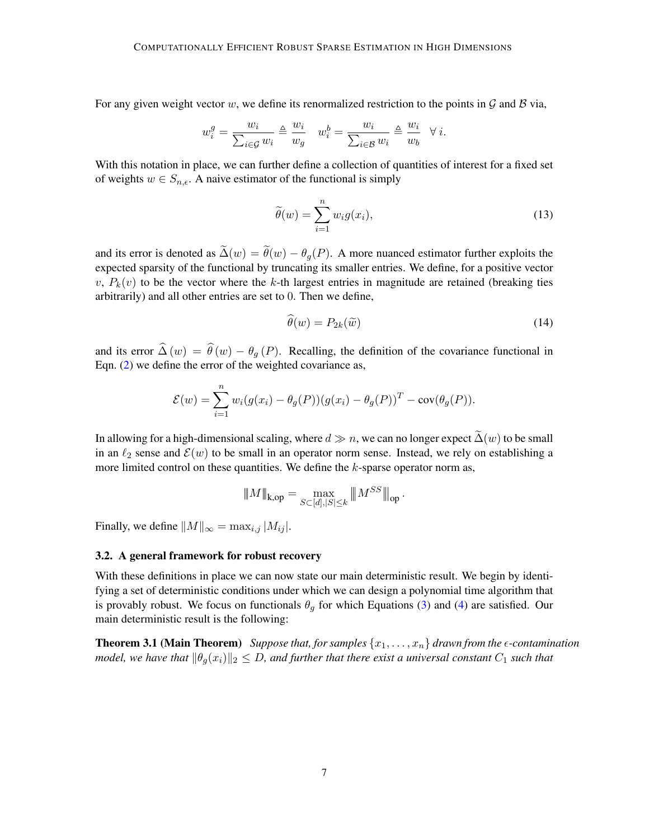For any given weight vector w, we define its renormalized restriction to the points in  $\mathcal G$  and  $\mathcal B$  via,

$$
w_i^g = \frac{w_i}{\sum_{i \in \mathcal{G}} w_i} \triangleq \frac{w_i}{w_g} \quad w_i^b = \frac{w_i}{\sum_{i \in \mathcal{B}} w_i} \triangleq \frac{w_i}{w_b} \quad \forall \ i.
$$

With this notation in place, we can further define a collection of quantities of interest for a fixed set of weights  $w \in S_{n,\epsilon}$ . A naive estimator of the functional is simply

$$
\widetilde{\theta}(w) = \sum_{i=1}^{n} w_i g(x_i),\tag{13}
$$

and its error is denoted as  $\tilde{\Delta}(w) = \tilde{\theta}(w) - \theta_g(P)$ . A more nuanced estimator further exploits the expected sparsity of the functional by truncating its smaller entries. We define, for a positive vector v,  $P_k(v)$  to be the vector where the k-th largest entries in magnitude are retained (breaking ties arbitrarily) and all other entries are set to 0. Then we define,

$$
\theta(w) = P_{2k}(\tilde{w})\tag{14}
$$

and its error  $\widehat{\Delta}(w) = \widehat{\theta}(w) - \theta_q(P)$ . Recalling, the definition of the covariance functional in Eqn. [\(2\)](#page-2-1) we define the error of the weighted covariance as,

$$
\mathcal{E}(w) = \sum_{i=1}^{n} w_i (g(x_i) - \theta_g(P))(g(x_i) - \theta_g(P))^T - \text{cov}(\theta_g(P)).
$$

In allowing for a high-dimensional scaling, where  $d \gg n$ , we can no longer expect  $\tilde{\Delta}(w)$  to be small in an  $\ell_2$  sense and  $\mathcal{E}(w)$  to be small in an operator norm sense. Instead, we rely on establishing a more limited control on these quantities. We define the  $k$ -sparse operator norm as,

<span id="page-6-0"></span>
$$
\|M\|_{k,\text{op}} = \max_{S \subset [d], |S| \le k} \|M^{SS}\|_{\text{op}}.
$$

Finally, we define  $||M||_{\infty} = \max_{i,j} |M_{ij}|$ .

#### 3.2. A general framework for robust recovery

With these definitions in place we can now state our main deterministic result. We begin by identifying a set of deterministic conditions under which we can design a polynomial time algorithm that is provably robust. We focus on functionals  $\theta_q$  for which Equations [\(3\)](#page-3-2) and [\(4\)](#page-3-3) are satisfied. Our main deterministic result is the following:

**Theorem 3.1 (Main Theorem)** *Suppose that, for samples*  $\{x_1, \ldots, x_n\}$  *drawn from the*  $\epsilon$ *-contamination model, we have that*  $\|\theta_q(x_i)\|_2 \leq D$ , and further that there exist a universal constant  $C_1$  such that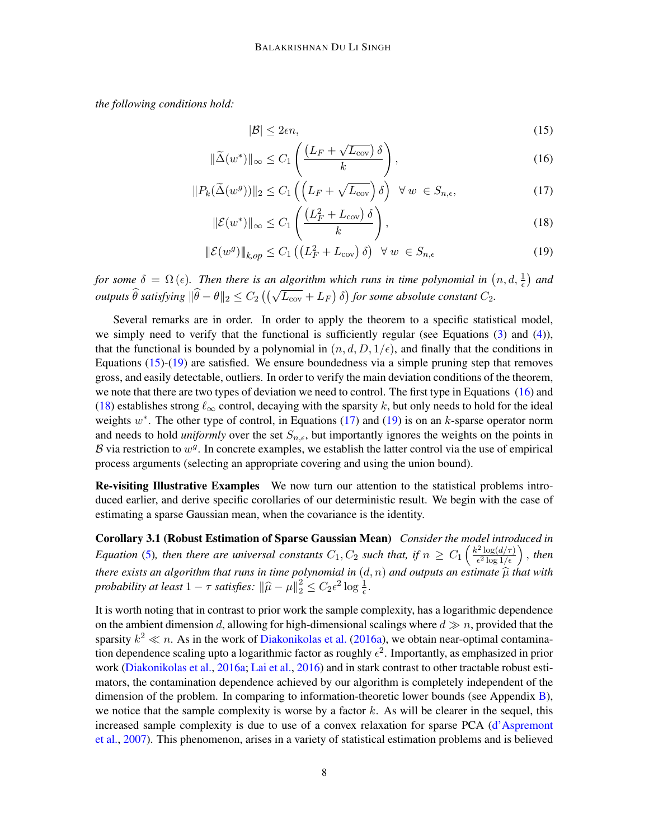*the following conditions hold:*

<span id="page-7-4"></span><span id="page-7-3"></span><span id="page-7-2"></span><span id="page-7-1"></span><span id="page-7-0"></span>
$$
|\mathcal{B}| \le 2\epsilon n,\tag{15}
$$

$$
\|\widetilde{\Delta}(w^*)\|_{\infty} \le C_1 \left( \frac{\left(L_F + \sqrt{L_{\text{cov}}}\right)\delta}{k} \right),\tag{16}
$$

$$
||P_k(\widetilde{\Delta}(w^g))||_2 \le C_1 \left( \left( L_F + \sqrt{L_{\text{cov}}} \right) \delta \right) \ \forall \ w \ \in S_{n,\epsilon}, \tag{17}
$$

$$
\|\mathcal{E}(w^*)\|_{\infty} \le C_1 \left( \frac{\left(L_F^2 + L_{\text{cov}}\right)\delta}{k} \right),\tag{18}
$$

$$
\|\mathcal{E}(w^g)\|_{k,op} \le C_1 \left( \left( L_F^2 + L_{\text{cov}} \right) \delta \right) \ \forall \ w \ \in S_{n,\epsilon} \tag{19}
$$

*for some*  $\delta = \Omega(\epsilon)$ . Then there is an algorithm which runs in time polynomial in  $(n, d, \frac{1}{\epsilon})$  and *outputs*  $\widehat{\theta}$  satisfying  $\|\widehat{\theta} - \theta\|_2 \leq C_2 \left( \left( \sqrt{L_{\text{cov}}} + L_F \right) \delta \right)$  for some absolute constant  $C_2$ .

Several remarks are in order. In order to apply the theorem to a specific statistical model, we simply need to verify that the functional is sufficiently regular (see Equations [\(3\)](#page-3-2) and [\(4\)](#page-3-3)), that the functional is bounded by a polynomial in  $(n, d, D, 1/\epsilon)$ , and finally that the conditions in Equations [\(15\)](#page-7-0)-[\(19\)](#page-7-1) are satisfied. We ensure boundedness via a simple pruning step that removes gross, and easily detectable, outliers. In order to verify the main deviation conditions of the theorem, we note that there are two types of deviation we need to control. The first type in Equations [\(16\)](#page-7-2) and [\(18\)](#page-7-3) establishes strong  $\ell_{\infty}$  control, decaying with the sparsity k, but only needs to hold for the ideal weights  $w^*$ . The other type of control, in Equations [\(17\)](#page-7-4) and [\(19\)](#page-7-1) is on an k-sparse operator norm and needs to hold *uniformly* over the set  $S_{n,\epsilon}$ , but importantly ignores the weights on the points in B via restriction to  $w^g$ . In concrete examples, we establish the latter control via the use of empirical process arguments (selecting an appropriate covering and using the union bound).

Re-visiting Illustrative Examples We now turn our attention to the statistical problems introduced earlier, and derive specific corollaries of our deterministic result. We begin with the case of estimating a sparse Gaussian mean, when the covariance is the identity.

<span id="page-7-5"></span>Corollary 3.1 (Robust Estimation of Sparse Gaussian Mean) *Consider the model introduced in Equation* [\(5\)](#page-3-4), then there are universal constants  $C_1, C_2$  such that, if  $n \ge C_1 \left( \frac{k^2 \log(d/\tau)}{\epsilon^2 \log 1/\epsilon} \right)$  $\frac{e^{2} \log(d/\tau)}{\epsilon^{2} \log 1/\epsilon}$  , then *there exists an algorithm that runs in time polynomial in*  $(d, n)$  *and outputs an estimate*  $\hat{\mu}$  *that with*  $\text{probability at least } 1 - \pi$  *satisfies:*  $\|\hat{\mu} - \mu\|^2 \leq C \epsilon^2 \log 1$ *probability at least*  $1 - \tau$  *satisfies:*  $\|\hat{\mu} - \mu\|_2^2 \leq C_2 \epsilon^2 \log \frac{1}{\epsilon}$ .

It is worth noting that in contrast to prior work the sample complexity, has a logarithmic dependence on the ambient dimension d, allowing for high-dimensional scalings where  $d \gg n$ , provided that the sparsity  $k^2 \ll n$ . As in the work of [Diakonikolas et al.](#page-13-6) [\(2016a\)](#page-13-6), we obtain near-optimal contamination dependence scaling upto a logarithmic factor as roughly  $\epsilon^2$ . Importantly, as emphasized in prior work [\(Diakonikolas et al.,](#page-13-6) [2016a;](#page-13-6) [Lai et al.,](#page-14-3) [2016\)](#page-14-3) and in stark contrast to other tractable robust estimators, the contamination dependence achieved by our algorithm is completely independent of the dimension of the problem. In comparing to information-theoretic lower bounds (see Appendix [B\)](#page-24-0), we notice that the sample complexity is worse by a factor  $k$ . As will be clearer in the sequel, this increased sample complexity is due to use of a convex relaxation for sparse PCA [\(d'Aspremont](#page-13-13) [et al.,](#page-13-13) [2007\)](#page-13-13). This phenomenon, arises in a variety of statistical estimation problems and is believed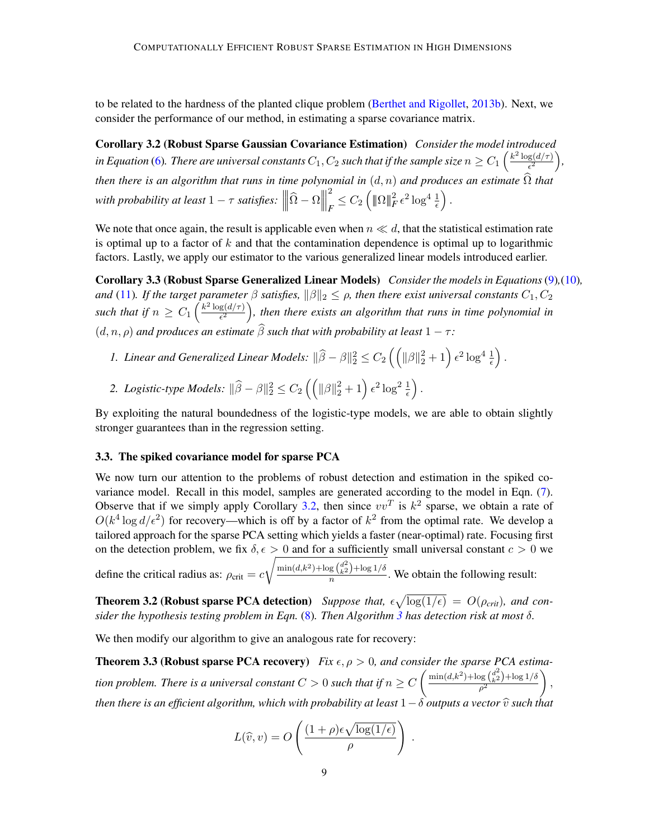to be related to the hardness of the planted clique problem [\(Berthet and Rigollet,](#page-12-3) [2013b\)](#page-12-3). Next, we consider the performance of our method, in estimating a sparse covariance matrix.

<span id="page-8-0"></span>Corollary 3.2 (Robust Sparse Gaussian Covariance Estimation) *Consider the model introduced* in Equation [\(6\)](#page-3-5). There are universal constants  $C_1, C_2$  such that if the sample size  $n \geq C_1 \left( \frac{k^2 \log(d/\tau)}{\epsilon^2} \right)$  $\frac{g(d/\tau)}{\epsilon^2}\bigg),$ *then there is an algorithm that runs in time polynomial in*  $(d, n)$  *and produces an estimate*  $\widehat{\Omega}$  *that with probability at least*  $1 - \tau$  *satisfies:*  $\Big|$  $\parallel$  $\left\| \widehat{\Omega}-\Omega\right\|$  $\parallel$  $\parallel$ 2  $\frac{2}{F} \leq C_2 \left( \|\Omega\|_F^2 \epsilon^2 \log^4 \frac{1}{\epsilon} \right).$ 

We note that once again, the result is applicable even when  $n \ll d$ , that the statistical estimation rate is optimal up to a factor of  $k$  and that the contamination dependence is optimal up to logarithmic factors. Lastly, we apply our estimator to the various generalized linear models introduced earlier.

Corollary 3.3 (Robust Sparse Generalized Linear Models) *Consider the models in Equations*[\(9\)](#page-4-0)*,*[\(10\)](#page-4-1)*, and* [\(11\)](#page-5-1). If the target parameter  $\beta$  satisfies,  $\|\beta\|_2 \leq \rho$ , then there exist universal constants  $C_1, C_2$ *such that if*  $n \geq C_1 \left( \frac{k^2 \log(d/\tau)}{\epsilon^2} \right)$  $\frac{g(d/\tau)}{\epsilon^2}$ ), then there exists an algorithm that runs in time polynomial in  $(d, n, \rho)$  *and produces an estimate*  $\widehat{\beta}$  *such that with probability at least*  $1 - \tau$ *:* 

- <span id="page-8-1"></span>*1. Linear and Generalized Linear Models:*  $\|\widehat{\beta} - \beta\|_2^2 \leq C_2 \left(\left(\|\beta\|_2^2 + 1\right) \epsilon^2 \log^4 \frac{1}{\epsilon}\right)$ .
- 2. *Logistic-type Models:*  $\|\widehat{\beta} \beta\|_2^2 \leq C_2 \left(\left(\|\beta\|_2^2 + 1\right) \epsilon^2 \log^2 \frac{1}{\epsilon}\right).$

By exploiting the natural boundedness of the logistic-type models, we are able to obtain slightly stronger guarantees than in the regression setting.

#### 3.3. The spiked covariance model for sparse PCA

We now turn our attention to the problems of robust detection and estimation in the spiked covariance model. Recall in this model, samples are generated according to the model in Eqn. [\(7\)](#page-3-1). Observe that if we simply apply Corollary [3.2,](#page-8-0) then since  $vv^T$  is  $k^2$  sparse, we obtain a rate of  $O(k^4 \log d/\epsilon^2)$  for recovery—which is off by a factor of  $k^2$  from the optimal rate. We develop a tailored approach for the sparse PCA setting which yields a faster (near-optimal) rate. Focusing first on the detection problem, we fix  $\delta, \epsilon > 0$  and for a sufficiently small universal constant  $c > 0$  we

define the critical radius as:  $\rho_{\text{crit}} = c$  $\sqrt{\frac{\min(d, k^2) + \log(\binom{d^2}{k^2}) + \log(1/\delta)}{n}}$ . We obtain the following result:

**Theorem 3.2 (Robust sparse PCA detection)** Suppose that,  $\epsilon \sqrt{\log(1/\epsilon)} = O(\rho_{crit})$ , and con*sider the hypothesis testing problem in Eqn.* [\(8\)](#page-4-2)*. Then Algorithm [3](#page-11-0) has detection risk at most* δ*.*

We then modify our algorithm to give an analogous rate for recovery:

**Theorem 3.3 (Robust sparse PCA recovery)** *Fix*  $\epsilon$ ,  $\rho > 0$ , and consider the sparse PCA estima*tion problem. There is a universal constant*  $C > 0$  such that if  $n \geq C \left( \frac{\min(d, k^2) + \log\binom{d^2}{k^2} + \log 1/\delta}{\delta^2} \right)$  $\rho^2$  $\Big),$ *then there is an efficient algorithm, which with probability at least*  $1−\delta$  *outputs a vector*  $\widehat{v}$  *such that* 

<span id="page-8-3"></span><span id="page-8-2"></span>
$$
L(\widehat{v}, v) = O\left(\frac{(1+\rho)\epsilon\sqrt{\log(1/\epsilon)}}{\rho}\right).
$$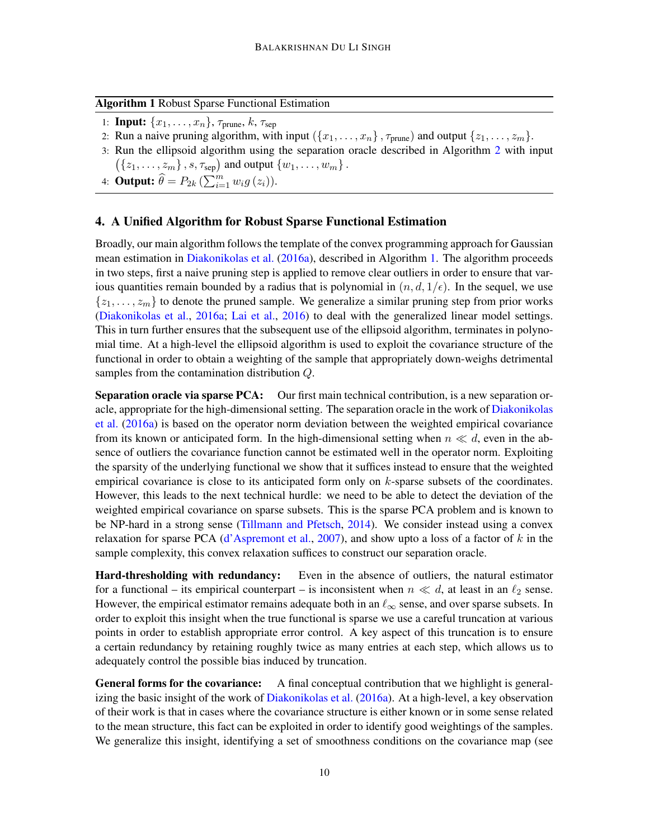## <span id="page-9-1"></span>Algorithm 1 Robust Sparse Functional Estimation

- 1: **Input:**  $\{x_1, \ldots, x_n\}$ ,  $\tau_{\text{prune}}$ ,  $k$ ,  $\tau_{\text{sep}}$
- 2: Run a naive pruning algorithm, with input  $(\{x_1, \ldots, x_n\}, \tau_{\text{prune}})$  and output  $\{z_1, \ldots, z_m\}$ .
- 3: Run the ellipsoid algorithm using the separation oracle described in Algorithm [2](#page-10-1) with input  $({z_1, \ldots, z_m}, s, \tau_{sep})$  and output  ${w_1, \ldots, w_m}$ .
- 4: **Output:**  $\widehat{\theta} = P_{2k} \left( \sum_{i=1}^m w_i g(z_i) \right)$ .

# <span id="page-9-0"></span>4. A Unified Algorithm for Robust Sparse Functional Estimation

Broadly, our main algorithm follows the template of the convex programming approach for Gaussian mean estimation in [Diakonikolas et al.](#page-13-6) [\(2016a\)](#page-13-6), described in Algorithm [1.](#page-9-1) The algorithm proceeds in two steps, first a naive pruning step is applied to remove clear outliers in order to ensure that various quantities remain bounded by a radius that is polynomial in  $(n, d, 1/\epsilon)$ . In the sequel, we use  $\{z_1, \ldots, z_m\}$  to denote the pruned sample. We generalize a similar pruning step from prior works [\(Diakonikolas et al.,](#page-13-6) [2016a;](#page-13-6) [Lai et al.,](#page-14-3) [2016\)](#page-14-3) to deal with the generalized linear model settings. This in turn further ensures that the subsequent use of the ellipsoid algorithm, terminates in polynomial time. At a high-level the ellipsoid algorithm is used to exploit the covariance structure of the functional in order to obtain a weighting of the sample that appropriately down-weighs detrimental samples from the contamination distribution Q.

Separation oracle via sparse PCA: Our first main technical contribution, is a new separation oracle, appropriate for the high-dimensional setting. The separation oracle in the work of [Diakonikolas](#page-13-6) [et al.](#page-13-6) [\(2016a\)](#page-13-6) is based on the operator norm deviation between the weighted empirical covariance from its known or anticipated form. In the high-dimensional setting when  $n \ll d$ , even in the absence of outliers the covariance function cannot be estimated well in the operator norm. Exploiting the sparsity of the underlying functional we show that it suffices instead to ensure that the weighted empirical covariance is close to its anticipated form only on  $k$ -sparse subsets of the coordinates. However, this leads to the next technical hurdle: we need to be able to detect the deviation of the weighted empirical covariance on sparse subsets. This is the sparse PCA problem and is known to be NP-hard in a strong sense [\(Tillmann and Pfetsch,](#page-14-7) [2014\)](#page-14-7). We consider instead using a convex relaxation for sparse PCA [\(d'Aspremont et al.,](#page-13-13) [2007\)](#page-13-13), and show upto a loss of a factor of  $k$  in the sample complexity, this convex relaxation suffices to construct our separation oracle.

Hard-thresholding with redundancy: Even in the absence of outliers, the natural estimator for a functional – its empirical counterpart – is inconsistent when  $n \ll d$ , at least in an  $\ell_2$  sense. However, the empirical estimator remains adequate both in an  $\ell_{\infty}$  sense, and over sparse subsets. In order to exploit this insight when the true functional is sparse we use a careful truncation at various points in order to establish appropriate error control. A key aspect of this truncation is to ensure a certain redundancy by retaining roughly twice as many entries at each step, which allows us to adequately control the possible bias induced by truncation.

General forms for the covariance: A final conceptual contribution that we highlight is generalizing the basic insight of the work of [Diakonikolas et al.](#page-13-6) [\(2016a\)](#page-13-6). At a high-level, a key observation of their work is that in cases where the covariance structure is either known or in some sense related to the mean structure, this fact can be exploited in order to identify good weightings of the samples. We generalize this insight, identifying a set of smoothness conditions on the covariance map (see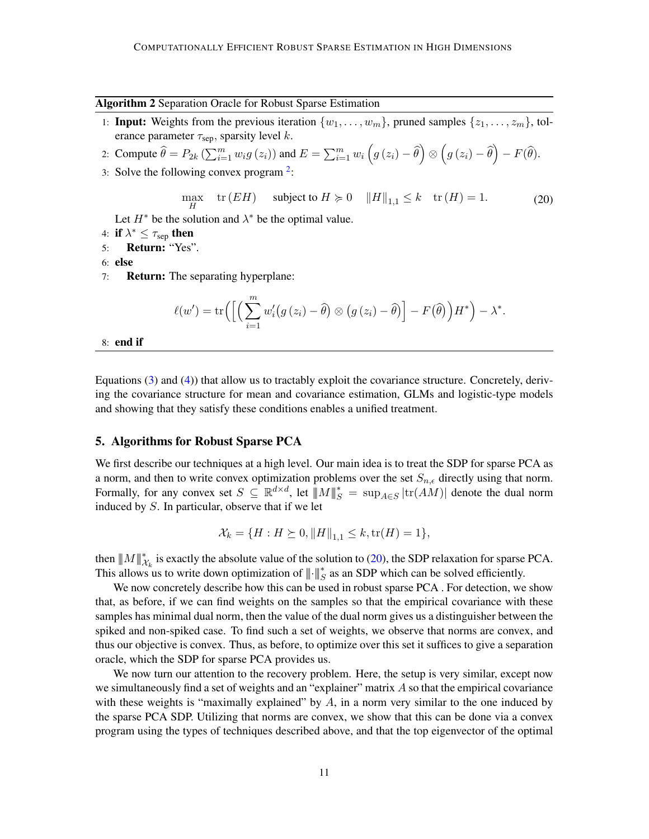<span id="page-10-1"></span>Algorithm 2 Separation Oracle for Robust Sparse Estimation

- 1: **Input:** Weights from the previous iteration  $\{w_1, \ldots, w_m\}$ , pruned samples  $\{z_1, \ldots, z_m\}$ , tolerance parameter  $\tau_{\text{sep}}$ , sparsity level k.
- 2: Compute  $\widehat{\theta} = P_{2k} \left( \sum_{i=1}^m w_i g(z_i) \right)$  and  $E = \sum_{i=1}^m w_i \left( g(z_i) \widehat{\theta} \right) \otimes \left( g(z_i) \widehat{\theta} \right) F(\widehat{\theta}).$
- 3: Solve the following convex program  $2$ :

<span id="page-10-2"></span>
$$
\max_{H} \quad \text{tr}(EH) \quad \text{subject to } H \succcurlyeq 0 \quad \|H\|_{1,1} \le k \quad \text{tr}(H) = 1. \tag{20}
$$

Let  $H^*$  be the solution and  $\lambda^*$  be the optimal value.

- 4: if  $\lambda^* \leq \tau_{\rm sep}$  then
- 5: Return: "Yes".
- 6: else
- 7: Return: The separating hyperplane:

$$
\ell(w') = \mathrm{tr}\Big(\Big[\Big(\sum_{i=1}^m w'_i(g(z_i) - \widehat{\theta}) \otimes (g(z_i) - \widehat{\theta})\Big] - F(\widehat{\theta})\Big)H^*\Big) - \lambda^*.
$$

8: end if

Equations [\(3\)](#page-3-2) and [\(4\)](#page-3-3)) that allow us to tractably exploit the covariance structure. Concretely, deriving the covariance structure for mean and covariance estimation, GLMs and logistic-type models and showing that they satisfy these conditions enables a unified treatment.

#### <span id="page-10-0"></span>5. Algorithms for Robust Sparse PCA

We first describe our techniques at a high level. Our main idea is to treat the SDP for sparse PCA as a norm, and then to write convex optimization problems over the set  $S_{n,\epsilon}$  directly using that norm. Formally, for any convex set  $S \subseteq \mathbb{R}^{d \times d}$ , let  $\|M\|_{S}^{*} = \sup_{A \in S} |tr(AM)|$  denote the dual norm induced by S. In particular, observe that if we let

$$
\mathcal{X}_k = \{ H : H \succeq 0, ||H||_{1,1} \le k, \text{tr}(H) = 1 \},
$$

then  $||M||_{\mathcal{X}_k}^*$  is exactly the absolute value of the solution to [\(20\)](#page-10-2), the SDP relaxation for sparse PCA. This allows us to write down optimization of  $\|\cdot\|_{S}^{*}$  as an SDP which can be solved efficiently.

We now concretely describe how this can be used in robust sparse PCA. For detection, we show that, as before, if we can find weights on the samples so that the empirical covariance with these samples has minimal dual norm, then the value of the dual norm gives us a distinguisher between the spiked and non-spiked case. To find such a set of weights, we observe that norms are convex, and thus our objective is convex. Thus, as before, to optimize over this set it suffices to give a separation oracle, which the SDP for sparse PCA provides us.

We now turn our attention to the recovery problem. Here, the setup is very similar, except now we simultaneously find a set of weights and an "explainer" matrix A so that the empirical covariance with these weights is "maximally explained" by  $A$ , in a norm very similar to the one induced by the sparse PCA SDP. Utilizing that norms are convex, we show that this can be done via a convex program using the types of techniques described above, and that the top eigenvector of the optimal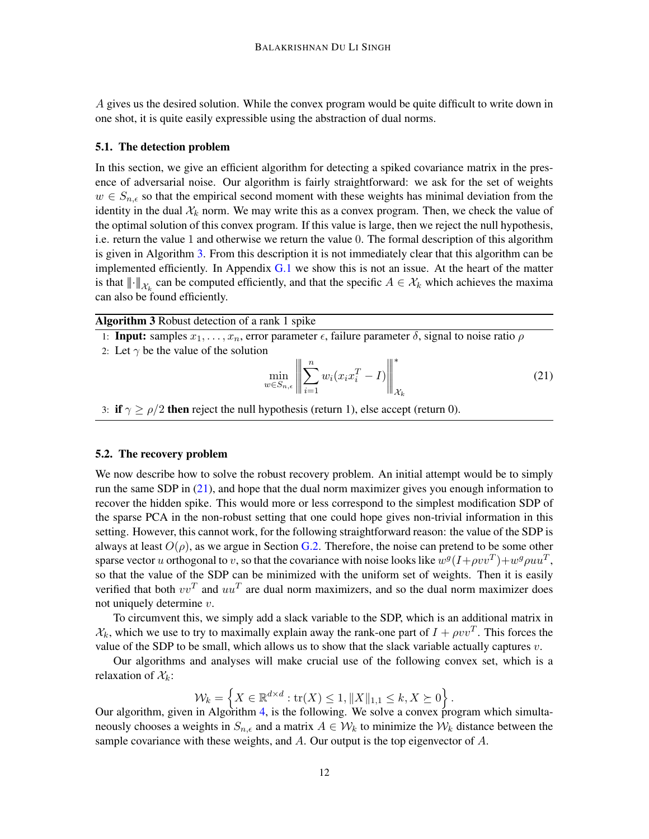A gives us the desired solution. While the convex program would be quite difficult to write down in one shot, it is quite easily expressible using the abstraction of dual norms.

## 5.1. The detection problem

In this section, we give an efficient algorithm for detecting a spiked covariance matrix in the presence of adversarial noise. Our algorithm is fairly straightforward: we ask for the set of weights  $w \in S_{n,\epsilon}$  so that the empirical second moment with these weights has minimal deviation from the identity in the dual  $\mathcal{X}_k$  norm. We may write this as a convex program. Then, we check the value of the optimal solution of this convex program. If this value is large, then we reject the null hypothesis, i.e. return the value 1 and otherwise we return the value 0. The formal description of this algorithm is given in Algorithm [3.](#page-11-0) From this description it is not immediately clear that this algorithm can be implemented efficiently. In Appendix  $G.1$  we show this is not an issue. At the heart of the matter is that  $\|\cdot\|_{\mathcal{X}_k}$  can be computed efficiently, and that the specific  $A \in \mathcal{X}_k$  which achieves the maxima can also be found efficiently.

<span id="page-11-0"></span>Algorithm 3 Robust detection of a rank 1 spike

1: Input: samples  $x_1, \ldots, x_n$ , error parameter  $\epsilon$ , failure parameter  $\delta$ , signal to noise ratio  $\rho$ 

2: Let  $\gamma$  be the value of the solution

<span id="page-11-1"></span>
$$
\min_{w \in S_{n,\epsilon}} \left\| \sum_{i=1}^n w_i (x_i x_i^T - I) \right\|_{\mathcal{X}_k}^* \tag{21}
$$

.

3: if  $\gamma \ge \rho/2$  then reject the null hypothesis (return 1), else accept (return 0).

## 5.2. The recovery problem

We now describe how to solve the robust recovery problem. An initial attempt would be to simply run the same SDP in  $(21)$ , and hope that the dual norm maximizer gives you enough information to recover the hidden spike. This would more or less correspond to the simplest modification SDP of the sparse PCA in the non-robust setting that one could hope gives non-trivial information in this setting. However, this cannot work, for the following straightforward reason: the value of the SDP is always at least  $O(\rho)$ , as we argue in Section [G.2.](#page-35-0) Therefore, the noise can pretend to be some other sparse vector u orthogonal to v, so that the covariance with noise looks like  $w^g(I + \rho vv^T) + w^g \rho uu^T$ , so that the value of the SDP can be minimized with the uniform set of weights. Then it is easily verified that both  $vv^T$  and  $uu^T$  are dual norm maximizers, and so the dual norm maximizer does not uniquely determine  $v$ .

To circumvent this, we simply add a slack variable to the SDP, which is an additional matrix in  $\mathcal{X}_k$ , which we use to try to maximally explain away the rank-one part of  $I + \rho v v^T$ . This forces the value of the SDP to be small, which allows us to show that the slack variable actually captures  $v$ .

Our algorithms and analyses will make crucial use of the following convex set, which is a relaxation of  $\mathcal{X}_k$ :

$$
\mathcal{W}_k = \left\{ X \in \mathbb{R}^{d \times d} : \text{tr}(X) \le 1, ||X||_{1,1} \le k, X \succeq 0 \right\}
$$

Our algorithm, given in Algorithm [4,](#page-12-4) is the following. We solve a convex program which simultaneously chooses a weights in  $S_{n,\epsilon}$  and a matrix  $A \in \mathcal{W}_k$  to minimize the  $\mathcal{W}_k$  distance between the sample covariance with these weights, and  $A$ . Our output is the top eigenvector of  $A$ .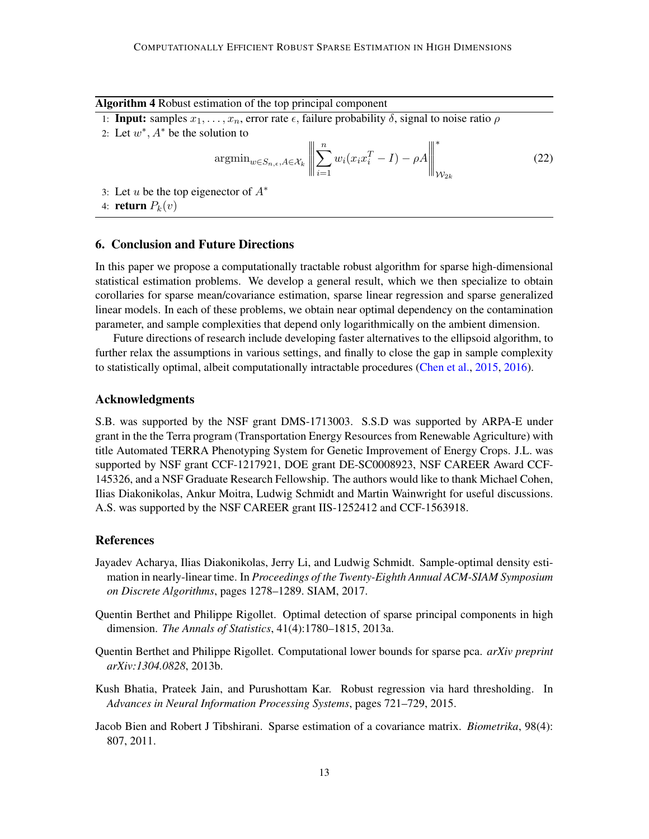<span id="page-12-4"></span>

| Algorithm 4 Robust estimation of the top principal component |  |  |  |
|--------------------------------------------------------------|--|--|--|
|--------------------------------------------------------------|--|--|--|

- 1: **Input:** samples  $x_1, \ldots, x_n$ , error rate  $\epsilon$ , failure probability  $\delta$ , signal to noise ratio  $\rho$
- 2: Let  $w^*$ ,  $A^*$  be the solution to

$$
\operatorname{argmin}_{w \in S_{n,\epsilon}, A \in \mathcal{X}_k} \left\| \sum_{i=1}^n w_i (x_i x_i^T - I) - \rho A \right\|_{\mathcal{W}_{2k}}^* \tag{22}
$$

3: Let u be the top eigenector of  $A^*$ 

4: return  $P_k(v)$ 

# 6. Conclusion and Future Directions

In this paper we propose a computationally tractable robust algorithm for sparse high-dimensional statistical estimation problems. We develop a general result, which we then specialize to obtain corollaries for sparse mean/covariance estimation, sparse linear regression and sparse generalized linear models. In each of these problems, we obtain near optimal dependency on the contamination parameter, and sample complexities that depend only logarithmically on the ambient dimension.

Future directions of research include developing faster alternatives to the ellipsoid algorithm, to further relax the assumptions in various settings, and finally to close the gap in sample complexity to statistically optimal, albeit computationally intractable procedures [\(Chen et al.,](#page-13-3) [2015,](#page-13-3) [2016\)](#page-13-4).

# Acknowledgments

S.B. was supported by the NSF grant DMS-1713003. S.S.D was supported by ARPA-E under grant in the the Terra program (Transportation Energy Resources from Renewable Agriculture) with title Automated TERRA Phenotyping System for Genetic Improvement of Energy Crops. J.L. was supported by NSF grant CCF-1217921, DOE grant DE-SC0008923, NSF CAREER Award CCF-145326, and a NSF Graduate Research Fellowship. The authors would like to thank Michael Cohen, Ilias Diakonikolas, Ankur Moitra, Ludwig Schmidt and Martin Wainwright for useful discussions. A.S. was supported by the NSF CAREER grant IIS-1252412 and CCF-1563918.

#### References

- <span id="page-12-0"></span>Jayadev Acharya, Ilias Diakonikolas, Jerry Li, and Ludwig Schmidt. Sample-optimal density estimation in nearly-linear time. In *Proceedings of the Twenty-Eighth Annual ACM-SIAM Symposium on Discrete Algorithms*, pages 1278–1289. SIAM, 2017.
- <span id="page-12-2"></span>Quentin Berthet and Philippe Rigollet. Optimal detection of sparse principal components in high dimension. *The Annals of Statistics*, 41(4):1780–1815, 2013a.
- <span id="page-12-3"></span>Quentin Berthet and Philippe Rigollet. Computational lower bounds for sparse pca. *arXiv preprint arXiv:1304.0828*, 2013b.
- <span id="page-12-5"></span>Kush Bhatia, Prateek Jain, and Purushottam Kar. Robust regression via hard thresholding. In *Advances in Neural Information Processing Systems*, pages 721–729, 2015.
- <span id="page-12-1"></span>Jacob Bien and Robert J Tibshirani. Sparse estimation of a covariance matrix. *Biometrika*, 98(4): 807, 2011.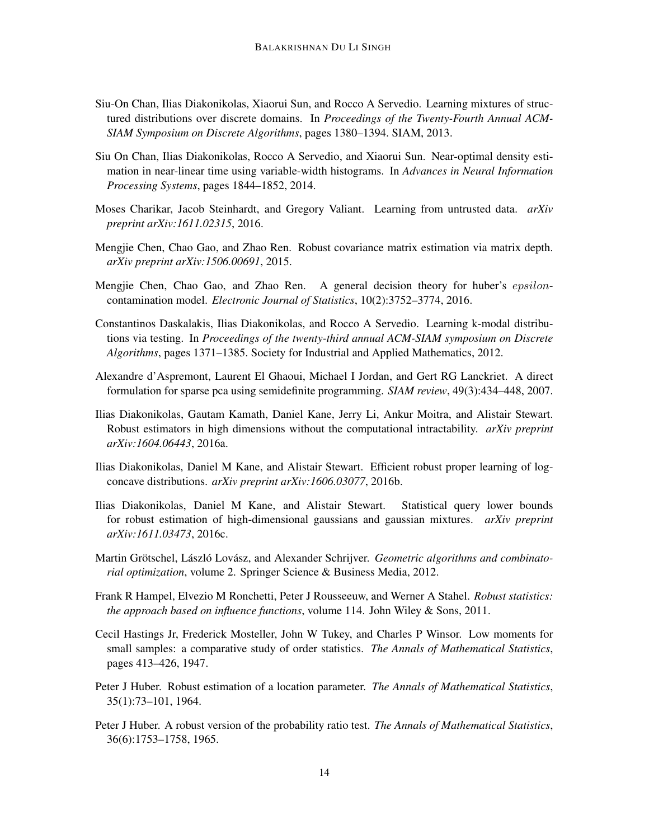- <span id="page-13-8"></span>Siu-On Chan, Ilias Diakonikolas, Xiaorui Sun, and Rocco A Servedio. Learning mixtures of structured distributions over discrete domains. In *Proceedings of the Twenty-Fourth Annual ACM-SIAM Symposium on Discrete Algorithms*, pages 1380–1394. SIAM, 2013.
- <span id="page-13-9"></span>Siu On Chan, Ilias Diakonikolas, Rocco A Servedio, and Xiaorui Sun. Near-optimal density estimation in near-linear time using variable-width histograms. In *Advances in Neural Information Processing Systems*, pages 1844–1852, 2014.
- <span id="page-13-7"></span>Moses Charikar, Jacob Steinhardt, and Gregory Valiant. Learning from untrusted data. *arXiv preprint arXiv:1611.02315*, 2016.
- <span id="page-13-3"></span>Mengjie Chen, Chao Gao, and Zhao Ren. Robust covariance matrix estimation via matrix depth. *arXiv preprint arXiv:1506.00691*, 2015.
- <span id="page-13-4"></span>Mengjie Chen, Chao Gao, and Zhao Ren. A general decision theory for huber's *epsilon*contamination model. *Electronic Journal of Statistics*, 10(2):3752–3774, 2016.
- <span id="page-13-10"></span>Constantinos Daskalakis, Ilias Diakonikolas, and Rocco A Servedio. Learning k-modal distributions via testing. In *Proceedings of the twenty-third annual ACM-SIAM symposium on Discrete Algorithms*, pages 1371–1385. Society for Industrial and Applied Mathematics, 2012.
- <span id="page-13-13"></span>Alexandre d'Aspremont, Laurent El Ghaoui, Michael I Jordan, and Gert RG Lanckriet. A direct formulation for sparse pca using semidefinite programming. *SIAM review*, 49(3):434–448, 2007.
- <span id="page-13-6"></span>Ilias Diakonikolas, Gautam Kamath, Daniel Kane, Jerry Li, Ankur Moitra, and Alistair Stewart. Robust estimators in high dimensions without the computational intractability. *arXiv preprint arXiv:1604.06443*, 2016a.
- <span id="page-13-11"></span>Ilias Diakonikolas, Daniel M Kane, and Alistair Stewart. Efficient robust proper learning of logconcave distributions. *arXiv preprint arXiv:1606.03077*, 2016b.
- <span id="page-13-12"></span>Ilias Diakonikolas, Daniel M Kane, and Alistair Stewart. Statistical query lower bounds for robust estimation of high-dimensional gaussians and gaussian mixtures. *arXiv preprint arXiv:1611.03473*, 2016c.
- <span id="page-13-14"></span>Martin Grötschel, László Lovász, and Alexander Schrijver. Geometric algorithms and combinato*rial optimization*, volume 2. Springer Science & Business Media, 2012.
- <span id="page-13-2"></span>Frank R Hampel, Elvezio M Ronchetti, Peter J Rousseeuw, and Werner A Stahel. *Robust statistics: the approach based on influence functions*, volume 114. John Wiley & Sons, 2011.
- <span id="page-13-5"></span>Cecil Hastings Jr, Frederick Mosteller, John W Tukey, and Charles P Winsor. Low moments for small samples: a comparative study of order statistics. *The Annals of Mathematical Statistics*, pages 413–426, 1947.
- <span id="page-13-0"></span>Peter J Huber. Robust estimation of a location parameter. *The Annals of Mathematical Statistics*, 35(1):73–101, 1964.
- <span id="page-13-1"></span>Peter J Huber. A robust version of the probability ratio test. *The Annals of Mathematical Statistics*, 36(6):1753–1758, 1965.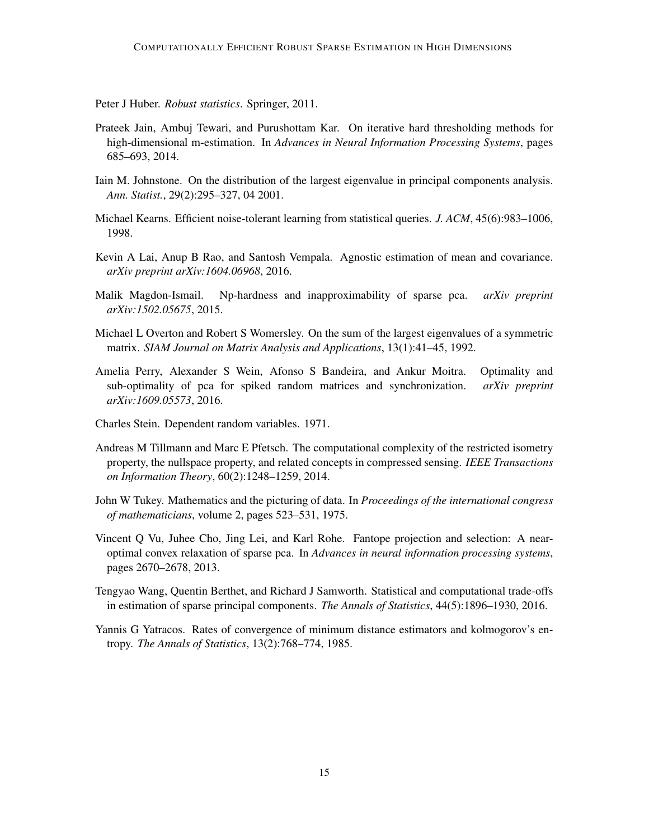<span id="page-14-1"></span>Peter J Huber. *Robust statistics*. Springer, 2011.

- <span id="page-14-8"></span>Prateek Jain, Ambuj Tewari, and Purushottam Kar. On iterative hard thresholding methods for high-dimensional m-estimation. In *Advances in Neural Information Processing Systems*, pages 685–693, 2014.
- <span id="page-14-5"></span>Iain M. Johnstone. On the distribution of the largest eigenvalue in principal components analysis. *Ann. Statist.*, 29(2):295–327, 04 2001.
- <span id="page-14-4"></span>Michael Kearns. Efficient noise-tolerant learning from statistical queries. *J. ACM*, 45(6):983–1006, 1998.
- <span id="page-14-3"></span>Kevin A Lai, Anup B Rao, and Santosh Vempala. Agnostic estimation of mean and covariance. *arXiv preprint arXiv:1604.06968*, 2016.
- <span id="page-14-9"></span>Malik Magdon-Ismail. Np-hardness and inapproximability of sparse pca. *arXiv preprint arXiv:1502.05675*, 2015.
- <span id="page-14-10"></span>Michael L Overton and Robert S Womersley. On the sum of the largest eigenvalues of a symmetric matrix. *SIAM Journal on Matrix Analysis and Applications*, 13(1):41–45, 1992.
- Amelia Perry, Alexander S Wein, Afonso S Bandeira, and Ankur Moitra. Optimality and sub-optimality of pca for spiked random matrices and synchronization. *arXiv preprint arXiv:1609.05573*, 2016.
- <span id="page-14-12"></span>Charles Stein. Dependent random variables. 1971.
- <span id="page-14-7"></span>Andreas M Tillmann and Marc E Pfetsch. The computational complexity of the restricted isometry property, the nullspace property, and related concepts in compressed sensing. *IEEE Transactions on Information Theory*, 60(2):1248–1259, 2014.
- <span id="page-14-0"></span>John W Tukey. Mathematics and the picturing of data. In *Proceedings of the international congress of mathematicians*, volume 2, pages 523–531, 1975.
- <span id="page-14-11"></span>Vincent Q Vu, Juhee Cho, Jing Lei, and Karl Rohe. Fantope projection and selection: A nearoptimal convex relaxation of sparse pca. In *Advances in neural information processing systems*, pages 2670–2678, 2013.
- <span id="page-14-6"></span>Tengyao Wang, Quentin Berthet, and Richard J Samworth. Statistical and computational trade-offs in estimation of sparse principal components. *The Annals of Statistics*, 44(5):1896–1930, 2016.
- <span id="page-14-2"></span>Yannis G Yatracos. Rates of convergence of minimum distance estimators and kolmogorov's entropy. *The Annals of Statistics*, 13(2):768–774, 1985.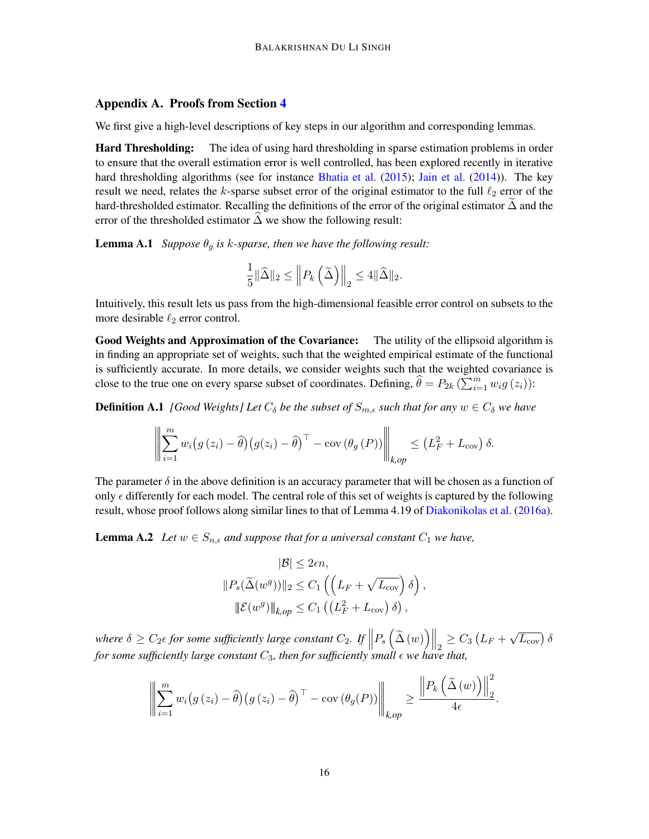## Appendix A. Proofs from Section [4](#page-9-0)

We first give a high-level descriptions of key steps in our algorithm and corresponding lemmas.

**Hard Thresholding:** The idea of using hard thresholding in sparse estimation problems in order to ensure that the overall estimation error is well controlled, has been explored recently in iterative hard thresholding algorithms (see for instance [Bhatia et al.](#page-12-5) [\(2015\)](#page-12-5); [Jain et al.](#page-14-8) [\(2014\)](#page-14-8)). The key result we need, relates the k-sparse subset error of the original estimator to the full  $\ell_2$  error of the hard-thresholded estimator. Recalling the definitions of the error of the original estimator  $\Delta$  and the error of the thresholded estimator  $\Delta$  we show the following result:

**Lemma A.1** *Suppose*  $\theta_q$  *is k-sparse, then we have the following result:* 

<span id="page-15-0"></span>
$$
\frac{1}{5} \|\widehat{\Delta}\|_2 \le \left\| P_k\left(\widetilde{\Delta}\right) \right\|_2 \le 4 \|\widehat{\Delta}\|_2.
$$

Intuitively, this result lets us pass from the high-dimensional feasible error control on subsets to the more desirable  $\ell_2$  error control.

Good Weights and Approximation of the Covariance: The utility of the ellipsoid algorithm is in finding an appropriate set of weights, such that the weighted empirical estimate of the functional is sufficiently accurate. In more details, we consider weights such that the weighted covariance is close to the true one on every sparse subset of coordinates. Defining,  $\hat{\theta} = P_{2k} \left( \sum_{i=1}^{m} w_i g(z_i) \right)$ :

**Definition A.1** *[Good Weights] Let*  $C_{\delta}$  *be the subset of*  $S_{m,\epsilon}$  *such that for any*  $w \in C_{\delta}$  *we have* 

$$
\left\| \sum_{i=1}^{m} w_i (g(z_i) - \widehat{\theta}) (g(z_i) - \widehat{\theta})^{\top} - \text{cov} (\theta_g(P)) \right\|_{k,op} \leq (L_F^2 + L_{\text{cov}}) \delta.
$$

The parameter  $\delta$  in the above definition is an accuracy parameter that will be chosen as a function of only  $\epsilon$  differently for each model. The central role of this set of weights is captured by the following result, whose proof follows along similar lines to that of Lemma 4.19 of [Diakonikolas et al.](#page-13-6) [\(2016a\)](#page-13-6).

<span id="page-15-1"></span>**Lemma A.2** *Let*  $w \in S_{n,\epsilon}$  *and suppose that for a universal constant*  $C_1$  *we have,* 

$$
|\mathcal{B}| \leq 2\epsilon n,
$$
  
\n
$$
||P_s(\widetilde{\Delta}(w^g))||_2 \leq C_1 \left( \left( L_F + \sqrt{L_{\text{cov}}} \right) \delta \right),
$$
  
\n
$$
||\mathcal{E}(w^g)||_{k,op} \leq C_1 \left( \left( L_F^2 + L_{\text{cov}} \right) \delta \right),
$$

where  $\delta \geq C_2 \epsilon$  for some sufficiently large constant  $C_2$ . If  $||P_s(\tilde{\Delta}(w))||_2 \geq C_3 (L_F +$  $\sqrt{L_{\rm cov}}$ )  $\delta$ *for some sufficiently large constant*  $C_3$ *, then for sufficiently small*  $\epsilon$  *we have that,* 

$$
\left\| \sum_{i=1}^m w_i \big(g(z_i) - \widehat{\theta}\big) \big(g(z_i) - \widehat{\theta}\big)^\top - \text{cov}\left(\theta_g(P)\right) \right\|_{k,op} \ge \frac{\left\| P_k\left(\widetilde{\Delta}(w)\right) \right\|_2^2}{4\epsilon}.
$$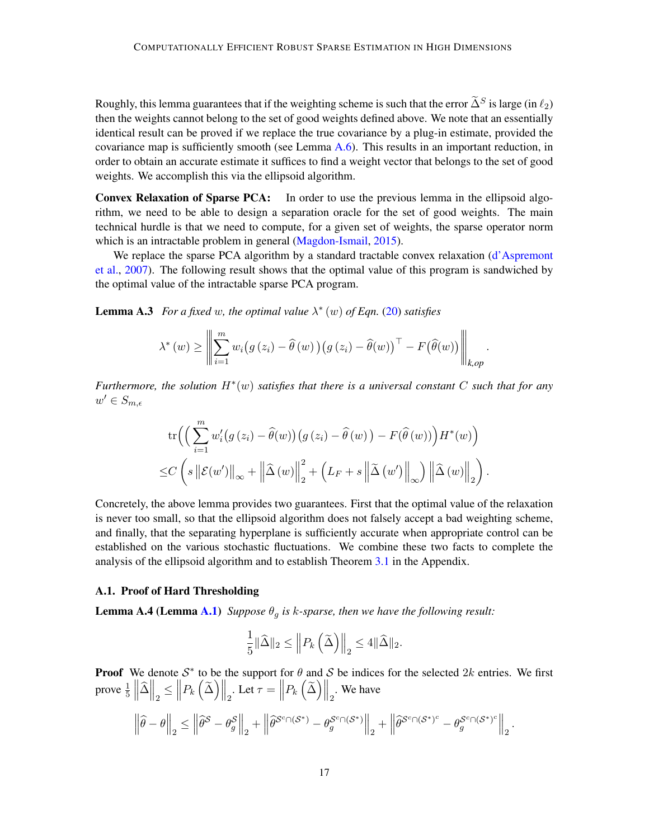Roughly, this lemma guarantees that if the weighting scheme is such that the error  $\tilde{\Delta}^S$  is large (in  $\ell_2$ ) then the weights cannot belong to the set of good weights defined above. We note that an essentially identical result can be proved if we replace the true covariance by a plug-in estimate, provided the covariance map is sufficiently smooth (see Lemma [A.6\)](#page-19-0). This results in an important reduction, in order to obtain an accurate estimate it suffices to find a weight vector that belongs to the set of good weights. We accomplish this via the ellipsoid algorithm.

Convex Relaxation of Sparse PCA: In order to use the previous lemma in the ellipsoid algorithm, we need to be able to design a separation oracle for the set of good weights. The main technical hurdle is that we need to compute, for a given set of weights, the sparse operator norm which is an intractable problem in general [\(Magdon-Ismail,](#page-14-9) [2015\)](#page-14-9).

We replace the sparse PCA algorithm by a standard tractable convex relaxation [\(d'Aspremont](#page-13-13) [et al.,](#page-13-13) [2007\)](#page-13-13). The following result shows that the optimal value of this program is sandwiched by the optimal value of the intractable sparse PCA program.

<span id="page-16-0"></span>**Lemma A.3** For a fixed w, the optimal value  $\lambda^*(w)$  of Eqn. [\(20\)](#page-10-2) satisfies

$$
\lambda^*(w) \geq \left\| \sum_{i=1}^m w_i \big(g(z_i) - \widehat{\theta}(w)\big) \big(g(z_i) - \widehat{\theta}(w)\big)^\top - F(\widehat{\theta}(w)) \right\|_{k,op}.
$$

*Furthermore, the solution* H<sup>∗</sup> (w) *satisfies that there is a universal constant* C *such that for any*  $w' \in S_{m,\epsilon}$ 

$$
\operatorname{tr}\left(\left(\sum_{i=1}^{m} w'_{i}(g(z_{i}) - \widehat{\theta}(w))(g(z_{i}) - \widehat{\theta}(w)) - F(\widehat{\theta}(w))\right)H^{*}(w)\right) \leq C\left(s\left\|\mathcal{E}(w')\right\|_{\infty} + \left\|\widehat{\Delta}(w)\right\|_{2}^{2} + \left(L_{F} + s\left\|\widetilde{\Delta}(w')\right\|_{\infty}\right)\left\|\widehat{\Delta}(w)\right\|_{2}\right).
$$

Concretely, the above lemma provides two guarantees. First that the optimal value of the relaxation is never too small, so that the ellipsoid algorithm does not falsely accept a bad weighting scheme, and finally, that the separating hyperplane is sufficiently accurate when appropriate control can be established on the various stochastic fluctuations. We combine these two facts to complete the analysis of the ellipsoid algorithm and to establish Theorem [3.1](#page-6-0) in the Appendix.

## A.1. Proof of Hard Thresholding

**Lemma A.4 (Lemma [A.1\)](#page-15-0)** *Suppose*  $\theta_q$  *is k*-sparse, then we have the following result:

$$
\frac{1}{5} \|\widehat{\Delta}\|_2 \le \left\| P_k\left(\widetilde{\Delta}\right) \right\|_2 \le 4 \|\widehat{\Delta}\|_2.
$$

**Proof** We denote  $S^*$  to be the support for  $\theta$  and S be indices for the selected 2k entries. We first prove  $\frac{1}{5} \left\| \hat{\Delta} \right\|_2 \leq \left\| P_k \left( \tilde{\Delta} \right) \right\|_2$ . Let  $\tau = \left\| P_k \left( \tilde{\Delta} \right) \right\|_2$ . We have

$$
\left\|\widehat{\theta}-\theta\right\|_2\leq \left\|\widehat{\theta}^{\mathcal{S}}-\theta_g^{\mathcal{S}}\right\|_2+\left\|\widehat{\theta}^{\mathcal{S}^c\cap(\mathcal{S}^*)}-\theta_g^{\mathcal{S}^c\cap(\mathcal{S}^*)}\right\|_2+\left\|\widehat{\theta}^{\mathcal{S}^c\cap(\mathcal{S}^*)^c}-\theta_g^{\mathcal{S}^c\cap(\mathcal{S}^*)^c}\right\|_2.
$$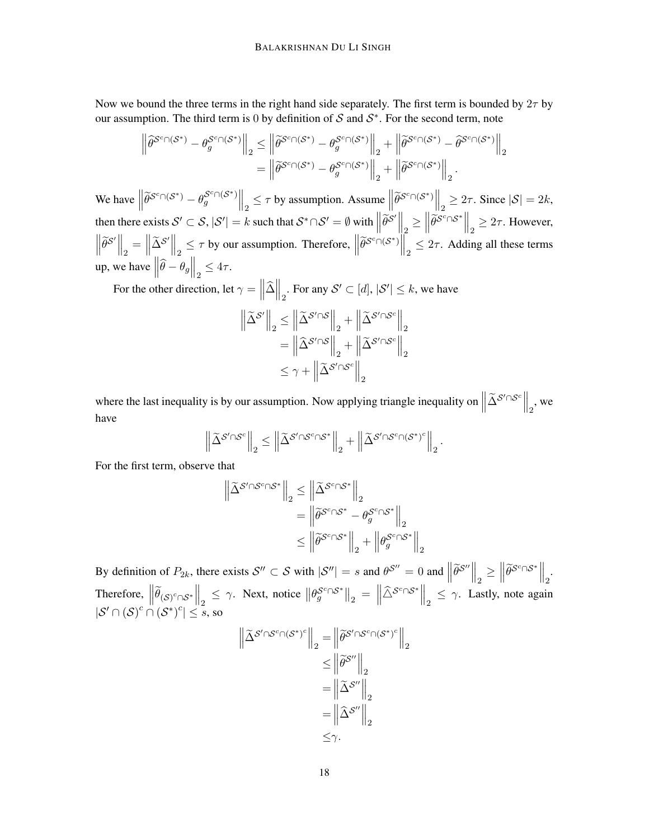Now we bound the three terms in the right hand side separately. The first term is bounded by  $2\tau$  by our assumption. The third term is 0 by definition of S and  $S^*$ . For the second term, note

$$
\left\|\widehat{\theta}^{\mathcal{S}^c \cap (\mathcal{S}^*)}-\theta_g^{\mathcal{S}^c \cap (\mathcal{S}^*)}\right\|_2 \le \left\|\widetilde{\theta}^{\mathcal{S}^c \cap (\mathcal{S}^*)}-\theta_g^{\mathcal{S}^c \cap (\mathcal{S}^*)}\right\|_2 + \left\|\widetilde{\theta}^{\mathcal{S}^c \cap (\mathcal{S}^*)}-\widehat{\theta}^{\mathcal{S}^c \cap (\mathcal{S}^*)}\right\|_2
$$
  
= 
$$
\left\|\widetilde{\theta}^{\mathcal{S}^c \cap (\mathcal{S}^*)}-\theta_g^{\mathcal{S}^c \cap (\mathcal{S}^*)}\right\|_2 + \left\|\widetilde{\theta}^{\mathcal{S}^c \cap (\mathcal{S}^*)}\right\|_2.
$$

We have  $\left\|\widetilde{\theta}^{\mathcal{S}^c \cap (\mathcal{S}^*)} - \theta_g^{\mathcal{S}^c \cap (\mathcal{S}^*)}\right\|_2 \leq \tau$  by assumption. Assume  $\left\|\widetilde{\theta}^{\mathcal{S}^c \cap (\mathcal{S}^*)}\right\|_2 \geq 2\tau$ . Since  $|\mathcal{S}| = 2k$ ,  $\| \cdot \|_2$   $\|_2$   $\|_2$   $\|_2$   $\|_2$   $\|_2$ then there exists  $\mathcal{S}' \subset \mathcal{S}, |\mathcal{S}'| = k$  such that  $\mathcal{S}^* \cap \mathcal{S}' = \emptyset$  with  $\left\| \widetilde{\theta}^{\mathcal{S}'} \right\|_2 \ge \left\| \widetilde{\theta}^{\mathcal{S}^c} \cap \mathcal{S}^* \right\|_2 \ge 2\tau$ . However,  $\left\|\tilde{\theta}^{S'}\right\|_2 = \left\|\tilde{\Delta}^{S'}\right\|_2 \leq \tau$  by our assumption. Therefore,  $\left\|\tilde{\theta}^{S^c \cap (S^*)}\right\|_2 \leq 2\tau$ . Adding all these terms up, we have  $\left\|\widehat{\theta} - \theta_g\right\|_2 \leq 4\tau$ .  $\begin{array}{ccc} \n\begin{array}{ccc} \n\end{array} & \n\begin{array}{cc} \n\end{array} & \n\begin{array}{cc} \n\end{array} & \n\begin{array}{cc} \n\end{array} & \n\begin{array}{cc} \n\end{array} & \n\end{array}$ 

For the other direction, let  $\gamma = ||\hat{\Delta}||_2$ . For any  $\mathcal{S}' \subset [d]$ ,  $|\mathcal{S}'| \leq k$ , we have

$$
\left\| \tilde{\Delta}^{\mathcal{S}'} \right\|_2 \le \left\| \tilde{\Delta}^{\mathcal{S}' \cap \mathcal{S}} \right\|_2 + \left\| \tilde{\Delta}^{\mathcal{S}' \cap \mathcal{S}^c} \right\|_2
$$

$$
= \left\| \hat{\Delta}^{\mathcal{S}' \cap \mathcal{S}} \right\|_2 + \left\| \tilde{\Delta}^{\mathcal{S}' \cap \mathcal{S}^c} \right\|_2
$$

$$
\le \gamma + \left\| \tilde{\Delta}^{\mathcal{S}' \cap \mathcal{S}^c} \right\|_2
$$

where the last inequality is by our assumption. Now applying triangle inequality on  $\left\|\tilde{\Delta}^{\mathcal{S}'\cap\mathcal{S}^c}\right\|_2$ , we have

$$
\left\| \widetilde{\Delta}^{\mathcal{S}' \cap \mathcal{S}^c} \right\|_2 \le \left\| \widetilde{\Delta}^{\mathcal{S}' \cap \mathcal{S}^c \cap \mathcal{S}^*} \right\|_2 + \left\| \widetilde{\Delta}^{\mathcal{S}' \cap \mathcal{S}^c \cap (\mathcal{S}^*)^c} \right\|_2.
$$

For the first term, observe that

$$
\begin{aligned} \left\| \widetilde{\Delta}^{\mathcal{S}' \cap \mathcal{S}^c \cap \mathcal{S}^*} \right\|_2 &\leq \left\| \widetilde{\Delta}^{\mathcal{S}^c \cap \mathcal{S}^*} \right\|_2 \\ &= \left\| \widetilde{\theta}^{\mathcal{S}^c \cap \mathcal{S}^*} - \theta^{\mathcal{S}^c \cap \mathcal{S}^*}_g \right\|_2 \\ &\leq \left\| \widetilde{\theta}^{\mathcal{S}^c \cap \mathcal{S}^*} \right\|_2 + \left\| \theta^{\mathcal{S}^c \cap \mathcal{S}^*}_g \right\|_2 \end{aligned}
$$

By definition of  $P_{2k}$ , there exists  $\mathcal{S}'' \subset \mathcal{S}$  with  $|\mathcal{S}''| = s$  and  $\theta^{\mathcal{S}''} = 0$  and  $\left\| \widetilde{\theta}^{\mathcal{S}''} \right\|_2 \ge \left\| \widetilde{\theta}^{\mathcal{S}^c \cap \mathcal{S}^*} \right\|_2$ .  $\|\cdot\|_2 = \|\cdot\|_2$ Therefore,  $\left\|\tilde{\theta}_{(S)^c \cap S^*}\right\|_2 \leq \gamma$ . Next, notice  $\left\|\theta_g^{S^c \cap S^*}\right\|_2 = \left\|\tilde{\triangle}^{S^c \cap S^*}\right\|_2 \leq \gamma$ . Lastly, note again  $|\mathcal{S}' \cap (\mathcal{S})^c \cap (\mathcal{S}^*)^c| \leq s$ , so

$$
\left\| \widetilde{\Delta}^{\mathcal{S}' \cap \mathcal{S}^c \cap (\mathcal{S}^*)^c} \right\|_2 = \left\| \widetilde{\theta}^{\mathcal{S}' \cap \mathcal{S}^c \cap (\mathcal{S}^*)^c} \right\|_2
$$
  
\n
$$
\leq \left\| \widetilde{\theta}^{\mathcal{S}''} \right\|_2
$$
  
\n
$$
= \left\| \widetilde{\Delta}^{\mathcal{S}''} \right\|_2
$$
  
\n
$$
= \left\| \widehat{\Delta}^{\mathcal{S}''} \right\|_2
$$
  
\n
$$
\leq \gamma.
$$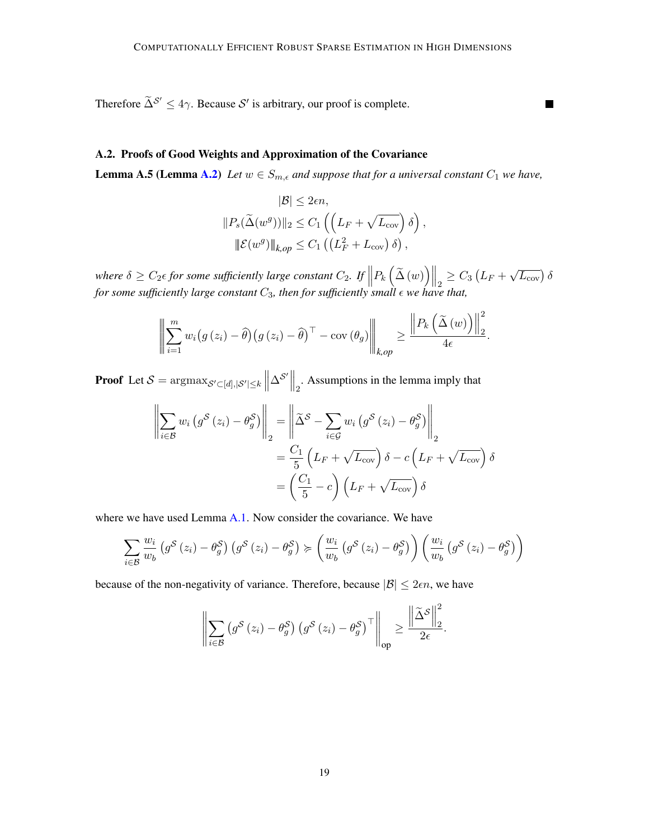■

Therefore  $\tilde{\Delta}^{\mathcal{S}'} \leq 4\gamma$ . Because  $\mathcal{S}'$  is arbitrary, our proof is complete.

## A.2. Proofs of Good Weights and Approximation of the Covariance

**Lemma A.5 (Lemma [A.2\)](#page-15-1)** *Let*  $w \in S_{m,\epsilon}$  *and suppose that for a universal constant*  $C_1$  *we have,* 

$$
|\mathcal{B}| \leq 2\epsilon n,
$$
  
\n
$$
||P_s(\tilde{\Delta}(w^g))||_2 \leq C_1 \left( \left( L_F + \sqrt{L_{\text{cov}}} \right) \delta \right),
$$
  
\n
$$
||\mathcal{E}(w^g)||_{k,op} \leq C_1 \left( \left( L_F^2 + L_{\text{cov}} \right) \delta \right),
$$

where  $\delta \geq C_2 \epsilon$  for some sufficiently large constant  $C_2$ . If  $||P_k(\tilde{\Delta}(w))||_2 \geq C_3 (L_F +$  $\sqrt{L_{\rm cov}}$ )  $\delta$ *for some sufficiently large constant* C3*, then for sufficiently small we have that,*

$$
\left\|\sum_{i=1}^m w_i(g(z_i)-\widehat{\theta})(g(z_i)-\widehat{\theta})^\top - \text{cov}(\theta_g)\right\|_{k,op} \geq \frac{\left\|P_k\left(\widetilde{\Delta}(w)\right)\right\|_2^2}{4\epsilon}.
$$

**Proof** Let  $S = \operatorname{argmax}_{S' \subset [d], |S'| \leq k}$  $\Delta^{\mathcal{S}'}\Big\|_2$ . Assumptions in the lemma imply that

$$
\left\| \sum_{i \in \mathcal{B}} w_i \left( g^{\mathcal{S}} \left( z_i \right) - \theta_g^{\mathcal{S}} \right) \right\|_2 = \left\| \widetilde{\Delta}^{\mathcal{S}} - \sum_{i \in \mathcal{G}} w_i \left( g^{\mathcal{S}} \left( z_i \right) - \theta_g^{\mathcal{S}} \right) \right\|_2
$$
  

$$
= \frac{C_1}{5} \left( L_F + \sqrt{L_{\text{cov}}} \right) \delta - c \left( L_F + \sqrt{L_{\text{cov}}} \right) \delta
$$
  

$$
= \left( \frac{C_1}{5} - c \right) \left( L_F + \sqrt{L_{\text{cov}}} \right) \delta
$$

where we have used Lemma [A.1.](#page-15-0) Now consider the covariance. We have

$$
\sum_{i \in \mathcal{B}} \frac{w_i}{w_b} \left( g^{\mathcal{S}} \left( z_i \right) - \theta_g^{\mathcal{S}} \right) \left( g^{\mathcal{S}} \left( z_i \right) - \theta_g^{\mathcal{S}} \right) \succcurlyeq \left( \frac{w_i}{w_b} \left( g^{\mathcal{S}} \left( z_i \right) - \theta_g^{\mathcal{S}} \right) \right) \left( \frac{w_i}{w_b} \left( g^{\mathcal{S}} \left( z_i \right) - \theta_g^{\mathcal{S}} \right) \right)
$$

because of the non-negativity of variance. Therefore, because  $|\mathcal{B}| \leq 2\epsilon n$ , we have

$$
\left\| \sum_{i \in \mathcal{B}} \left( g^{\mathcal{S}} \left( z_i \right) - \theta_g^{\mathcal{S}} \right) \left( g^{\mathcal{S}} \left( z_i \right) - \theta_g^{\mathcal{S}} \right)^{\top} \right\|_{op} \geq \frac{\left\| \widetilde{\Delta}^{\mathcal{S}} \right\|_2^2}{2\epsilon}.
$$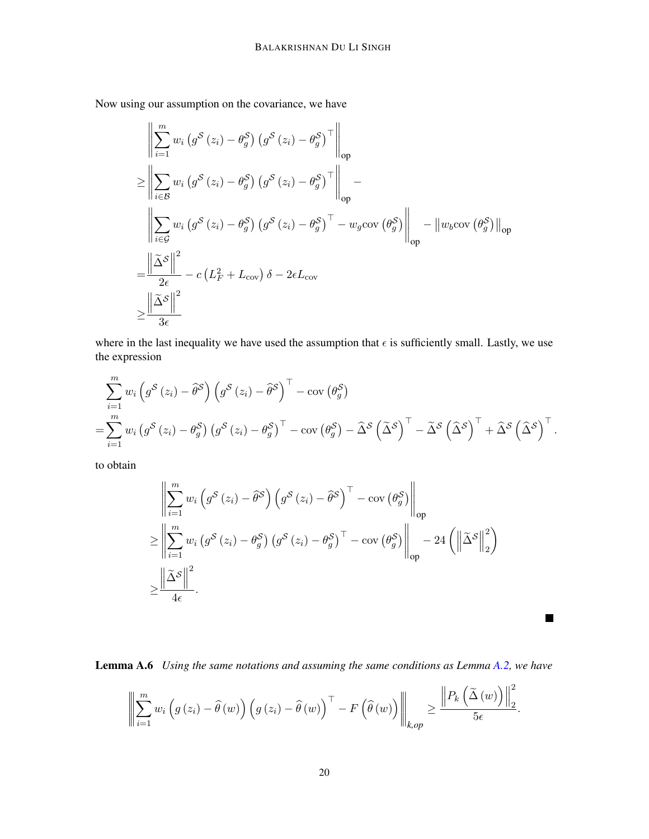Now using our assumption on the covariance, we have

$$
\left\| \sum_{i=1}^{m} w_i \left( g^S \left( z_i \right) - \theta_g^S \right) \left( g^S \left( z_i \right) - \theta_g^S \right)^\top \right\|_{op}
$$
\n
$$
\geq \left\| \sum_{i \in \mathcal{B}} w_i \left( g^S \left( z_i \right) - \theta_g^S \right) \left( g^S \left( z_i \right) - \theta_g^S \right)^\top \right\|_{op}
$$
\n
$$
\left\| \sum_{i \in \mathcal{G}} w_i \left( g^S \left( z_i \right) - \theta_g^S \right) \left( g^S \left( z_i \right) - \theta_g^S \right)^\top - w_g \text{cov} \left( \theta_g^S \right) \right\|_{op}
$$
\n
$$
= \frac{\left\| \tilde{\Delta}^S \right\|^2}{2\epsilon} - c \left( L_F^2 + L_{\text{cov}} \right) \delta - 2\epsilon L_{\text{cov}}
$$
\n
$$
\geq \frac{\left\| \tilde{\Delta}^S \right\|^2}{3\epsilon}
$$

where in the last inequality we have used the assumption that  $\epsilon$  is sufficiently small. Lastly, we use the expression

$$
\sum_{i=1}^{m} w_i \left( g^S(z_i) - \widehat{\theta}^S \right) \left( g^S(z_i) - \widehat{\theta}^S \right)^{\top} - \text{cov} \left( \theta_g^S \right)
$$
\n
$$
= \sum_{i=1}^{m} w_i \left( g^S(z_i) - \theta_g^S \right) \left( g^S(z_i) - \theta_g^S \right)^{\top} - \text{cov} \left( \theta_g^S \right) - \widehat{\Delta}^S \left( \widehat{\Delta}^S \right)^{\top} - \widehat{\Delta}^S \left( \widehat{\Delta}^S \right)^{\top} + \widehat{\Delta}^S \left( \widehat{\Delta}^S \right)^{\top}.
$$

to obtain

$$
\left\| \sum_{i=1}^{m} w_i \left( g^S \left( z_i \right) - \widehat{\theta}^S \right) \left( g^S \left( z_i \right) - \widehat{\theta}^S \right)^{\top} - \text{cov} \left( \theta_g^S \right) \right\|_{op}
$$
  
\n
$$
\geq \left\| \sum_{i=1}^{m} w_i \left( g^S \left( z_i \right) - \theta_g^S \right) \left( g^S \left( z_i \right) - \theta_g^S \right)^{\top} - \text{cov} \left( \theta_g^S \right) \right\|_{op} - 24 \left( \left\| \widetilde{\Delta}^S \right\|_2^2 \right)
$$
  
\n
$$
\geq \frac{\left\| \widetilde{\Delta}^S \right\|^2}{4\epsilon}.
$$

<span id="page-19-0"></span>Lemma A.6 *Using the same notations and assuming the same conditions as Lemma [A.2,](#page-15-1) we have*

 $\blacksquare$ 

$$
\left\|\sum_{i=1}^m w_i\left(g\left(z_i\right)-\widehat{\theta}\left(w\right)\right)\left(g\left(z_i\right)-\widehat{\theta}\left(w\right)\right)^{\top}-F\left(\widehat{\theta}\left(w\right)\right)\right\|_{k,op} \geq \frac{\left\|P_k\left(\widetilde{\Delta}\left(w\right)\right)\right\|_2^2}{5\epsilon}.
$$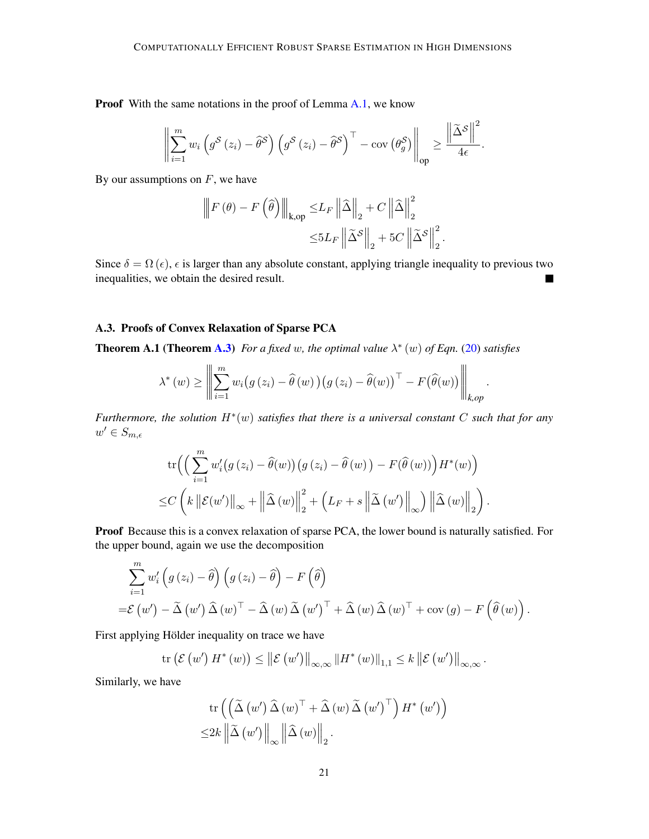Proof With the same notations in the proof of Lemma [A.1,](#page-15-0) we know

$$
\left\|\sum_{i=1}^m w_i\left(g^{\mathcal{S}}\left(z_i\right)-\widehat{\theta}^{\mathcal{S}}\right)\left(g^{\mathcal{S}}\left(z_i\right)-\widehat{\theta}^{\mathcal{S}}\right)^{\top}-\text{cov}\left(\theta_g^{\mathcal{S}}\right)\right\|_{\text{op}} \geq \frac{\left\|\widetilde{\Delta}^{\mathcal{S}}\right\|^2}{4\epsilon}.
$$

By our assumptions on  $F$ , we have

$$
\begin{aligned} \left\| F\left( \theta \right) - F\left( \widehat{\theta} \right) \right\|_{\mathbf{k},\mathsf{op}} &\leq & L_F \left\| \widehat{\Delta} \right\|_2 + C \left\| \widehat{\Delta} \right\|_2^2 \\ &\leq & 5 L_F \left\| \widetilde{\Delta}^{\mathcal{S}} \right\|_2 + 5 C \left\| \widetilde{\Delta}^{\mathcal{S}} \right\|_2^2. \end{aligned}
$$

Since  $\delta = \Omega(\epsilon)$ ,  $\epsilon$  is larger than any absolute constant, applying triangle inequality to previous two inequalities, we obtain the desired result.

# A.3. Proofs of Convex Relaxation of Sparse PCA

**Theorem A.1 (Theorem [A.3\)](#page-16-0)** For a fixed w, the optimal value  $\lambda^*(w)$  of Eqn. [\(20\)](#page-10-2) satisfies

$$
\lambda^*(w) \geq \left\| \sum_{i=1}^m w_i \big(g(z_i) - \widehat{\theta}(w)\big) \big(g(z_i) - \widehat{\theta}(w)\big)^\top - F(\widehat{\theta}(w)) \right\|_{k,op}.
$$

*Furthermore, the solution* H<sup>∗</sup> (w) *satisfies that there is a universal constant* C *such that for any*  $w' \in S_{m,\epsilon}$ 

$$
\operatorname{tr}\left(\left(\sum_{i=1}^{m} w'_{i}(g(z_{i}) - \widehat{\theta}(w))(g(z_{i}) - \widehat{\theta}(w)) - F(\widehat{\theta}(w))\right)H^{*}(w)\right) \leq C\left(k\left\|\mathcal{E}(w')\right\|_{\infty} + \left\|\widehat{\Delta}(w)\right\|_{2}^{2} + \left(L_{F} + s\left\|\widetilde{\Delta}(w')\right\|_{\infty}\right)\left\|\widehat{\Delta}(w)\right\|_{2}\right).
$$

Proof Because this is a convex relaxation of sparse PCA, the lower bound is naturally satisfied. For the upper bound, again we use the decomposition

$$
\sum_{i=1}^{m} w'_{i} \left(g\left(z_{i}\right)-\widehat{\theta}\right)\left(g\left(z_{i}\right)-\widehat{\theta}\right)-F\left(\widehat{\theta}\right)
$$
  
= $\mathcal{E}\left(w'\right)-\widetilde{\Delta}\left(w'\right)\widehat{\Delta}\left(w\right)^{\top}-\widehat{\Delta}\left(w\right)\widetilde{\Delta}\left(w'\right)^{\top}+\widehat{\Delta}\left(w\right)\widehat{\Delta}\left(w\right)^{\top}+\text{cov}\left(g\right)-F\left(\widehat{\theta}\left(w\right)\right).$ 

First applying Hölder inequality on trace we have

$$
\mathrm{tr}\left(\mathcal{E}\left(w'\right)H^*\left(w\right)\right)\leq \left\|\mathcal{E}\left(w'\right)\right\|_{\infty,\infty}\left\|H^*\left(w\right)\right\|_{1,1}\leq k\left\|\mathcal{E}\left(w'\right)\right\|_{\infty,\infty}.
$$

Similarly, we have

$$
\operatorname{tr}\left(\left(\widetilde{\Delta}\left(w'\right)\widehat{\Delta}\left(w\right)^{\top}+\widehat{\Delta}\left(w\right)\widetilde{\Delta}\left(w'\right)^{\top}\right)H^{*}\left(w'\right)\right) \leq 2k\left\|\widetilde{\Delta}\left(w'\right)\right\|_{\infty}\left\|\widehat{\Delta}\left(w\right)\right\|_{2}.
$$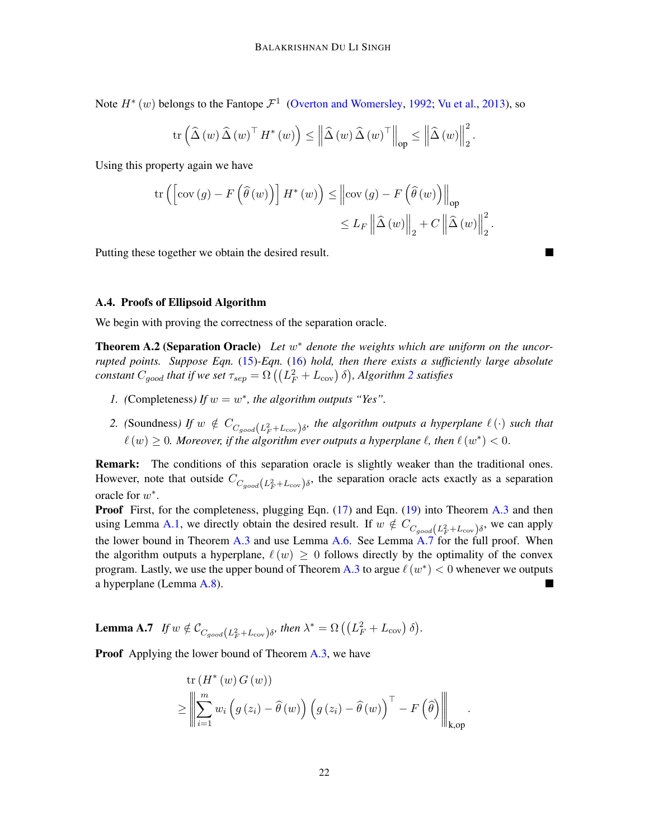Note  $H^*(w)$  belongs to the Fantope  $\mathcal{F}^1$  [\(Overton and Womersley,](#page-14-10) [1992;](#page-14-10) [Vu et al.,](#page-14-11) [2013\)](#page-14-11), so

$$
\mathrm{tr}\left(\widehat{\Delta}\left(w\right)\widehat{\Delta}\left(w\right)^{\top} H^{*}\left(w\right)\right) \leq \left\|\widehat{\Delta}\left(w\right)\widehat{\Delta}\left(w\right)^{\top}\right\|_{\mathrm{op}} \leq \left\|\widehat{\Delta}\left(w\right)\right\|_{2}^{2}.
$$

Using this property again we have

$$
\operatorname{tr}\left(\left[\operatorname{cov}\left(g\right)-F\left(\widehat{\theta}\left(w\right)\right)\right]H^{*}\left(w\right)\right) \leq \left\|\operatorname{cov}\left(g\right)-F\left(\widehat{\theta}\left(w\right)\right)\right\|_{\operatorname{op}}\leq L_{F}\left\|\widehat{\Delta}\left(w\right)\right\|_{2}+C\left\|\widehat{\Delta}\left(w\right)\right\|_{2}^{2}
$$

.

Putting these together we obtain the desired result.

## A.4. Proofs of Ellipsoid Algorithm

We begin with proving the correctness of the separation oracle.

**Theorem A.2 (Separation Oracle)** Let  $w^*$  denote the weights which are uniform on the uncor*rupted points. Suppose Eqn.* [\(15\)](#page-7-0)*-Eqn.* [\(16\)](#page-7-2) *hold, then there exists a sufficiently large absolute*  $\alpha$  *constant*  $C_{good}$  *that if we set*  $\tau_{sep} = \Omega\left(\left(L_F^2+L_{\rm cov}\right)\delta\right)$  $\tau_{sep} = \Omega\left(\left(L_F^2+L_{\rm cov}\right)\delta\right)$  $\tau_{sep} = \Omega\left(\left(L_F^2+L_{\rm cov}\right)\delta\right)$ *, Algorithm*  $2$  *satisfies* 

- *1.* (Completeness) If  $w = w^*$ , the algorithm outputs "Yes".
- 2. (Soundness) If  $w \notin C_{C_{good}(L_F^2+L_{cov})\delta}$ , the algorithm outputs a hyperplane  $\ell(\cdot)$  such that  $\ell(w) \geq 0$ . Moreover, if the algorithm ever outputs a hyperplane  $\ell$ , then  $\ell(w^*) < 0$ .

Remark: The conditions of this separation oracle is slightly weaker than the traditional ones. However, note that outside  $C_{C_{good}(L_F^2+L_{cov})\delta}$ , the separation oracle acts exactly as a separation oracle for  $w^*$ .

Proof First, for the completeness, plugging Eqn. [\(17\)](#page-7-4) and Eqn. [\(19\)](#page-7-1) into Theorem [A.3](#page-16-0) and then using Lemma [A.1,](#page-15-0) we directly obtain the desired result. If  $w \notin C_{C_{good}(L_F^2 + L_{cov})\delta}$ , we can apply the lower bound in Theorem [A.3](#page-16-0) and use Lemma [A.6.](#page-19-0) See Lemma [A.7](#page-21-0) for the full proof. When the algorithm outputs a hyperplane,  $\ell(w) > 0$  follows directly by the optimality of the convex program. Lastly, we use the upper bound of Theorem [A.3](#page-16-0) to argue  $\ell(w^*) < 0$  whenever we outputs a hyperplane (Lemma [A.8\)](#page-22-0).

<span id="page-21-0"></span>**Lemma A.7** *If*  $w \notin C_{C_{good}(L_F^2 + L_{cov})\delta}$ *, then*  $\lambda^* = \Omega\left(\left(L_F^2 + L_{cov}\right)\delta\right)$ *.* 

**Proof** Applying the lower bound of Theorem [A.3,](#page-16-0) we have

$$
\operatorname{tr} (H^*(w) G(w))
$$
\n
$$
\geq \left\| \sum_{i=1}^m w_i \left( g(z_i) - \widehat{\theta}(w) \right) \left( g(z_i) - \widehat{\theta}(w) \right)^\top - F\left( \widehat{\theta} \right) \right\|_{k, \text{op}}.
$$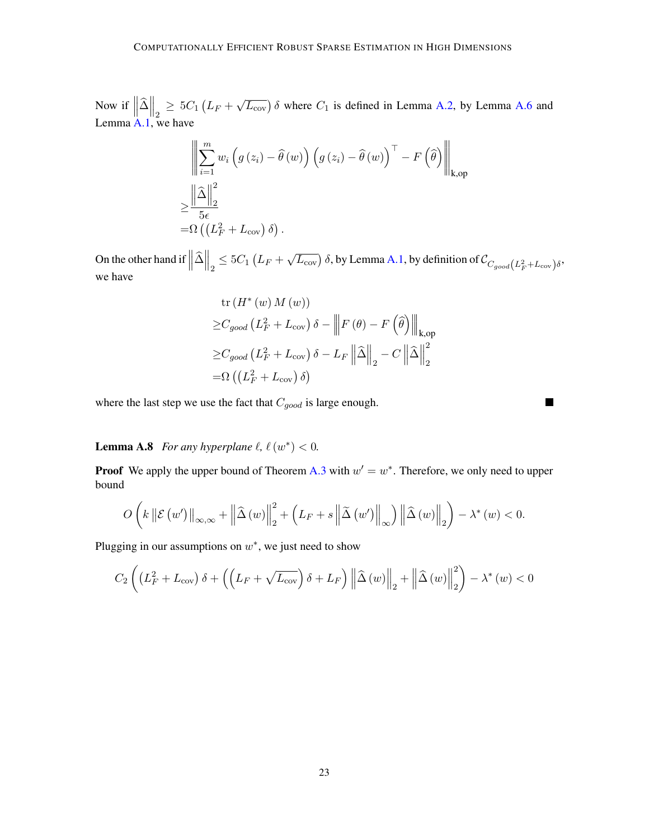Now if  $\left\| \widehat{\Delta} \right\|_2 \geq 5C_1 \left( L_F +$  $\sqrt{L_{\text{cov}}}$ )  $\delta$  where  $C_1$  is defined in Lemma [A.2,](#page-15-1) by Lemma [A.6](#page-19-0) and Lemma [A.1,](#page-15-0) we have

$$
\left\| \sum_{i=1}^{m} w_i \left( g \left( z_i \right) - \widehat{\theta} \left( w \right) \right) \left( g \left( z_i \right) - \widehat{\theta} \left( w \right) \right)^{\top} - F \left( \widehat{\theta} \right) \right\|_{\text{k,op}}
$$
  

$$
\geq \frac{\left\| \widehat{\Delta} \right\|_2^2}{5\epsilon}
$$
  

$$
= \Omega \left( \left( L_F^2 + L_{\text{cov}} \right) \delta \right).
$$

On the other hand if  $\left\|\hat{\Delta}\right\|_2 \leq 5C_1\left(L_F +$  $\sqrt{L_{\text{cov}}}$ )  $\delta$ , by Lemma [A.1,](#page-15-0) by definition of  $\mathcal{C}_{C_{good}(L_F^2+L_{\text{cov}})\delta}$ , we have

tr 
$$
(H^*(w) M(w))
$$
  
\n $\geq C_{good} (L_F^2 + L_{cov}) \delta - ||F(\theta) - F(\hat{\theta})||_{k,op}$   
\n $\geq C_{good} (L_F^2 + L_{cov}) \delta - L_F ||\hat{\Delta}||_2 - C ||\hat{\Delta}||_2^2$   
\n $= \Omega ((L_F^2 + L_{cov}) \delta)$ 

 $\blacksquare$ 

<span id="page-22-0"></span>where the last step we use the fact that  $C_{good}$  is large enough.

**Lemma A.8** *For any hyperplane*  $\ell$ ,  $\ell(w^*) < 0$ .

**Proof** We apply the upper bound of Theorem [A.3](#page-16-0) with  $w' = w^*$ . Therefore, we only need to upper bound

$$
O\left(k\left\|\mathcal{E}\left(w'\right)\right\|_{\infty,\infty}+\left\|\widehat{\Delta}\left(w\right)\right\|_{2}^{2}+\left(L_{F}+s\left\|\widetilde{\Delta}\left(w'\right)\right\|_{\infty}\right)\left\|\widehat{\Delta}\left(w\right)\right\|_{2}\right)-\lambda^{*}\left(w\right)<0.
$$

Plugging in our assumptions on  $w^*$ , we just need to show

$$
C_2\left(\left(L_F^2 + L_{\text{cov}}\right)\delta + \left(\left(L_F + \sqrt{L_{\text{cov}}}\right)\delta + L_F\right) \left\|\hat{\Delta}\left(w\right)\right\|_2 + \left\|\hat{\Delta}\left(w\right)\right\|_2^2\right) - \lambda^*\left(w\right) < 0
$$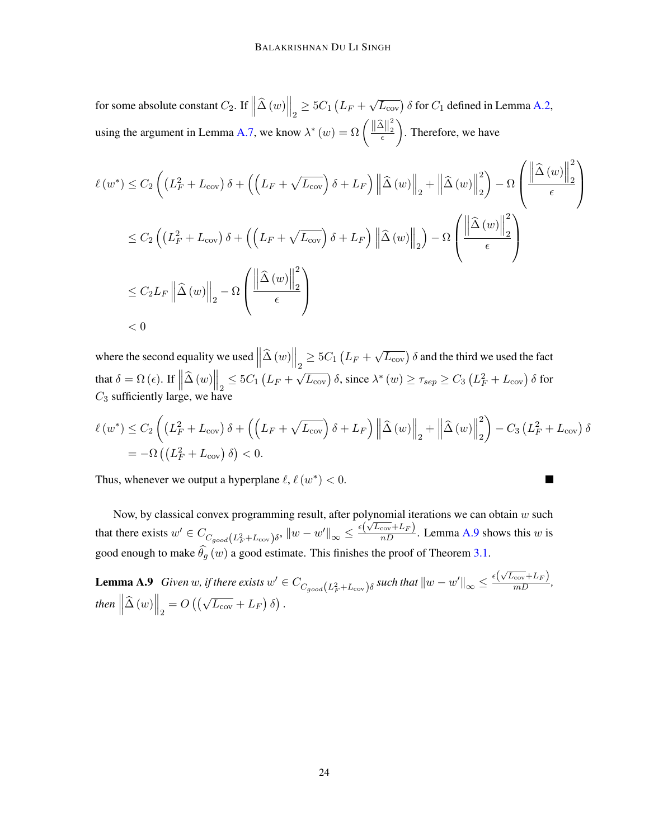for some absolute constant  $C_2$ . If  $\left\|\widehat{\Delta}(w)\right\|_2 \geq 5C_1 \left(L_F +$  $\sqrt{L_{\text{cov}}}$ )  $\delta$  for  $C_1$  defined in Lemma [A.2,](#page-15-1) using the argument in Lemma [A.7,](#page-21-0) we know  $\lambda^*(w) = \Omega \left( \frac{\|\hat{\Delta}\|_2^2}{\epsilon} \right)$  $\frac{-11}{\epsilon}$ . Therefore, we have

$$
\ell(w^*) \leq C_2 \left( \left( L_F^2 + L_{\text{cov}} \right) \delta + \left( \left( L_F + \sqrt{L_{\text{cov}}} \right) \delta + L_F \right) \left\| \hat{\Delta}(w) \right\|_2 + \left\| \hat{\Delta}(w) \right\|_2^2 \right) - \Omega \left( \frac{\left\| \hat{\Delta}(w) \right\|_2^2}{\epsilon} \right)
$$
  

$$
\leq C_2 \left( \left( L_F^2 + L_{\text{cov}} \right) \delta + \left( \left( L_F + \sqrt{L_{\text{cov}}} \right) \delta + L_F \right) \left\| \hat{\Delta}(w) \right\|_2 \right) - \Omega \left( \frac{\left\| \hat{\Delta}(w) \right\|_2^2}{\epsilon} \right)
$$
  

$$
\leq C_2 L_F \left\| \hat{\Delta}(w) \right\|_2 - \Omega \left( \frac{\left\| \hat{\Delta}(w) \right\|_2^2}{\epsilon} \right)
$$
  

$$
< 0
$$

where the second equality we used  $\left\|\hat{\Delta}(w)\right\|_2 \ge 5C_1(L_F +$  $\sqrt{L_{\text{cov}}}$ )  $\delta$  and the third we used the fact that  $\delta = \Omega(\epsilon)$ . If  $\left\| \widehat{\Delta}(w) \right\|_2 \leq 5C_1 \left( L_F +$  $\sqrt{L_{\rm cov}}$ ) δ, since  $\lambda^*$   $(w) \ge \tau_{sep} \ge C_3 \left( L_F^2 + L_{\rm cov} \right)$  δ for  $C_3$  sufficiently large, we have

$$
\ell(w^*) \leq C_2 \left( \left( L_F^2 + L_{\text{cov}} \right) \delta + \left( \left( L_F + \sqrt{L_{\text{cov}}} \right) \delta + L_F \right) \left\| \hat{\Delta}(w) \right\|_2 + \left\| \hat{\Delta}(w) \right\|_2^2 \right) - C_3 \left( L_F^2 + L_{\text{cov}} \right) \delta
$$
  
= -\Omega \left( \left( L\_F^2 + L\_{\text{cov}} \right) \delta \right) < 0.

<span id="page-23-0"></span>L.

Thus, whenever we output a hyperplane  $\ell$ ,  $\ell(w^*) < 0$ .

Now, by classical convex programming result, after polynomial iterations we can obtain  $w$  such that there exists  $w' \in C_{C_{good}}(L_F^2 + L_{cov})\delta$ ,  $||w - w'||_{\infty} \le \frac{\epsilon(\sqrt{L_{cov}} + L_F)}{nD}$ . Lemma [A.9](#page-23-0) shows this w is good enough to make  $\widehat{\theta}_q(w)$  a good estimate. This finishes the proof of Theorem [3.1.](#page-6-0)

**Lemma A.9** *Given w, if there exists*  $w' \in C_{C_{good}(L_F^2 + L_{cov})\delta}$  *such that*  $||w - w'||_{\infty} \leq \frac{\epsilon(\sqrt{L_{cov}} + L_F)}{mD}$ , then  $\left\| \widehat{\Delta}\left({w}\right) \right\|_2 = O\left(\left(\sqrt{L_{\rm cov}} + L_F\right)\delta\right).$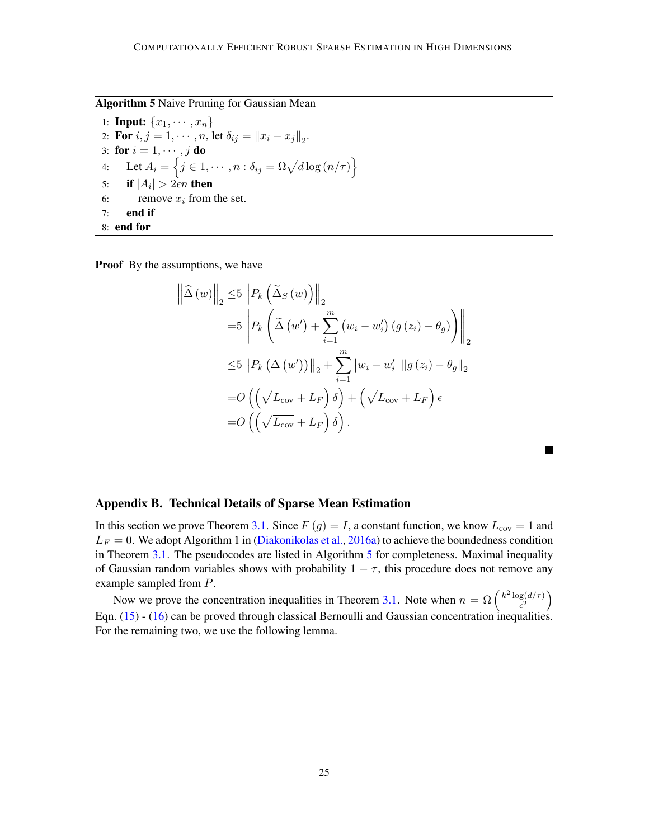<span id="page-24-1"></span>Algorithm 5 Naive Pruning for Gaussian Mean

1: **Input:**  $\{x_1, \dots, x_n\}$ 2: **For**  $i, j = 1, \dots, n$ , let  $\delta_{ij} = ||x_i - x_j||_2$ . 3: for  $i = 1, \dots, j$  do 4: Let  $A_i = \left\{ j \in 1, \dots, n : \delta_{ij} = \Omega \sqrt{d \log(n/\tau)} \right\}$ 5: if  $|A_i| > 2\epsilon n$  then 6: remove  $x_i$  from the set. 7: end if 8: end for

**Proof** By the assumptions, we have

$$
\left\| \hat{\Delta} \left( w \right) \right\|_2 \le 5 \left\| P_k \left( \tilde{\Delta}_S \left( w \right) \right) \right\|_2
$$
  
\n
$$
= 5 \left\| P_k \left( \tilde{\Delta} \left( w' \right) + \sum_{i=1}^m \left( w_i - w'_i \right) \left( g \left( z_i \right) - \theta_g \right) \right) \right\|_2
$$
  
\n
$$
\le 5 \left\| P_k \left( \Delta \left( w' \right) \right) \right\|_2 + \sum_{i=1}^m \left| w_i - w'_i \right| \left\| g \left( z_i \right) - \theta_g \right\|_2
$$
  
\n
$$
= O \left( \left( \sqrt{L_{\text{cov}}} + L_F \right) \delta \right) + \left( \sqrt{L_{\text{cov}}} + L_F \right) \epsilon
$$
  
\n
$$
= O \left( \left( \sqrt{L_{\text{cov}}} + L_F \right) \delta \right).
$$

 $\blacksquare$ 

<span id="page-24-0"></span>

|  | Appendix B. Technical Details of Sparse Mean Estimation |  |  |  |  |
|--|---------------------------------------------------------|--|--|--|--|
|--|---------------------------------------------------------|--|--|--|--|

In this section we prove Theorem [3.1.](#page-7-5) Since  $F(g) = I$ , a constant function, we know  $L_{\text{cov}} = 1$  and  $L_F = 0$ . We adopt Algorithm 1 in [\(Diakonikolas et al.,](#page-13-6) [2016a\)](#page-13-6) to achieve the boundedness condition in Theorem [3.1.](#page-6-0) The pseudocodes are listed in Algorithm [5](#page-24-1) for completeness. Maximal inequality of Gaussian random variables shows with probability  $1 - \tau$ , this procedure does not remove any example sampled from P.

<span id="page-24-2"></span>Now we prove the concentration inequalities in Theorem [3.1.](#page-6-0) Note when  $n = \Omega \left( \frac{k^2 \log(d/\tau)}{\epsilon^2} \right)$  $\frac{g(d/\tau)}{\epsilon^2}\bigg)$ Eqn. [\(15\)](#page-7-0) - [\(16\)](#page-7-2) can be proved through classical Bernoulli and Gaussian concentration inequalities. For the remaining two, we use the following lemma.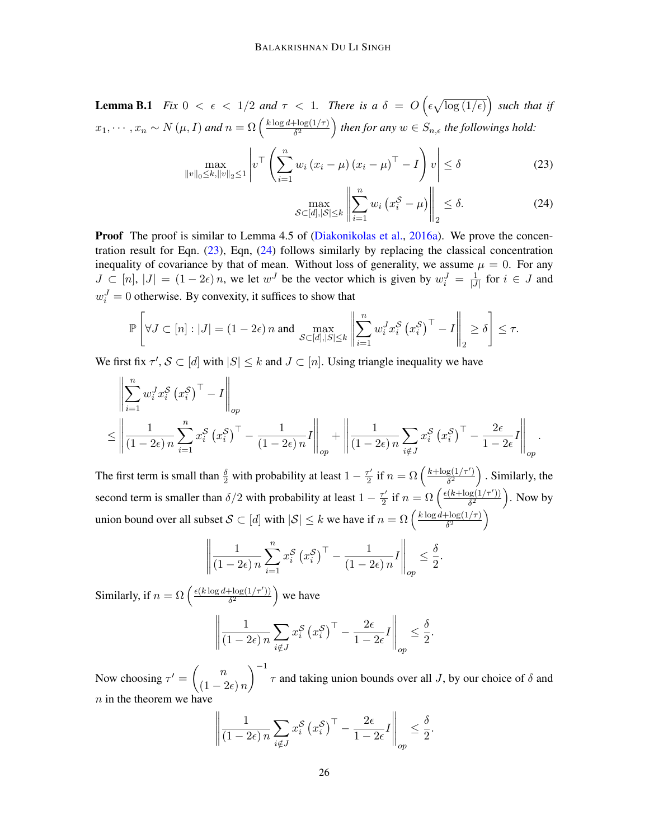**Lemma B.1** *Fix*  $0 < \epsilon < 1/2$  *and*  $\tau < 1$ *. There is a*  $\delta = O\left(\epsilon \sqrt{\log(1/\epsilon)}\right)$  *such that if*  $x_1, \cdots, x_n \sim N(\mu, I)$  and  $n = \Omega\left(\frac{k \log d + \log(1/\tau)}{\delta^2}\right)$  $\frac{\text{diag}(1/\tau)}{\delta^2}$  then for any  $w \in S_{n,\epsilon}$  the followings hold:

$$
\max_{\|v\|_{0} \leq k, \|v\|_{2} \leq 1} \left| v^{\top} \left( \sum_{i=1}^{n} w_{i} \left( x_{i} - \mu \right) \left( x_{i} - \mu \right)^{\top} - I \right) v \right| \leq \delta \tag{23}
$$

<span id="page-25-1"></span><span id="page-25-0"></span>
$$
\max_{\mathcal{S}\subset[d],|\mathcal{S}|\leq k} \left\| \sum_{i=1}^n w_i \left( x_i^{\mathcal{S}} - \mu \right) \right\|_2 \leq \delta. \tag{24}
$$

**Proof** The proof is similar to Lemma 4.5 of [\(Diakonikolas et al.,](#page-13-6) [2016a\)](#page-13-6). We prove the concentration result for Eqn.  $(23)$ , Eqn,  $(24)$  follows similarly by replacing the classical concentration inequality of covariance by that of mean. Without loss of generality, we assume  $\mu = 0$ . For any  $J \subset [n], |J| = (1 - 2\epsilon) n$ , we let  $w<sup>J</sup>$  be the vector which is given by  $w<sub>i</sub><sup>J</sup> = \frac{1}{|J|}$  $\frac{1}{|J|}$  for  $i \in J$  and  $w_i^J = 0$  otherwise. By convexity, it suffices to show that

$$
\mathbb{P}\left[\forall J \subset [n] : |J| = (1 - 2\epsilon) n \text{ and } \max_{\mathcal{S} \subset [d], |S| \le k} \left\| \sum_{i=1}^n w_i^J x_i^{\mathcal{S}} \left(x_i^{\mathcal{S}}\right)^\top - I \right\|_2 \ge \delta \right] \le \tau.
$$

We first fix  $\tau'$ ,  $\mathcal{S} \subset [d]$  with  $|S| \leq k$  and  $J \subset [n]$ . Using triangle inequality we have

$$
\left\| \sum_{i=1}^{n} w_i^J x_i^S \left( x_i^S \right)^{\top} - I \right\|_{op}
$$
  

$$
\leq \left\| \frac{1}{(1 - 2\epsilon)n} \sum_{i=1}^{n} x_i^S \left( x_i^S \right)^{\top} - \frac{1}{(1 - 2\epsilon)n} I \right\|_{op} + \left\| \frac{1}{(1 - 2\epsilon)n} \sum_{i \notin J} x_i^S \left( x_i^S \right)^{\top} - \frac{2\epsilon}{1 - 2\epsilon} I \right\|_{op}.
$$

The first term is small than  $\frac{\delta}{2}$  with probability at least  $1 - \frac{\tau'}{2}$  $\frac{\tau'}{2}$  if  $n = \Omega\left(\frac{k + \log(1/\tau')}{\delta^2}\right)$  $\frac{g(1/\tau')}{\delta^2}$  . Similarly, the second term is smaller than  $\delta/2$  with probability at least  $1 - \frac{\tau'}{2}$  $\frac{\tau'}{2}$  if  $n = \Omega\left(\frac{\epsilon(k+\log(1/\tau'))}{\delta^2}\right)$  $\frac{\log(1/\tau')}{\delta^2}$ ). Now by union bound over all subset  $S \subset [d]$  with  $|S| \leq k$  we have if  $n = \Omega \left( \frac{k \log d + \log(1/\tau)}{\delta^2} \right)$  $rac{\log(1/\tau)}{\delta^2}$ 

$$
\left\| \frac{1}{(1-2\epsilon)n} \sum_{i=1}^{n} x_i^{\mathcal{S}} \left( x_i^{\mathcal{S}} \right)^{\top} - \frac{1}{(1-2\epsilon)n} I \right\|_{op} \le \frac{\delta}{2}.
$$

Similarly, if  $n = \Omega \left( \frac{\epsilon(k \log d + \log(1/\tau'))}{\delta^2} \right)$  $\frac{\log(1/\tau')}{\delta^2}$  we have

$$
\left\| \frac{1}{(1 - 2\epsilon)n} \sum_{i \notin J} x_i^{\mathcal{S}} \left( x_i^{\mathcal{S}} \right)^{\top} - \frac{2\epsilon}{1 - 2\epsilon} I \right\|_{op} \le \frac{\delta}{2}.
$$

Now choosing  $\tau' = \begin{pmatrix} n \\ n \end{pmatrix}$  $(1 - 2\epsilon) n$  $\int_{0}^{-1} \tau$  and taking union bounds over all *J*, by our choice of  $\delta$  and  $n$  in the theorem we have

$$
\left\| \frac{1}{(1-2\epsilon)n} \sum_{i \notin J} x_i^{\mathcal{S}} \left( x_i^{\mathcal{S}} \right)^{\top} - \frac{2\epsilon}{1-2\epsilon} I \right\|_{op} \le \frac{\delta}{2}.
$$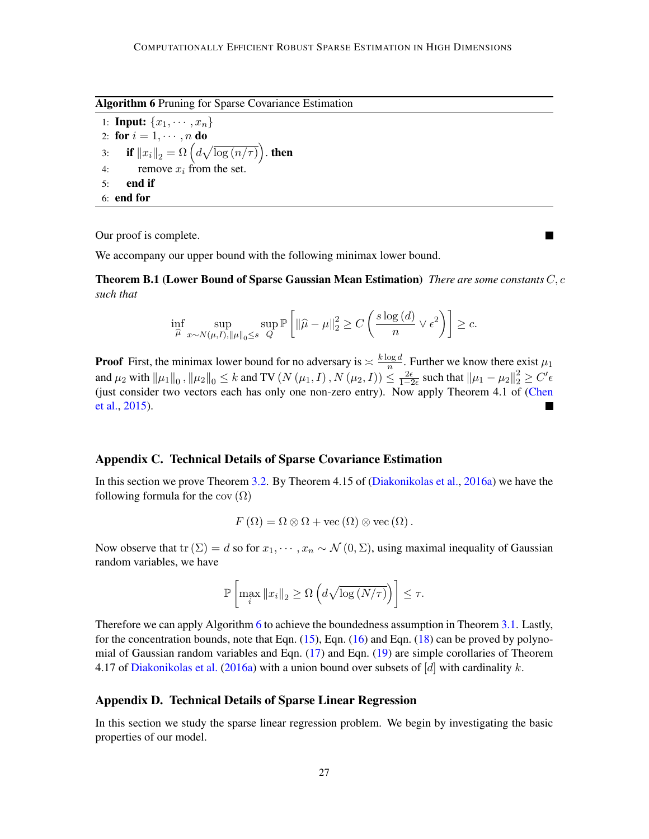<span id="page-26-0"></span>Algorithm 6 Pruning for Sparse Covariance Estimation

1: **Input:**  $\{x_1, \dots, x_n\}$ 2: for  $i = 1, \dots, n$  do 3: if  $\left\|x_{i}\right\|_{2} = \Omega\left(d\sqrt{\log\left(n/\tau\right)}\right)$ . then 4: remove  $x_i$  from the set. 5: end if 6: end for

Our proof is complete.

We accompany our upper bound with the following minimax lower bound.

Theorem B.1 (Lower Bound of Sparse Gaussian Mean Estimation) *There are some constants* C, c *such that*

$$
\inf_{\widehat{\mu}} \sup_{x \sim N(\mu, I), ||\mu||_0 \le s} \sup_{Q} \mathbb{P}\left[ ||\widehat{\mu} - \mu||_2^2 \ge C\left(\frac{s\log\left(d\right)}{n} \vee \epsilon^2\right) \right] \ge c.
$$

**Proof** First, the minimax lower bound for no adversary is  $\frac{\times \log d}{n}$  $\frac{\log a}{n}$ . Further we know there exist  $\mu_1$ and  $\mu_2$  with  $\|\mu_1\|_0$  ,  $\|\mu_2\|_0 \leq k$  and TV  $(N(\mu_1, I)$  ,  $N(\mu_2, I)) \leq \frac{2\epsilon}{1-2\epsilon}$  such that  $\|\mu_1 - \mu_2\|_2^2 \geq C'\epsilon$ (just consider two vectors each has only one non-zero entry). Now apply Theorem 4.1 of [\(Chen](#page-13-3) [et al.,](#page-13-3) [2015\)](#page-13-3).

## Appendix C. Technical Details of Sparse Covariance Estimation

In this section we prove Theorem [3.2.](#page-8-0) By Theorem 4.15 of [\(Diakonikolas et al.,](#page-13-6) [2016a\)](#page-13-6) we have the following formula for the cov  $(\Omega)$ 

$$
F(\Omega) = \Omega \otimes \Omega + \text{vec}(\Omega) \otimes \text{vec}(\Omega).
$$

Now observe that tr  $(\Sigma) = d$  so for  $x_1, \dots, x_n \sim \mathcal{N}(0, \Sigma)$ , using maximal inequality of Gaussian random variables, we have

$$
\mathbb{P}\left[\max_{i} \|x_{i}\|_{2} \geq \Omega\left(d\sqrt{\log\left(N/\tau\right)}\right)\right] \leq \tau.
$$

Therefore we can apply Algorithm [6](#page-26-0) to achieve the boundedness assumption in Theorem [3.1.](#page-6-0) Lastly, for the concentration bounds, note that Eqn. [\(15\)](#page-7-0), Eqn. [\(16\)](#page-7-2) and Eqn. [\(18\)](#page-7-3) can be proved by polynomial of Gaussian random variables and Eqn. [\(17\)](#page-7-4) and Eqn. [\(19\)](#page-7-1) are simple corollaries of Theorem 4.17 of [Diakonikolas et al.](#page-13-6) [\(2016a\)](#page-13-6) with a union bound over subsets of  $d$  with cardinality k.

## Appendix D. Technical Details of Sparse Linear Regression

<span id="page-26-1"></span>In this section we study the sparse linear regression problem. We begin by investigating the basic properties of our model.

П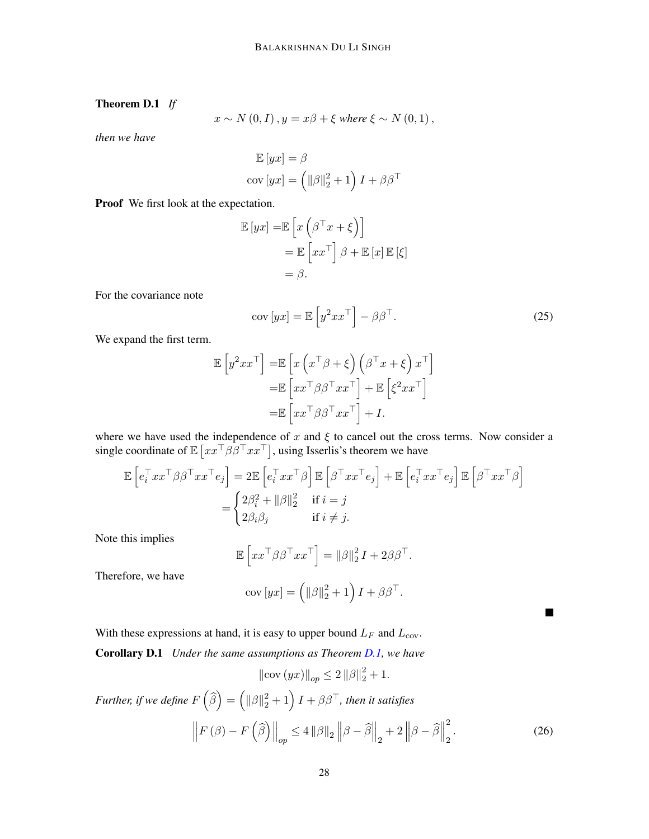# Theorem D.1 *If*

$$
x \sim N(0, I), y = x\beta + \xi \text{ where } \xi \sim N(0, 1),
$$

*then we have*

$$
\mathbb{E}[yx] = \beta
$$
  
cov [yx] =  $(\|\beta\|_2^2 + 1) I + \beta \beta^{\top}$ 

Proof We first look at the expectation.

$$
\mathbb{E}[yx] = \mathbb{E}\left[x\left(\beta^{\top}x + \xi\right)\right]
$$

$$
= \mathbb{E}\left[xx^{\top}\right]\beta + \mathbb{E}\left[x\right]\mathbb{E}\left[\xi\right]
$$

$$
= \beta.
$$

For the covariance note

$$
cov [yx] = \mathbb{E} \left[ y^2 x x^\top \right] - \beta \beta^\top. \tag{25}
$$

 $\blacksquare$ 

We expand the first term.

$$
\mathbb{E}\left[y^2xx^\top\right] = \mathbb{E}\left[x\left(x^\top \beta + \xi\right)\left(\beta^\top x + \xi\right)x^\top\right] \n= \mathbb{E}\left[xx^\top \beta \beta^\top xx^\top\right] + \mathbb{E}\left[\xi^2 xx^\top\right] \n= \mathbb{E}\left[xx^\top \beta \beta^\top xx^\top\right] + I.
$$

where we have used the independence of x and  $\xi$  to cancel out the cross terms. Now consider a single coordinate of  $\mathbb{E} \left[xx^\top \beta \beta^\top xx^\top\right]$ , using Isserlis's theorem we have

$$
\mathbb{E}\left[e_i^\top xx^\top \beta \beta^\top xx^\top e_j\right] = 2\mathbb{E}\left[e_i^\top xx^\top \beta\right] \mathbb{E}\left[\beta^\top xx^\top e_j\right] + \mathbb{E}\left[e_i^\top xx^\top e_j\right] \mathbb{E}\left[\beta^\top xx^\top \beta\right] \\
= \begin{cases} 2\beta_i^2 + \|\beta\|_2^2 & \text{if } i = j \\ 2\beta_i\beta_j & \text{if } i \neq j. \end{cases}\n\end{cases}
$$

Note this implies

$$
\mathbb{E}\left[xx^{\top}\beta\beta^{\top}xx^{\top}\right] = ||\beta||_2^2 I + 2\beta\beta^{\top}.
$$

Therefore, we have

$$
cov [yx] = \left( \|\beta\|_2^2 + 1 \right) I + \beta \beta^{\top}.
$$

With these expressions at hand, it is easy to upper bound  $L_F$  and  $L_{\text{cov}}$ .

Corollary D.1 *Under the same assumptions as Theorem [D.1,](#page-26-1) we have*

$$
\|\text{cov} (yx)\|_{op} \le 2 \|\beta\|_2^2 + 1.
$$

Further, if we define  $F\left(\widehat{\beta}\right)=\left(\|\beta\|_2^2+1\right)I+\beta\beta^{\top}$ , then it satisfies  $\begin{array}{c} \hline \end{array}$  $F(\beta) - F(\widehat{\beta})\Big\|_{op} \leq 4 \|\beta\|_2 \left\|\beta - \widehat{\beta}\right\|_2 + 2 \left\|\beta - \widehat{\beta}\right\|_2$ 2 2 . (26)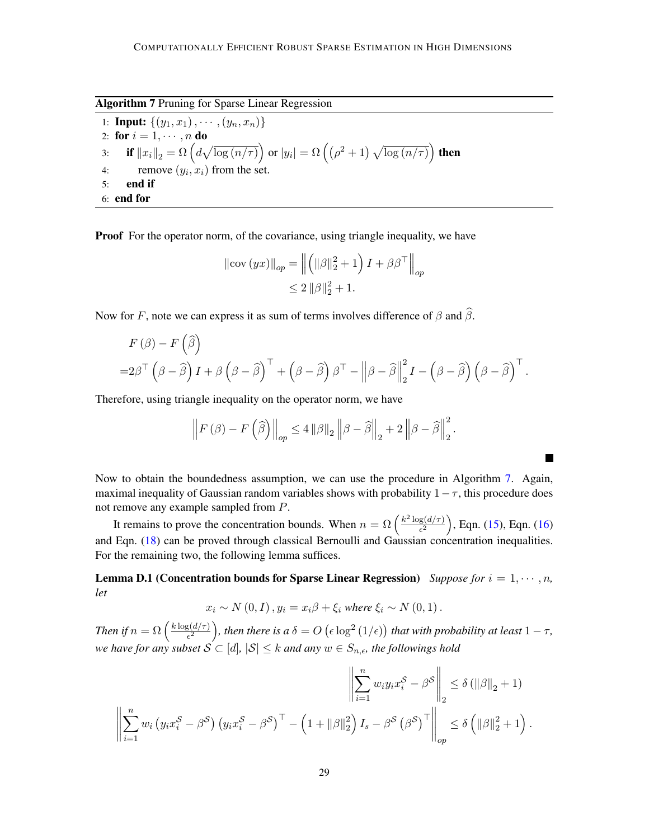<span id="page-28-0"></span>Algorithm 7 Pruning for Sparse Linear Regression

1: **Input:**  $\{(y_1, x_1), \cdots, (y_n, x_n)\}\$ 2: for  $i = 1, \dots, n$  do 3: if  $\left\|x_{i}\right\|_{2}=\Omega\left(d\sqrt{\log\left(n/\tau\right)}\right)$  or  $|y_{i}|=\Omega\left(\left(\rho^{2}+1\right)\sqrt{\log\left(n/\tau\right)}\right)$  then 4: remove  $(y_i, x_i)$  from the set. 5: end if 6: end for

Proof For the operator norm, of the covariance, using triangle inequality, we have

$$
\|\text{cov}\left(yx\right)\|_{op} = \left\| \left( \|\beta\|_2^2 + 1 \right) I + \beta \beta^{\top} \right\|_{op}
$$
  

$$
\leq 2 \|\beta\|_2^2 + 1.
$$

Now for F, note we can express it as sum of terms involves difference of  $\beta$  and  $\widehat{\beta}$ .

$$
F(\beta) - F(\widehat{\beta})
$$
  
=2 $\beta^{\top} (\beta - \widehat{\beta}) I + \beta (\beta - \widehat{\beta})^{\top} + (\beta - \widehat{\beta}) \beta^{\top} - ||\beta - \widehat{\beta}||_2^2 I - (\beta - \widehat{\beta}) (\beta - \widehat{\beta})^{\top}.$ 

Therefore, using triangle inequality on the operator norm, we have

$$
\left\| F\left(\beta\right) - F\left(\widehat{\beta}\right) \right\|_{op} \le 4 \left\| \beta \right\|_2 \left\| \beta - \widehat{\beta} \right\|_2 + 2 \left\| \beta - \widehat{\beta} \right\|_2^2.
$$

٦

Now to obtain the boundedness assumption, we can use the procedure in Algorithm [7.](#page-28-0) Again, maximal inequality of Gaussian random variables shows with probability  $1-\tau$ , this procedure does not remove any example sampled from P.

It remains to prove the concentration bounds. When  $n = \Omega \left( \frac{k^2 \log(d/\tau)}{\epsilon^2} \right)$  $\frac{g(d/\tau)}{\epsilon^2}$ ), Eqn. [\(15\)](#page-7-0), Eqn. [\(16\)](#page-7-2) and Eqn. [\(18\)](#page-7-3) can be proved through classical Bernoulli and Gaussian concentration inequalities. For the remaining two, the following lemma suffices.

**Lemma D.1** (Concentration bounds for Sparse Linear Regression) *Suppose for*  $i = 1, \dots, n$ , *let*

$$
x_i \sim N(0, I), y_i = x_i \beta + \xi_i \text{ where } \xi_i \sim N(0, 1).
$$

*Then if*  $n = \Omega\left(\frac{k \log(d/\tau)}{\epsilon^2}\right)$  $\frac{g(d/\tau)}{\epsilon^2}$ ), then there is a  $\delta = O\left(\epsilon\log^2\left(1/\epsilon\right)\right)$  that with probability at least  $1-\tau,$ *we have for any subset*  $S \subseteq [d]$ ,  $|S| \leq k$  *and any*  $w \in S_{n,\epsilon}$ , *the followings hold* 

$$
\left\| \sum_{i=1}^{n} w_i y_i x_i^{\mathcal{S}} - \beta^{\mathcal{S}} \right\|_2 \le \delta \left( \|\beta\|_2 + 1 \right)
$$
  

$$
\left\| \sum_{i=1}^{n} w_i y_i x_i^{\mathcal{S}} - \beta^{\mathcal{S}} \right\|_2 \le \delta \left( \|\beta\|_2 + 1 \right).
$$
  

$$
\left\| \sum_{i=1}^{n} w_i (y_i x_i^{\mathcal{S}} - \beta^{\mathcal{S}}) \left( y_i x_i^{\mathcal{S}} - \beta^{\mathcal{S}} \right)^{\top} - \left( 1 + \|\beta\|_2^2 \right) I_s - \beta^{\mathcal{S}} \left( \beta^{\mathcal{S}} \right)^{\top} \right\|_{op} \le \delta \left( \|\beta\|_2^2 + 1 \right).
$$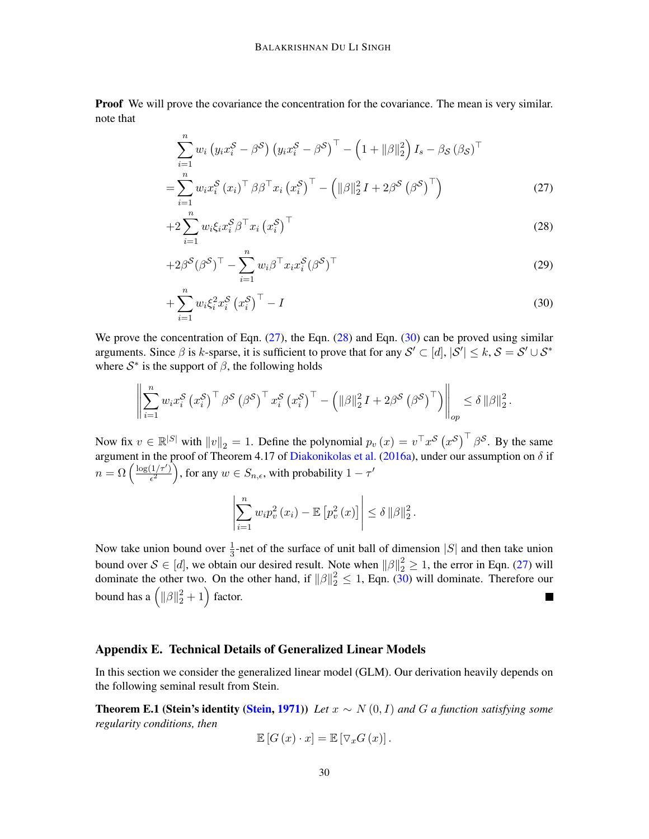**Proof** We will prove the covariance the concentration for the covariance. The mean is very similar. note that

$$
\sum_{i=1}^{n} w_i \left( y_i x_i^S - \beta^S \right) \left( y_i x_i^S - \beta^S \right)^{\top} - \left( 1 + ||\beta||_2^2 \right) I_s - \beta_S \left( \beta_S \right)^{\top}
$$

$$
= \sum_{i=1}^{n} w_i x_i^S \left( x_i \right)^{\top} \beta \beta^{\top} x_i \left( x_i^S \right)^{\top} - \left( ||\beta||_2^2 I + 2\beta^S \left( \beta^S \right)^{\top} \right) \tag{27}
$$

<span id="page-29-2"></span><span id="page-29-1"></span>
$$
+2\sum_{i=1}^{n}w_{i}\xi_{i}x_{i}^{\mathcal{S}}\beta^{\top}x_{i}\left(x_{i}^{\mathcal{S}}\right)^{\top}
$$
\n
$$
(28)
$$

$$
+2\beta^{\mathcal{S}}(\beta^{\mathcal{S}})^{\top} - \sum_{i=1}^{n} w_i \beta^{\top} x_i x_i^{\mathcal{S}}(\beta^{\mathcal{S}})^{\top}
$$
\n(29)

$$
+\sum_{i=1}^{n} w_i \xi_i^2 x_i^{\mathcal{S}} \left(x_i^{\mathcal{S}}\right)^{\top} - I \tag{30}
$$

We prove the concentration of Eqn. [\(27\)](#page-29-1), the Eqn. [\(28\)](#page-29-2) and Eqn. [\(30\)](#page-29-3) can be proved using similar arguments. Since  $\beta$  is k-sparse, it is sufficient to prove that for any  $\mathcal{S}' \subset [d], |\mathcal{S}'| \leq k$ ,  $\mathcal{S} = \mathcal{S}' \cup \mathcal{S}^*$ where  $S^*$  is the support of  $\beta$ , the following holds

$$
\left\| \sum_{i=1}^n w_i x_i^{\mathcal{S}} \left( x_i^{\mathcal{S}} \right)^{\top} \beta^{\mathcal{S}} \left( \beta^{\mathcal{S}} \right)^{\top} x_i^{\mathcal{S}} \left( x_i^{\mathcal{S}} \right)^{\top} - \left( \|\beta\|_2^2 I + 2\beta^{\mathcal{S}} \left( \beta^{\mathcal{S}} \right)^{\top} \right) \right\|_{op} \leq \delta \|\beta\|_2^2.
$$

Now fix  $v \in \mathbb{R}^{|S|}$  with  $||v||_2 = 1$ . Define the polynomial  $p_v(x) = v^{\top} x^S (x^S)^{\top} \beta^S$ . By the same argument in the proof of Theorem 4.17 of [Diakonikolas et al.](#page-13-6) [\(2016a\)](#page-13-6), under our assumption on  $\delta$  if  $n = \Omega\left(\frac{\log(1/\tau')}{\epsilon^2}\right)$  $\left(\frac{1/\tau'}{\epsilon^2}\right)$ , for any  $w \in S_{n,\epsilon}$ , with probability  $1 - \tau'$ 

<span id="page-29-3"></span>
$$
\left|\sum_{i=1}^n w_i p_v^2(x_i) - \mathbb{E}\left[p_v^2(x)\right]\right| \leq \delta \, \|\beta\|_2^2.
$$

Now take union bound over  $\frac{1}{3}$ -net of the surface of unit ball of dimension |S| and then take union bound over  $S \in [d]$ , we obtain our desired result. Note when  $||\beta||_2^2 \ge 1$ , the error in Eqn. [\(27\)](#page-29-1) will dominate the other two. On the other hand, if  $\|\beta\|_2^2 \le 1$ , Eqn. [\(30\)](#page-29-3) will dominate. Therefore our bound has a  $\left( \|\beta\|_2^2 + 1 \right)$  factor. 

## <span id="page-29-0"></span>Appendix E. Technical Details of Generalized Linear Models

In this section we consider the generalized linear model (GLM). Our derivation heavily depends on the following seminal result from Stein.

Theorem E.1 (Stein's identity [\(Stein,](#page-14-12) [1971\)](#page-14-12)) *Let* x ∼ N (0, I) *and* G *a function satisfying some regularity conditions, then*

$$
\mathbb{E}\left[G\left(x\right)\cdot x\right]=\mathbb{E}\left[\nabla_x G\left(x\right)\right].
$$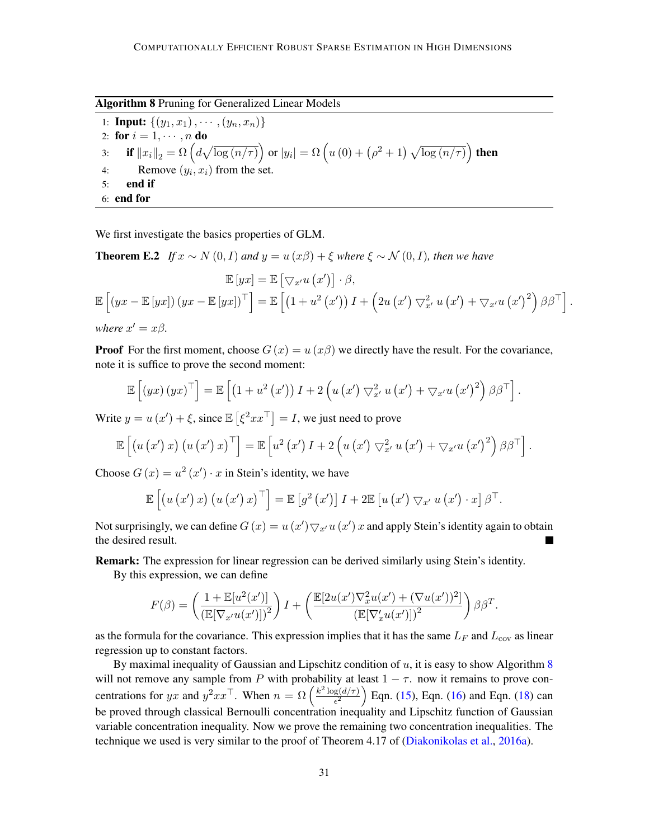<span id="page-30-0"></span>Algorithm 8 Pruning for Generalized Linear Models

1: **Input:**  $\{(y_1, x_1), \cdots, (y_n, x_n)\}\$ 2: for  $i = 1, \dots, n$  do 3: if  $\left\|x_{i}\right\|_{2}=\Omega\left(d\sqrt{\log\left(n/\tau\right)}\right)$  or  $|y_{i}|=\Omega\left(u\left(0\right)+\left(\rho^{2}+1\right)\sqrt{\log\left(n/\tau\right)}\right)$  then 4: Remove  $(y_i, x_i)$  from the set. 5: end if 6: end for

We first investigate the basics properties of GLM.

**Theorem E.2** *If*  $x \sim N(0, I)$  *and*  $y = u(x\beta) + \xi$  *where*  $\xi \sim N(0, I)$ *, then we have* 

$$
\mathbb{E}\left[yx\right] = \mathbb{E}\left[\nabla_{x'} u\left(x'\right)\right] \cdot \beta,
$$
  
\n
$$
\mathbb{E}\left[\left(yx - \mathbb{E}\left[yx\right]\right)\left(yx - \mathbb{E}\left[yx\right]\right)^{\top}\right] = \mathbb{E}\left[\left(1 + u^2\left(x'\right)\right)I + \left(2u\left(x'\right)\nabla_{x'}^2 u\left(x'\right) + \nabla_{x'} u\left(x'\right)^2\right)\beta\beta^{\top}\right].
$$
  
\nwhere  $x' = x\beta$ .

**Proof** For the first moment, choose  $G(x) = u(x\beta)$  we directly have the result. For the covariance, note it is suffice to prove the second moment:

$$
\mathbb{E}\left[\left(yx\right)\left(yx\right)^{\top}\right]=\mathbb{E}\left[\left(1+u^{2}\left(x^{\prime}\right)\right)I+2\left(u\left(x^{\prime}\right)\bigtriangledown_{x^{\prime}}^{2}u\left(x^{\prime}\right)+\bigtriangledown_{x^{\prime}}u\left(x^{\prime}\right)^{2}\right)\beta\beta^{\top}\right].
$$

Write  $y = u(x') + \xi$ , since  $\mathbb{E}[\xi^2 x x^\top] = I$ , we just need to prove

$$
\mathbb{E}\left[\left(u\left(x'\right)x\right)\left(u\left(x'\right)x\right)^{\top}\right]=\mathbb{E}\left[u^{2}\left(x'\right)I+2\left(u\left(x'\right)\nabla_{x'}^{2}u\left(x'\right)+\nabla_{x'}u\left(x'\right)^{2}\right)\beta\beta^{\top}\right].
$$

Choose  $G(x) = u^2(x') \cdot x$  in Stein's identity, we have

$$
\mathbb{E}\left[\left(u\left(x'\right)x\right)\left(u\left(x'\right)x\right)^{\top}\right]=\mathbb{E}\left[g^{2}\left(x'\right)\right]I+2\mathbb{E}\left[u\left(x'\right)\bigtriangledown_{x'} u\left(x'\right)\cdot x\right]\beta^{\top}.
$$

Not surprisingly, we can define  $G(x) = u(x') \bigtriangledown_{x'} u(x') x$  and apply Stein's identity again to obtain the desired result.

Remark: The expression for linear regression can be derived similarly using Stein's identity.

By this expression, we can define

$$
F(\beta) = \left(\frac{1 + \mathbb{E}[u^2(x')] }{\left(\mathbb{E}[\nabla_{x'} u(x')] \right)^2}\right)I + \left(\frac{\mathbb{E}[2u(x')\nabla_x^2 u(x') + (\nabla u(x'))^2]}{\left(\mathbb{E}[\nabla_x'u(x')] \right)^2}\right)\beta\beta^T.
$$

as the formula for the covariance. This expression implies that it has the same  $L_F$  and  $L_{\text{cov}}$  as linear regression up to constant factors.

By maximal inequality of Gaussian and Lipschitz condition of  $u$ , it is easy to show Algorithm  $8$ will not remove any sample from P with probability at least  $1 - \tau$ . now it remains to prove concentrations for yx and  $y^2 x x^{\top}$ . When  $n = \Omega \left( \frac{k^2 \log(d/\tau)}{\epsilon^2} \right)$  $\frac{g(d/\tau)}{\epsilon^2}$  Eqn. [\(15\)](#page-7-0), Eqn. [\(16\)](#page-7-2) and Eqn. [\(18\)](#page-7-3) can be proved through classical Bernoulli concentration inequality and Lipschitz function of Gaussian variable concentration inequality. Now we prove the remaining two concentration inequalities. The technique we used is very similar to the proof of Theorem 4.17 of [\(Diakonikolas et al.,](#page-13-6) [2016a\)](#page-13-6).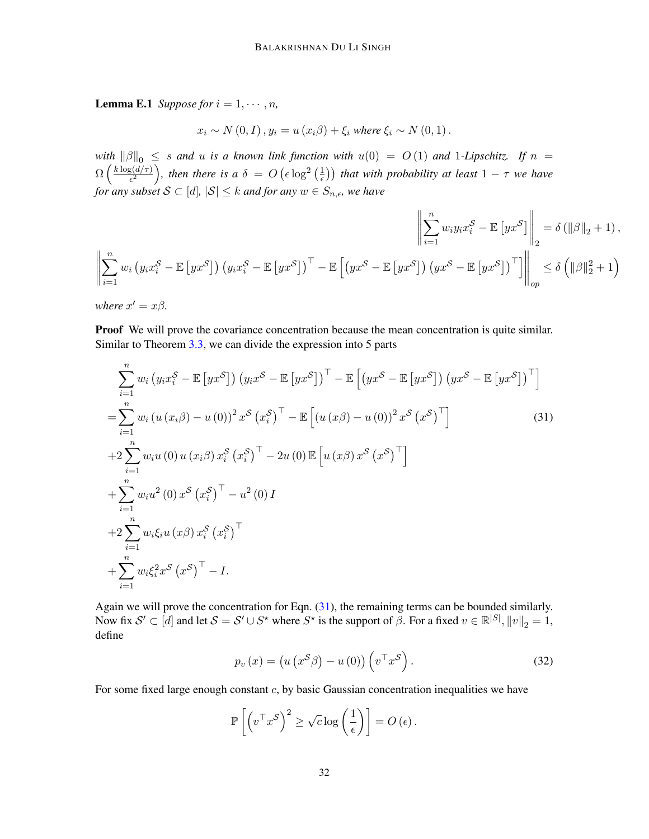**Lemma E.1** *Suppose for*  $i = 1, \dots, n$ *,* 

$$
x_i \sim N(0, I), y_i = u(x_i \beta) + \xi_i \text{ where } \xi_i \sim N(0, 1).
$$

*with*  $\|\beta\|_0 \leq s$  *and* u *is a known link function with*  $u(0) = O(1)$  *and* 1-*Lipschitz.* If  $n =$  $\Omega\left(\frac{k\log(d/\tau)}{\epsilon^2}\right)$  $\frac{g(d/\tau)}{\epsilon^2}$ , then there is a  $\delta = O\left(\epsilon \log^2\left(\frac{1}{\epsilon}\right)\right)$  $\left(\frac{1}{\epsilon}\right)$ ) that with probability at least  $1 - \tau$  we have *for any subset*  $S \subset [d]$ ,  $|S| \leq k$  *and for any*  $w \in S_{n,\epsilon}$ , we have

$$
\left\| \sum_{i=1}^{n} w_{i} y_{i} x_{i}^{S} - \mathbb{E} \left[ y x^{S} \right] \right\|_{2} = \delta \left( \|\beta\|_{2} + 1 \right),
$$
  

$$
\left\| \sum_{i=1}^{n} w_{i} y_{i} x_{i}^{S} - \mathbb{E} \left[ y x^{S} \right] \right\|_{2} = \delta \left( \|\beta\|_{2} + 1 \right),
$$
  

$$
\left\| \sum_{i=1}^{n} w_{i} \left( y_{i} x_{i}^{S} - \mathbb{E} \left[ y x^{S} \right] \right) \left( y x^{S} - \mathbb{E} \left[ y x^{S} \right] \right) \left( y x^{S} - \mathbb{E} \left[ y x^{S} \right] \right) \right\|_{op} \leq \delta \left( \|\beta\|_{2}^{2} + 1 \right)
$$

*where*  $x' = x\beta$ *.* 

Proof We will prove the covariance concentration because the mean concentration is quite similar. Similar to Theorem [3.3,](#page-8-1) we can divide the expression into 5 parts

$$
\sum_{i=1}^{n} w_i \left( y_i x_i^S - \mathbb{E} \left[ y x^S \right] \right) \left( y_i x^S - \mathbb{E} \left[ y x^S \right] \right)^\top - \mathbb{E} \left[ \left( y x^S - \mathbb{E} \left[ y x^S \right] \right) \left( y x^S - \mathbb{E} \left[ y x^S \right] \right)^\top \right]
$$
\n
$$
= \sum_{i=1}^{n} w_i \left( u \left( x_i \beta \right) - u \left( 0 \right) \right)^2 x^S \left( x_i^S \right)^\top - \mathbb{E} \left[ \left( u \left( x \beta \right) - u \left( 0 \right) \right)^2 x^S \left( x^S \right)^\top \right]
$$
\n
$$
+ 2 \sum_{i=1}^{n} w_i u \left( 0 \right) u \left( x_i \beta \right) x_i^S \left( x_i^S \right)^\top - 2u \left( 0 \right) \mathbb{E} \left[ u \left( x \beta \right) x^S \left( x^S \right)^\top \right]
$$
\n
$$
+ \sum_{i=1}^{n} w_i u^2 \left( 0 \right) x^S \left( x_i^S \right)^\top - u^2 \left( 0 \right) I
$$
\n
$$
+ 2 \sum_{i=1}^{n} w_i \xi_i u \left( x \beta \right) x_i^S \left( x_i^S \right)^\top
$$
\n
$$
+ \sum_{i=1}^{n} w_i \xi_i^2 x^S \left( x^S \right)^\top - I.
$$
\n(14.11)

Again we will prove the concentration for Eqn. [\(31\)](#page-31-0), the remaining terms can be bounded similarly. Now fix  $\mathcal{S}' \subset [d]$  and let  $\mathcal{S} = \mathcal{S}' \cup \mathcal{S}^*$  where  $\mathcal{S}^*$  is the support of  $\beta$ . For a fixed  $v \in \mathbb{R}^{|S|}$ ,  $||v||_2 = 1$ , define

<span id="page-31-1"></span><span id="page-31-0"></span>
$$
p_v(x) = \left(u\left(x^S \beta\right) - u\left(0\right)\right)\left(v^\top x^S\right). \tag{32}
$$

For some fixed large enough constant  $c$ , by basic Gaussian concentration inequalities we have

$$
\mathbb{P}\left[\left(v^\top x^{\mathcal{S}}\right)^2 \geq \sqrt{c} \log\left(\frac{1}{\epsilon}\right)\right] = O\left(\epsilon\right).
$$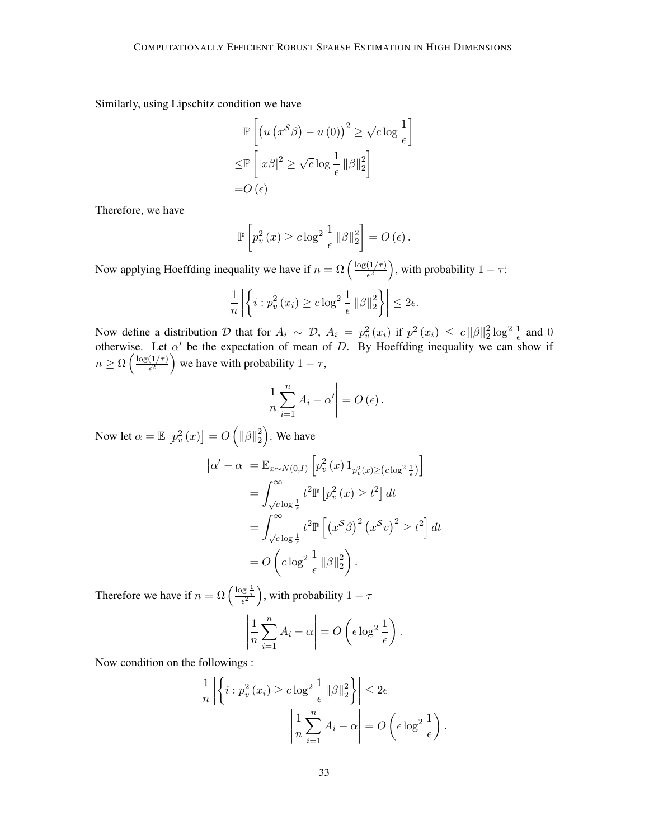Similarly, using Lipschitz condition we have

$$
\mathbb{P}\left[\left(u\left(x^{\mathcal{S}}\beta\right)-u\left(0\right)\right)^{2} \geq \sqrt{c}\log\frac{1}{\epsilon}\right]
$$

$$
\leq \mathbb{P}\left[\left|x\beta\right|^{2} \geq \sqrt{c}\log\frac{1}{\epsilon}\left\|\beta\right\|_{2}^{2}\right]
$$

$$
=O\left(\epsilon\right)
$$

Therefore, we have

$$
\mathbb{P}\left[p_v^2(x) \geq c \log^2 \frac{1}{\epsilon} ||\beta||_2^2\right] = O\left(\epsilon\right).
$$

Now applying Hoeffding inequality we have if  $n = \Omega \left( \frac{\log(1/\tau)}{\epsilon^2} \right)$  $\left(\frac{(1/\tau)}{\epsilon^2}\right)$ , with probability  $1 - \tau$ :

$$
\frac{1}{n} \left| \left\{ i : p_v^2(x_i) \geq c \log^2 \frac{1}{\epsilon} ||\beta||_2^2 \right\} \right| \leq 2\epsilon.
$$

Now define a distribution D that for  $A_i \sim \mathcal{D}$ ,  $A_i = p_v^2(x_i)$  if  $p^2(x_i) \leq c ||\beta||_2^2$  $\frac{2}{2}$  log<sup>2</sup>  $\frac{1}{\epsilon}$  and 0 otherwise. Let  $\alpha'$  be the expectation of mean of D. By Hoeffding inequality we can show if  $n \geq \Omega \left( \frac{\log(1/\tau)}{\epsilon^2} \right)$  $\left(\frac{(1/\tau)}{\epsilon^2}\right)$  we have with probability  $1 - \tau$ ,

$$
\left|\frac{1}{n}\sum_{i=1}^{n}A_{i}-\alpha'\right|=O\left(\epsilon\right).
$$

Now let  $\alpha = \mathbb{E}\left[ p_v^2\left( x\right) \right] = O\left( \Vert \beta \Vert_2^2 \right)$  $\binom{2}{2}$ . We have

$$
\begin{aligned} \left| \alpha' - \alpha \right| &= \mathbb{E}_{x \sim N(0, I)} \left[ p_v^2 \left( x \right) 1_{p_v^2(x) \ge \left( c \log^2 \frac{1}{\epsilon} \right)} \right] \\ &= \int_{\sqrt{c} \log \frac{1}{\epsilon}}^{\infty} t^2 \mathbb{P} \left[ p_v^2 \left( x \right) \ge t^2 \right] dt \\ &= \int_{\sqrt{c} \log \frac{1}{\epsilon}}^{\infty} t^2 \mathbb{P} \left[ \left( x^{\mathcal{S}} \beta \right)^2 \left( x^{\mathcal{S}} v \right)^2 \ge t^2 \right] dt \\ &= O \left( c \log^2 \frac{1}{\epsilon} \left\| \beta \right\|_2^2 \right). \end{aligned}
$$

Therefore we have if  $n = \Omega\left(\frac{\log \frac{1}{\tau}}{\epsilon^2}\right)$ , with probability  $1 - \tau$ 

$$
\left|\frac{1}{n}\sum_{i=1}^{n} A_i - \alpha\right| = O\left(\epsilon \log^2 \frac{1}{\epsilon}\right).
$$

Now condition on the followings :

$$
\frac{1}{n} \left| \left\{ i : p_v^2(x_i) \geq c \log^2 \frac{1}{\epsilon} \|\beta\|_2^2 \right\} \right| \leq 2\epsilon
$$

$$
\left| \frac{1}{n} \sum_{i=1}^n A_i - \alpha \right| = O\left(\epsilon \log^2 \frac{1}{\epsilon}\right).
$$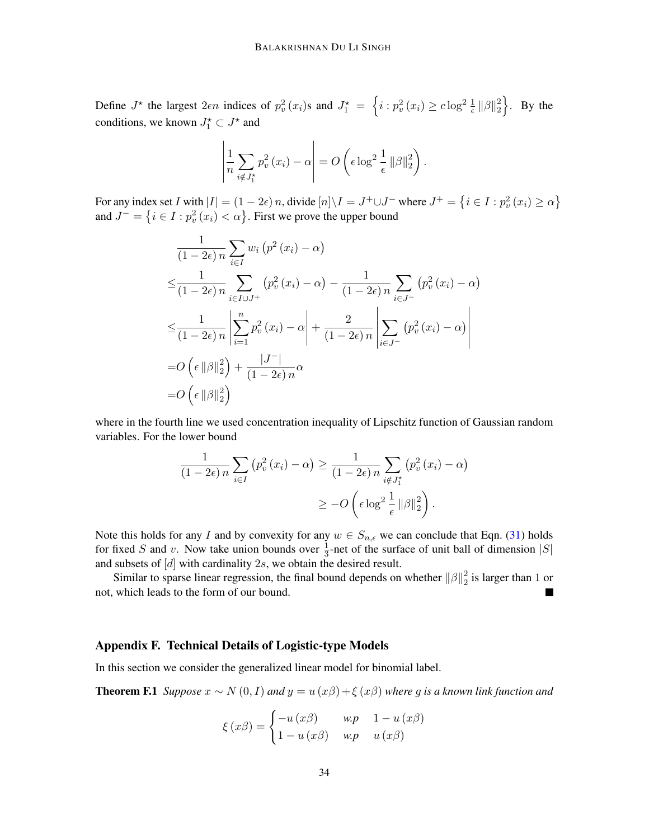Define  $J^*$  the largest  $2\epsilon n$  indices of  $p_v^2(x_i)$ s and  $J_1^* = \left\{i : p_v^2(x_i) \geq c \log^2 \frac{1}{\epsilon} ||\beta||_2^2 \right\}$  $\begin{bmatrix} 2 \\ 2 \end{bmatrix}$ . By the conditions, we known  $J_1^* \subset J^*$  and

$$
\left|\frac{1}{n}\sum_{i\notin J_1^*}p_v^2(x_i)-\alpha\right|=O\left(\epsilon\log^2\frac{1}{\epsilon}\|\beta\|_2^2\right).
$$

For any index set I with  $|I| = (1 - 2\epsilon) n$ , divide  $[n] \backslash I = J^+ \cup J^-$  where  $J^+ = \left\{ i \in I : p_v^2(x_i) \ge \alpha \right\}$ and  $J^- = \left\{ i \in I : p_v^2(x_i) < \alpha \right\}$ . First we prove the upper bound

$$
\frac{1}{(1-2\epsilon)n} \sum_{i\in I} w_i (p^2 (x_i) - \alpha)
$$
\n
$$
\leq \frac{1}{(1-2\epsilon)n} \sum_{i\in I \cup J^+} (p_v^2 (x_i) - \alpha) - \frac{1}{(1-2\epsilon)n} \sum_{i\in J^-} (p_v^2 (x_i) - \alpha)
$$
\n
$$
\leq \frac{1}{(1-2\epsilon)n} \left| \sum_{i=1}^n p_v^2 (x_i) - \alpha \right| + \frac{2}{(1-2\epsilon)n} \left| \sum_{i\in J^-} (p_v^2 (x_i) - \alpha) \right|
$$
\n
$$
= O\left(\epsilon \left\|\beta\right\|_2^2\right) + \frac{|J^-|}{(1-2\epsilon)n} \alpha
$$
\n
$$
= O\left(\epsilon \left\|\beta\right\|_2^2\right)
$$

where in the fourth line we used concentration inequality of Lipschitz function of Gaussian random variables. For the lower bound

$$
\frac{1}{(1-2\epsilon)n} \sum_{i \in I} (p_v^2(x_i) - \alpha) \ge \frac{1}{(1-2\epsilon)n} \sum_{i \notin J_1^*} (p_v^2(x_i) - \alpha)
$$

$$
\ge -O\left(\epsilon \log^2 \frac{1}{\epsilon} ||\beta||_2^2\right).
$$

Note this holds for any I and by convexity for any  $w \in S_{n,\epsilon}$  we can conclude that Eqn. [\(31\)](#page-31-0) holds for fixed S and v. Now take union bounds over  $\frac{1}{3}$ -net of the surface of unit ball of dimension |S| and subsets of  $[d]$  with cardinality 2s, we obtain the desired result.

Similar to sparse linear regression, the final bound depends on whether  $\|\beta\|_2^2$  $\frac{2}{2}$  is larger than 1 or not, which leads to the form of our bound.

#### <span id="page-33-0"></span>Appendix F. Technical Details of Logistic-type Models

In this section we consider the generalized linear model for binomial label.

**Theorem F.1** *Suppose*  $x \sim N(0, I)$  *and*  $y = u(x\beta) + \xi(x\beta)$  *where* g *is a known link function and* 

$$
\xi(x\beta) = \begin{cases}\n-u(x\beta) & w.p \quad 1-u(x\beta) \\
1-u(x\beta) & w.p \quad u(x\beta)\n\end{cases}
$$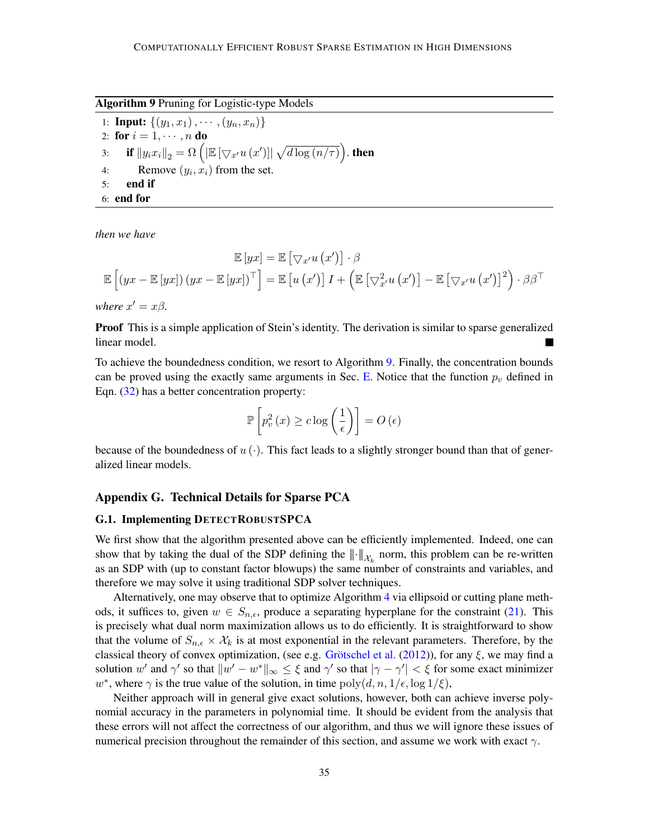<span id="page-34-1"></span>Algorithm 9 Pruning for Logistic-type Models

1: **Input:**  $\{(y_1, x_1), \cdots, (y_n, x_n)\}\$ 2: for  $i = 1, \dots, n$  do 3: if  $\left\|y_i x_i\right\|_2 = \Omega\left(\left|\mathbb{E}\left[\bigtriangledown_{x'} u\left(x'\right)\right]\right| \sqrt{d \log\left(n/\tau\right)}\right)$  then 4: Remove  $(y_i, x_i)$  from the set. 5: end if 6: end for

*then we have*

$$
\mathbb{E}[yx] = \mathbb{E}[\nabla_{x'} u(x')] \cdot \beta
$$

$$
\mathbb{E}[yx] = \mathbb{E}[yx] \cdot \beta
$$

$$
\mathbb{E}[(yx - \mathbb{E}[yx]) (yx - \mathbb{E}[yx])^{\top}] = \mathbb{E}[u(x')] I + (\mathbb{E}[\nabla_{x'}^2 u(x')] - \mathbb{E}[\nabla_{x'} u(x')]^2 \cdot \beta \beta^{\top}
$$

*where*  $x' = x\beta$ *.* 

**Proof** This is a simple application of Stein's identity. The derivation is similar to sparse generalized linear model.

To achieve the boundedness condition, we resort to Algorithm [9.](#page-34-1) Finally, the concentration bounds can be proved using the exactly same arguments in Sec. [E.](#page-29-0) Notice that the function  $p_v$  defined in Eqn. [\(32\)](#page-31-1) has a better concentration property:

$$
\mathbb{P}\left[p_v^2\left(x\right) \geq c \log\left(\frac{1}{\epsilon}\right)\right] = O\left(\epsilon\right)
$$

because of the boundedness of  $u(\cdot)$ . This fact leads to a slightly stronger bound than that of generalized linear models.

## Appendix G. Technical Details for Sparse PCA

#### <span id="page-34-0"></span>G.1. Implementing DETECTROBUSTSPCA

We first show that the algorithm presented above can be efficiently implemented. Indeed, one can show that by taking the dual of the SDP defining the  $|| \cdot ||_{\mathcal{X}_k}$  norm, this problem can be re-written as an SDP with (up to constant factor blowups) the same number of constraints and variables, and therefore we may solve it using traditional SDP solver techniques.

Alternatively, one may observe that to optimize Algorithm [4](#page-12-4) via ellipsoid or cutting plane methods, it suffices to, given  $w \in S_{n,\epsilon}$ , produce a separating hyperplane for the constraint [\(21\)](#page-11-1). This is precisely what dual norm maximization allows us to do efficiently. It is straightforward to show that the volume of  $S_{n,\epsilon} \times \mathcal{X}_k$  is at most exponential in the relevant parameters. Therefore, by the classical theory of convex optimization, (see e.g. Grötschel et al.  $(2012)$ ), for any  $\xi$ , we may find a solution w' and  $\gamma'$  so that  $\|w' - w^*\|_{\infty} \leq \xi$  and  $\gamma'$  so that  $|\gamma - \gamma'| < \xi$  for some exact minimizer w<sup>\*</sup>, where  $\gamma$  is the true value of the solution, in time  $\text{poly}(d, n, 1/\epsilon, \log 1/\xi)$ ,

Neither approach will in general give exact solutions, however, both can achieve inverse polynomial accuracy in the parameters in polynomial time. It should be evident from the analysis that these errors will not affect the correctness of our algorithm, and thus we will ignore these issues of numerical precision throughout the remainder of this section, and assume we work with exact  $\gamma$ .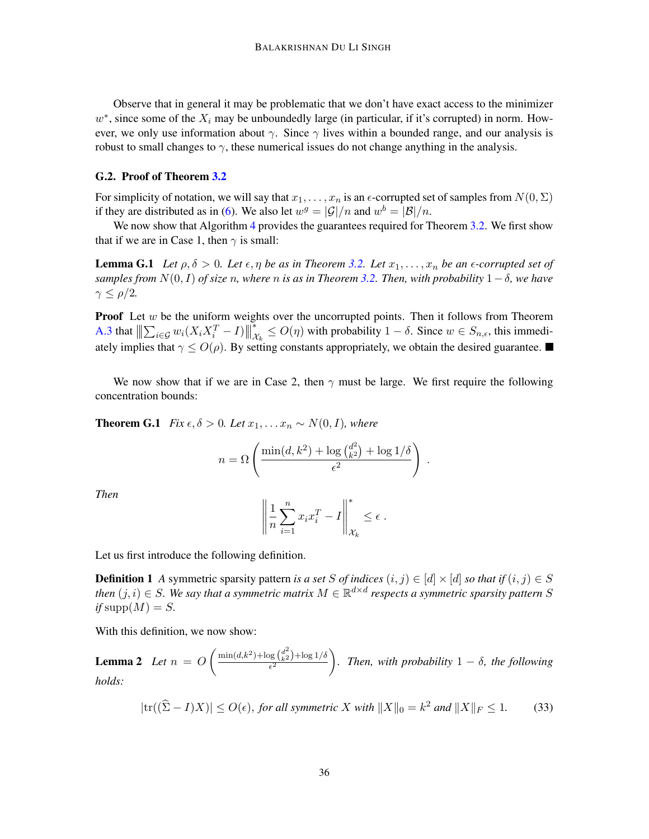Observe that in general it may be problematic that we don't have exact access to the minimizer  $w^*$ , since some of the  $X_i$  may be unboundedly large (in particular, if it's corrupted) in norm. However, we only use information about  $\gamma$ . Since  $\gamma$  lives within a bounded range, and our analysis is robust to small changes to  $\gamma$ , these numerical issues do not change anything in the analysis.

#### <span id="page-35-0"></span>G.2. Proof of Theorem [3.2](#page-8-2)

For simplicity of notation, we will say that  $x_1, \ldots, x_n$  is an  $\epsilon$ -corrupted set of samples from  $N(0, \Sigma)$ if they are distributed as in [\(6\)](#page-3-5). We also let  $w^g = |\mathcal{G}|/n$  and  $w^b = |\mathcal{B}|/n$ .

<span id="page-35-3"></span>We now show that Algorithm [4](#page-12-4) provides the guarantees required for Theorem [3.2.](#page-8-2) We first show that if we are in Case 1, then  $\gamma$  is small:

**Lemma G.1** Let  $\rho, \delta > 0$ . Let  $\epsilon, \eta$  be as in Theorem [3.2.](#page-8-2) Let  $x_1, \ldots, x_n$  be an  $\epsilon$ -corrupted set of *samples from*  $N(0, I)$  *of size n, where n is as in Theorem* [3.2.](#page-8-2) *Then, with probability*  $1 - \delta$ *, we have*  $\gamma \leq \rho/2$ .

**Proof** Let  $w$  be the uniform weights over the uncorrupted points. Then it follows from Theorem [A.3](#page-16-0) that  $\left\Vert \sum_{i\in\mathcal{G}}w_{i}(X_{i}X_{i}^{T}-I)\right\Vert$ ∗  $\chi^*_{\chi^*_{k}} \leq O(\eta)$  with probability  $1 - \delta$ . Since  $w \in S_{n,\epsilon}$ , this immediately implies that  $\gamma \le O(\rho)$ . By setting constants appropriately, we obtain the desired guarantee.

We now show that if we are in Case 2, then  $\gamma$  must be large. We first require the following concentration bounds:

<span id="page-35-1"></span>**Theorem G.1** *Fix*  $\epsilon, \delta > 0$ *. Let*  $x_1, \ldots, x_n \sim N(0, I)$ *, where* 

$$
n = \Omega \left( \frac{\min(d, k^2) + \log {d^2 \choose k^2} + \log 1/\delta}{\epsilon^2} \right).
$$

*Then*

$$
\left\| \frac{1}{n} \sum_{i=1}^n x_i x_i^T - I \right\|_{\mathcal{X}_k}^* \leq \epsilon.
$$

Let us first introduce the following definition.

**Definition 1** *A* symmetric sparsity pattern *is a set* S *of indices*  $(i, j) \in [d] \times [d]$  *so that if*  $(i, j) \in S$ then  $(j,i) \in S$ . We say that a symmetric matrix  $M \in \mathbb{R}^{d \times d}$  respects a symmetric sparsity pattern S  $if supp(M) = S.$ 

With this definition, we now show:

**Lemma 2** Let  $n = O\left(\frac{\min(d, k^2) + \log\binom{d^2}{k^2} + \log 1/\delta}{\epsilon^2}\right)$  $\epsilon^2$  $\int$ *. Then, with probability*  $1 - \delta$ *, the following holds:*

<span id="page-35-2"></span>
$$
|\text{tr}((\widehat{\Sigma} - I)X)| \le O(\epsilon), \text{ for all symmetric } X \text{ with } ||X||_0 = k^2 \text{ and } ||X||_F \le 1. \tag{33}
$$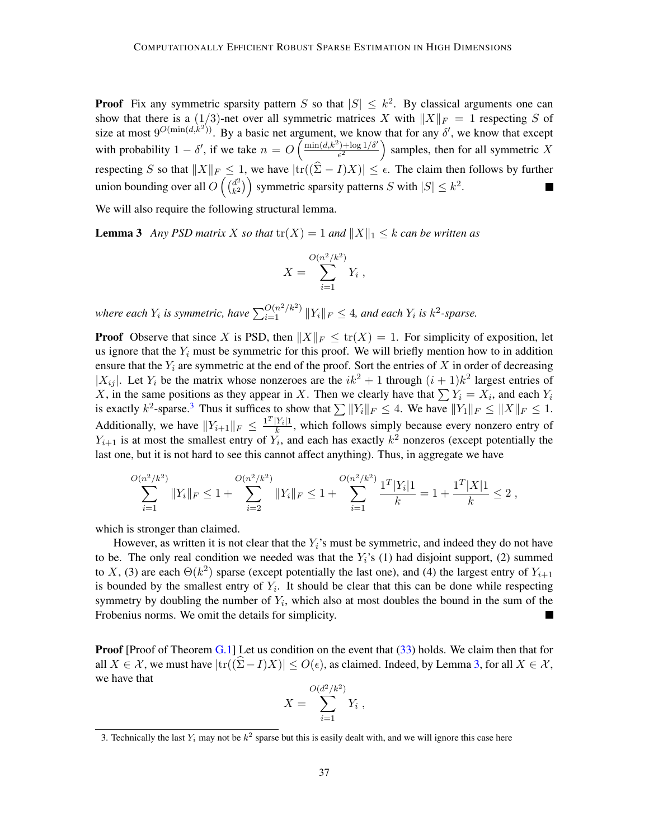**Proof** Fix any symmetric sparsity pattern S so that  $|S| \leq k^2$ . By classical arguments one can show that there is a  $(1/3)$ -net over all symmetric matrices X with  $||X||_F = 1$  respecting S of size at most  $9^{O(\min(d,\hat{k}^2))}$ . By a basic net argument, we know that for any  $\delta'$ , we know that except with probability  $1 - \delta'$ , if we take  $n = O\left(\frac{\min(d, k^2) + \log(1/\delta')}{\epsilon^2}\right)$  $\frac{2^{2} + \log 1/\delta'}{\epsilon^2}$  samples, then for all symmetric X respecting S so that  $||X||_F \leq 1$ , we have  $|\text{tr}((\widehat{\Sigma} - I)X)| \leq \epsilon$ . The claim then follows by further union bounding over all  $O\left(\frac{d^2}{k^2}\right)$  ${k<sup>2</sup> \choose k<sup>2</sup>}$  symmetric sparsity patterns S with  $|S| \leq k<sup>2</sup>$ .

We will also require the following structural lemma.

**Lemma 3** *Any PSD matrix* X *so that*  $tr(X) = 1$  *and*  $||X||_1 \leq k$  *can be written as* 

<span id="page-36-1"></span>
$$
X = \sum_{i=1}^{O(n^2/k^2)} Y_i ,
$$

where each  $Y_i$  is symmetric, have  $\sum_{i=1}^{O(n^2/k^2)} \|Y_i\|_F \leq 4$ , and each  $Y_i$  is  $k^2$ -sparse.

**Proof** Observe that since X is PSD, then  $||X||_F \leq \text{tr}(X) = 1$ . For simplicity of exposition, let us ignore that the  $Y_i$  must be symmetric for this proof. We will briefly mention how to in addition ensure that the  $Y_i$  are symmetric at the end of the proof. Sort the entries of  $X$  in order of decreasing | $|X_{ij}|$ . Let  $Y_i$  be the matrix whose nonzeroes are the  $ik^2 + 1$  through  $(i + 1)k^2$  largest entries of X, in the same positions as they appear in X. Then we clearly have that  $\sum Y_i = X_i$ , and each  $Y_i$ is exactly  $k^2$ -sparse.<sup>[3](#page-36-0)</sup> Thus it suffices to show that  $\sum ||Y_i||_F \le 4$ . We have  $||Y_1||_F \le ||X||_F \le 1$ . Additionally, we have  $||Y_{i+1}||_F \le \frac{\mathbf{1}^T |Y_i| \mathbf{1}}{k}$  $\frac{f_i f_i}{k}$ , which follows simply because every nonzero entry of  $Y_{i+1}$  is at most the smallest entry of  $Y_i$ , and each has exactly  $k^2$  nonzeros (except potentially the last one, but it is not hard to see this cannot affect anything). Thus, in aggregate we have

$$
\sum_{i=1}^{O(n^2/k^2)} \|Y_i\|_F \le 1 + \sum_{i=2}^{O(n^2/k^2)} \|Y_i\|_F \le 1 + \sum_{i=1}^{O(n^2/k^2)} \frac{1^T|Y_i|1}{k} = 1 + \frac{1^T|X|1}{k} \le 2,
$$

which is stronger than claimed.

However, as written it is not clear that the  $Y_i$ 's must be symmetric, and indeed they do not have to be. The only real condition we needed was that the  $Y_i$ 's (1) had disjoint support, (2) summed to X, (3) are each  $\Theta(k^2)$  sparse (except potentially the last one), and (4) the largest entry of  $Y_{i+1}$ is bounded by the smallest entry of  $Y_i$ . It should be clear that this can be done while respecting symmetry by doubling the number of  $Y_i$ , which also at most doubles the bound in the sum of the Frobenius norms. We omit the details for simplicity. 

**Proof** [Proof of Theorem  $G.1$ ] Let us condition on the event that  $(33)$  holds. We claim then that for all  $X \in \mathcal{X}$ , we must have  $|\text{tr}((\Sigma - I)X)| \leq O(\epsilon)$ , as claimed. Indeed, by Lemma [3,](#page-36-1) for all  $X \in \mathcal{X}$ , we have that

$$
X = \sum_{i=1}^{O(d^2/k^2)} Y_i ,
$$

<span id="page-36-0"></span><sup>3.</sup> Technically the last  $Y_i$  may not be  $k^2$  sparse but this is easily dealt with, and we will ignore this case here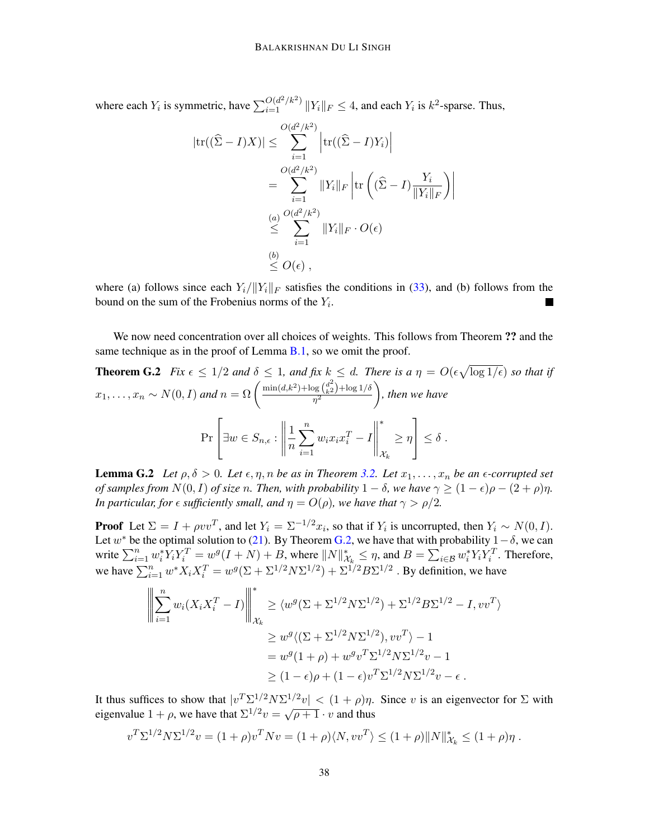where each  $Y_i$  is symmetric, have  $\sum_{i=1}^{O(d^2/k^2)} \|Y_i\|_F \leq 4$ , and each  $Y_i$  is  $k^2$ -sparse. Thus,

<span id="page-37-0"></span>
$$
|\text{tr}((\widehat{\Sigma} - I)X)| \leq \sum_{i=1}^{O(d^2/k^2)} \left| \text{tr}((\widehat{\Sigma} - I)Y_i) \right|
$$
  
= 
$$
\sum_{i=1}^{O(d^2/k^2)} \|Y_i\|_F \left| \text{tr}((\widehat{\Sigma} - I)\frac{Y_i}{\|Y_i\|_F}) \right|
$$
  

$$
\leq \sum_{i=1}^{O(d^2/k^2)} \|Y_i\|_F \cdot O(\epsilon)
$$
  

$$
\leq O(\epsilon),
$$

where (a) follows since each  $Y_i/||Y_i||_F$  satisfies the conditions in [\(33\)](#page-35-2), and (b) follows from the bound on the sum of the Frobenius norms of the  $Y_i$ .

We now need concentration over all choices of weights. This follows from Theorem ?? and the same technique as in the proof of Lemma  $B.1$ , so we omit the proof.

**Theorem G.2** Fix 
$$
\epsilon \le 1/2
$$
 and  $\delta \le 1$ , and fix  $k \le d$ . There is a  $\eta = O(\epsilon \sqrt{\log 1/\epsilon})$  so that if  $x_1, ..., x_n \sim N(0, I)$  and  $n = \Omega \left( \frac{\min(d, k^2) + \log(\frac{d^2}{k^2}) + \log(1/\delta)}{\eta^2} \right)$ , then we have\n
$$
\Pr \left[ \exists w \in S_{n,\epsilon} : \left\| \frac{1}{n} \sum_{i=1}^n w_i x_i x_i^T - I \right\|_{\mathcal{X}_k}^* \ge \eta \right] \le \delta \, .
$$

<span id="page-37-1"></span>**Lemma G.2** *Let*  $\rho, \delta > 0$ *. Let*  $\epsilon, \eta, n$  *be as in Theorem [3.2.](#page-8-2) Let*  $x_1, \ldots, x_n$  *be an*  $\epsilon$ -corrupted set *of samples from*  $N(0, I)$  *of size n. Then, with probability*  $1 - \delta$ *, we have*  $\gamma \geq (1 - \epsilon)\rho - (2 + \rho)\eta$ *. In particular, for*  $\epsilon$  *sufficiently small, and*  $\eta = O(\rho)$ *, we have that*  $\gamma > \rho/2$ *.* 

**Proof** Let  $\Sigma = I + \rho v v^T$ , and let  $Y_i = \Sigma^{-1/2} x_i$ , so that if  $Y_i$  is uncorrupted, then  $Y_i \sim N(0, I)$ . Let w<sup>\*</sup> be the optimal solution to [\(21\)](#page-11-1). By Theorem [G.2,](#page-37-0) we have that with probability  $1-\delta$ , we can write  $\sum_{i=1}^n w_i^* Y_i Y_i^T = w^g (I + N) + B$ , where  $||N||_{\mathcal{X}_k}^* \leq \eta$ , and  $B = \sum_{i \in \mathcal{B}} w_i^* Y_i Y_i^T$ . Therefore, we have  $\sum_{i=1}^n w^* X_i X_i^T = w^g (\Sigma + \Sigma^{1/2} N \Sigma^{1/2}) + \Sigma^{1/2} B \Sigma^{1/2}$  . By definition, we have

$$
\left\| \sum_{i=1}^{n} w_i (X_i X_i^T - I) \right\|_{\mathcal{X}_k}^* \ge \langle w^g (\Sigma + \Sigma^{1/2} N \Sigma^{1/2}) + \Sigma^{1/2} B \Sigma^{1/2} - I, v v^T \rangle
$$
  
\n
$$
\ge w^g \langle (\Sigma + \Sigma^{1/2} N \Sigma^{1/2}), v v^T \rangle - 1
$$
  
\n
$$
= w^g (1 + \rho) + w^g v^T \Sigma^{1/2} N \Sigma^{1/2} v - 1
$$
  
\n
$$
\ge (1 - \epsilon) \rho + (1 - \epsilon) v^T \Sigma^{1/2} N \Sigma^{1/2} v - \epsilon.
$$

It thus suffices to show that  $|v^T \Sigma^{1/2} N \Sigma^{1/2} v| < (1 + \rho)\eta$ . Since v is an eigenvector for  $\Sigma$  with eigenvalue  $1 + \rho$ , we have that  $\sum^{1/2} v = \sqrt{\rho + 1} \cdot v$  and thus

$$
v^T \Sigma^{1/2} N \Sigma^{1/2} v = (1+\rho) v^T N v = (1+\rho) \langle N, v v^T \rangle \le (1+\rho) ||N||^*_{\mathcal{X}_k} \le (1+\rho) \eta.
$$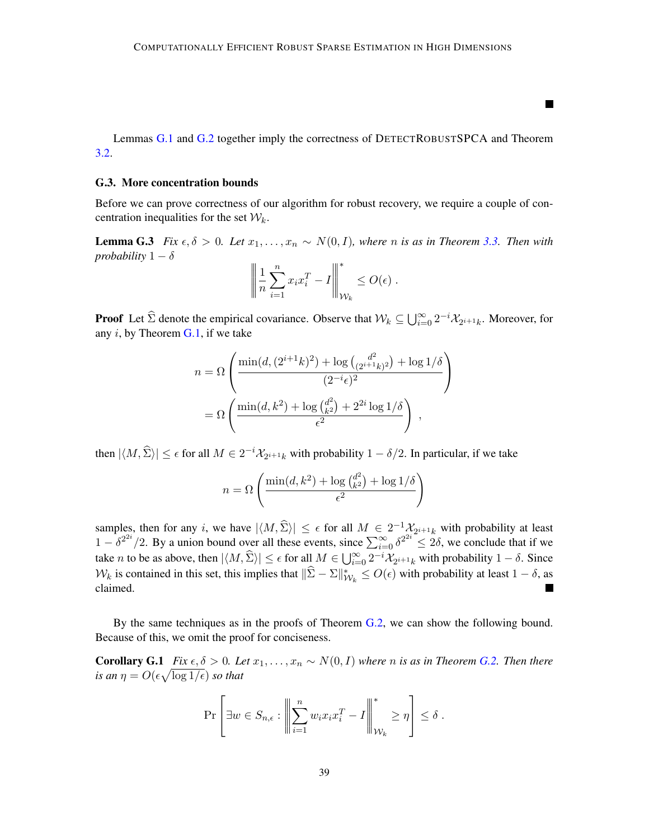Lemmas [G.1](#page-35-3) and [G.2](#page-37-1) together imply the correctness of DETECTROBUSTSPCA and Theorem [3.2.](#page-8-2)

П

#### G.3. More concentration bounds

Before we can prove correctness of our algorithm for robust recovery, we require a couple of concentration inequalities for the set  $W_k$ .

**Lemma G.3** *Fix*  $\epsilon, \delta > 0$ *. Let*  $x_1, \ldots, x_n$  ∼  $N(0, I)$ *, where n is as in Theorem* [3.3.](#page-8-3) *Then with probability*  $1 - \delta$ 

$$
\left\| \frac{1}{n} \sum_{i=1}^n x_i x_i^T - I \right\|_{\mathcal{W}_k}^* \leq O(\epsilon) .
$$

**Proof** Let  $\hat{\Sigma}$  denote the empirical covariance. Observe that  $W_k \subseteq \bigcup_{i=0}^{\infty} 2^{-i} \mathcal{X}_{2^{i+1}k}$ . Moreover, for any  $i$ , by Theorem  $G.1$ , if we take

$$
n = \Omega \left( \frac{\min(d, (2^{i+1}k)^2) + \log {d^2 \choose (2^{i+1}k)^2} + \log 1/\delta}{(2^{-i}\epsilon)^2} \right)
$$

$$
= \Omega \left( \frac{\min(d, k^2) + \log {d^2 \choose k^2} + 2^{2i} \log 1/\delta}{\epsilon^2} \right),
$$

then  $|\langle M, \hat{\Sigma} \rangle| \le \epsilon$  for all  $M \in 2^{-i} \mathcal{X}_{2^{i+1}k}$  with probability  $1 - \delta/2$ . In particular, if we take

$$
n = \Omega\left(\frac{\min(d, k^2) + \log {d^2 \choose k^2} + \log 1/\delta}{\epsilon^2}\right)
$$

samples, then for any i, we have  $|\langle M, \hat{\Sigma} \rangle| \leq \epsilon$  for all  $M \in 2^{-1} \mathcal{X}_{2^{i+1}k}$  with probability at least  $1 - \delta^{2^{2i}}/2$ . By a union bound over all these events, since  $\sum_{i=0}^{\infty} \delta^{2^{2i}} \leq 2\delta$ , we conclude that if we take *n* to be as above, then  $|\langle M, \hat{\Sigma} \rangle| \leq \epsilon$  for all  $M \in \bigcup_{i=0}^{\infty} 2^{-i} \mathcal{X}_{2^{i+1}k}$  with probability  $1 - \delta$ . Since  $W_k$  is contained in this set, this implies that  $\|\hat{\Sigma} - \Sigma\|_{W_k}^* \le O(\epsilon)$  with probability at least  $1 - \delta$ , as claimed.

By the same techniques as in the proofs of Theorem [G.2,](#page-37-0) we can show the following bound. Because of this, we omit the proof for conciseness.

**Corollary G.1** *Fix*  $\epsilon, \delta > 0$ *. Let*  $x_1, \ldots, x_n \sim N(0, I)$  *where n is as in Theorem [G.2.](#page-37-0) Then there* is an  $\eta = O(\epsilon \sqrt{\log 1/\epsilon})$  so that

<span id="page-38-0"></span>
$$
\Pr\left[\exists w \in S_{n,\epsilon} : \left\|\sum_{i=1}^n w_i x_i x_i^T - I\right\|_{\mathcal{W}_k}^* \ge \eta\right] \le \delta.
$$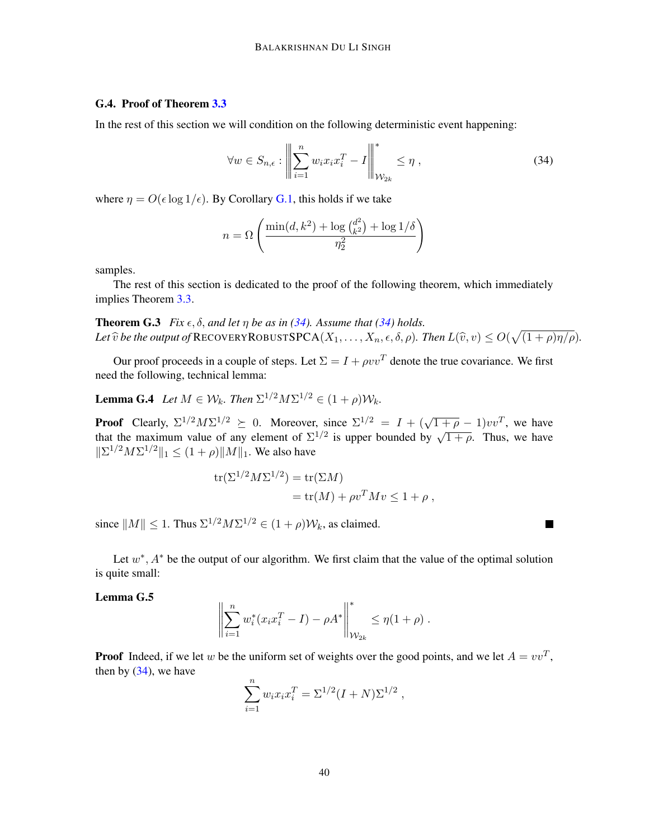# G.4. Proof of Theorem [3.3](#page-8-3)

In the rest of this section we will condition on the following deterministic event happening:

<span id="page-39-0"></span>
$$
\forall w \in S_{n,\epsilon} : \left\| \sum_{i=1}^{n} w_i x_i x_i^T - I \right\|_{\mathcal{W}_{2k}}^* \leq \eta , \qquad (34)
$$

 $\blacksquare$ 

where  $\eta = O(\epsilon \log 1/\epsilon)$ . By Corollary [G.1,](#page-38-0) this holds if we take

<span id="page-39-3"></span>
$$
n = \Omega\left(\frac{\min(d, k^2) + \log {d^2 \choose k^2} + \log 1/\delta}{\eta_2^2}\right)
$$

samples.

The rest of this section is dedicated to the proof of the following theorem, which immediately implies Theorem [3.3.](#page-8-3)

**Theorem G.3** *Fix*  $\epsilon$ ,  $\delta$ , *and let*  $\eta$  *be as in* [\(34\)](#page-39-0)*. Assume that* (34) *holds.* Let  $\widehat{v}$  be the output of RECOVERYROBUSTSPCA $(X_1, \ldots, X_n, \epsilon, \delta, \rho)$ . Then  $L(\widehat{v}, v) \leq O(\sqrt{(1 + \rho)\eta/\rho})$ .

Our proof proceeds in a couple of steps. Let  $\Sigma = I + \rho v v^T$  denote the true covariance. We first need the following, technical lemma:

**Lemma G.4** *Let*  $M \in \mathcal{W}_k$ *. Then*  $\Sigma^{1/2} M \Sigma^{1/2} \in (1 + \rho) \mathcal{W}_k$ *.* 

**Proof** Clearly,  $\Sigma^{1/2} M \Sigma^{1/2} \succeq 0$ . Moreover, since  $\Sigma^{1/2} = I + (\sqrt{1+\rho} - 1)vv^T$ , we have that the maximum value of any element of  $\Sigma^{1/2}$  is upper bounded by  $\sqrt{1+\rho}$ . Thus, we have  $||\Sigma^{1/2}M\Sigma^{1/2}||_1 \le (1+\rho)||M||_1$ . We also have

<span id="page-39-1"></span>tr
$$
(\Sigma^{1/2} M \Sigma^{1/2})
$$
 = tr $(\Sigma M)$   
= tr $(M)$  +  $\rho v^T M v \le 1 + \rho$ ,

since  $||M|| \leq 1$ . Thus  $\Sigma^{1/2} M \Sigma^{1/2} \in (1 + \rho) \mathcal{W}_k$ , as claimed.

Let  $w^*$ ,  $A^*$  be the output of our algorithm. We first claim that the value of the optimal solution is quite small:

Lemma G.5

<span id="page-39-2"></span>
$$
\left\| \sum_{i=1}^n w_i^*(x_i x_i^T - I) - \rho A^* \right\|_{\mathcal{W}_{2k}}^* \leq \eta (1 + \rho) .
$$

**Proof** Indeed, if we let w be the uniform set of weights over the good points, and we let  $A = vv^T$ , then by  $(34)$ , we have

$$
\sum_{i=1}^{n} w_i x_i x_i^T = \Sigma^{1/2} (I + N) \Sigma^{1/2} ,
$$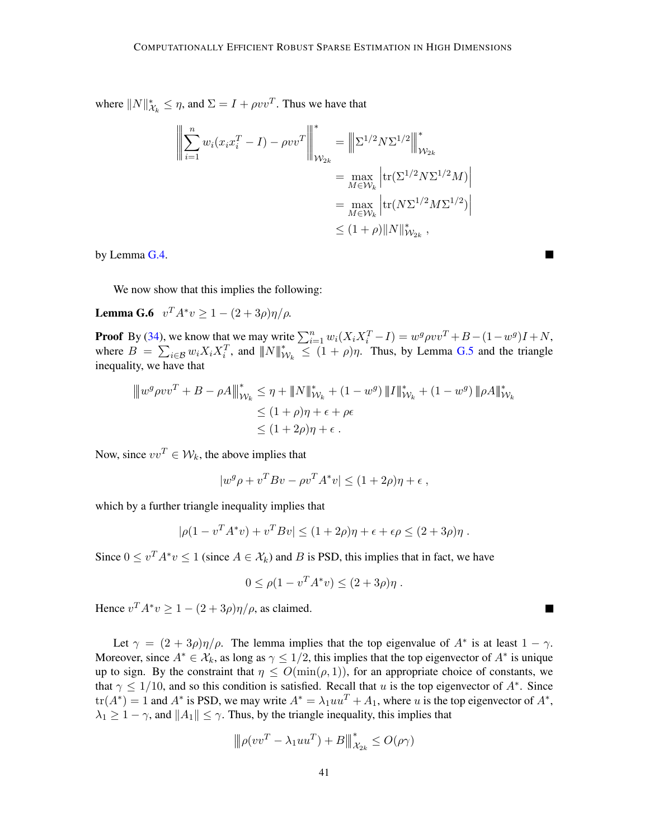where  $||N||^*_{\mathcal{X}_k} \leq \eta$ , and  $\Sigma = I + \rho vv^T$ . Thus we have that

$$
\left\| \sum_{i=1}^{n} w_i (x_i x_i^T - I) - \rho v v^T \right\|_{\mathcal{W}_{2k}}^* = \left\| \sum_{i=1}^{n} \sum_{j=1}^{n} |x_i|^2 N \sum_{i=1}^{n} w_i
$$

$$
= \max_{M \in \mathcal{W}_k} \left| tr(\sum_{i=1}^{n} \sum_{j=1}^{n} M \sum_{i=1}^{n} w_i) \right|
$$

$$
\leq (1 + \rho) \|N\|_{\mathcal{W}_{2k}}^*
$$

by Lemma [G.4.](#page-39-1)

<span id="page-40-0"></span>We now show that this implies the following:

**Lemma G.6**  $v^T A^* v \ge 1 - (2 + 3\rho)\eta/\rho$ .

**Proof** By [\(34\)](#page-39-0), we know that we may write  $\sum_{i=1}^{n} w_i (X_i X_i^T - I) = w^g \rho v v^T + B - (1 - w^g)I + N$ , where  $B = \sum_{i \in \mathcal{B}} w_i X_i X_i^T$ , and  $||N||_{\mathcal{W}_k}^* \leq (1 + \rho)\eta$ . Thus, by Lemma [G.5](#page-39-2) and the triangle inequality, we have that

$$
\|w^{g}\rho v v^{T} + B - \rho A\|_{\mathcal{W}_{k}}^{*} \leq \eta + \|N\|_{\mathcal{W}_{k}}^{*} + (1 - w^{g}) \|I\|_{\mathcal{W}_{k}}^{*} + (1 - w^{g}) \| \rho A\|_{\mathcal{W}_{k}}^{*}
$$
  

$$
\leq (1 + \rho)\eta + \epsilon + \rho \epsilon
$$
  

$$
\leq (1 + 2\rho)\eta + \epsilon.
$$

Now, since  $vv^T \in \mathcal{W}_k$ , the above implies that

$$
|w^g \rho + v^T B v - \rho v^T A^* v| \le (1 + 2\rho)\eta + \epsilon ,
$$

which by a further triangle inequality implies that

$$
|\rho(1 - v^T A^* v) + v^T B v| \le (1 + 2\rho)\eta + \epsilon + \epsilon \rho \le (2 + 3\rho)\eta.
$$

Since  $0 \le v^T A^* v \le 1$  (since  $A \in \mathcal{X}_k$ ) and B is PSD, this implies that in fact, we have

$$
0 \leq \rho (1 - v^T A^* v) \leq (2 + 3\rho)\eta
$$
.

Hence  $v^T A^* v \ge 1 - (2 + 3\rho)\eta/\rho$ , as claimed.

Let  $\gamma = (2 + 3\rho)\eta/\rho$ . The lemma implies that the top eigenvalue of  $A^*$  is at least  $1 - \gamma$ . Moreover, since  $A^* \in \mathcal{X}_k$ , as long as  $\gamma \leq 1/2$ , this implies that the top eigenvector of  $A^*$  is unique up to sign. By the constraint that  $\eta \leq O(\min(\rho, 1))$ , for an appropriate choice of constants, we that  $\gamma \leq 1/10$ , and so this condition is satisfied. Recall that u is the top eigenvector of  $A^*$ . Since  $tr(A^*) = 1$  and  $A^*$  is PSD, we may write  $A^* = \lambda_1 u u^T + A_1$ , where u is the top eigenvector of  $A^*$ ,  $\lambda_1 \geq 1 - \gamma$ , and  $||A_1|| \leq \gamma$ . Thus, by the triangle inequality, this implies that

$$
\|\rho(vv^T - \lambda_1 uu^T) + B\|_{\mathcal{X}_{2k}}^* \le O(\rho \gamma)
$$

L.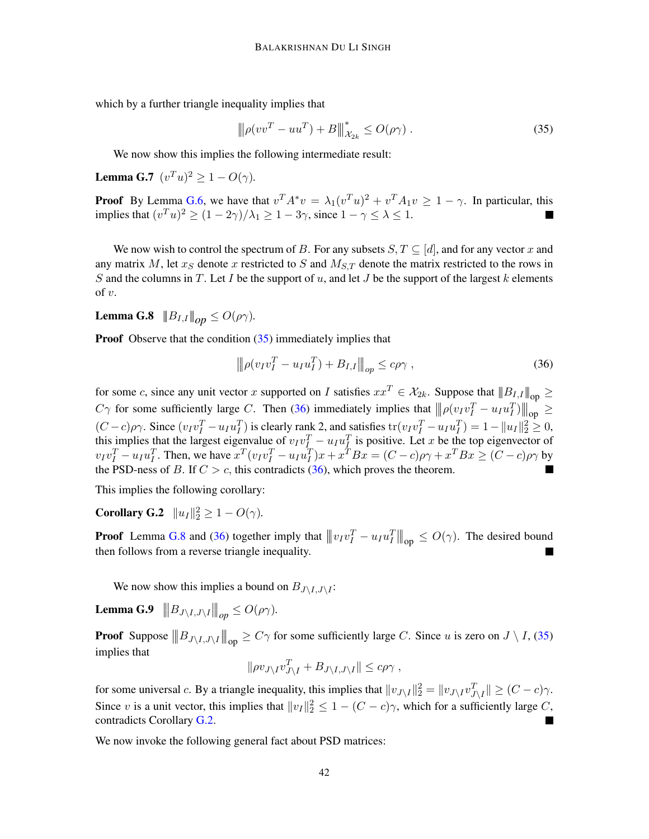which by a further triangle inequality implies that

<span id="page-41-0"></span>
$$
\|\rho(vv^T - uu^T) + B\|_{\mathcal{X}_{2k}}^* \le O(\rho \gamma) \,. \tag{35}
$$

We now show this implies the following intermediate result:

**Lemma G.7**  $(v^T u)^2 \ge 1 - O(\gamma)$ .

**Proof** By Lemma [G.6,](#page-40-0) we have that  $v^T A^* v = \lambda_1 (v^T u)^2 + v^T A_1 v \ge 1 - \gamma$ . In particular, this implies that  $(v^T u)^2 \ge (1 - 2\gamma)/\lambda_1 \ge 1 - 3\gamma$ , since  $1 - \gamma \le \lambda \le 1$ .

We now wish to control the spectrum of B. For any subsets  $S, T \subseteq [d]$ , and for any vector x and any matrix M, let  $x_S$  denote x restricted to S and  $M_{S,T}$  denote the matrix restricted to the rows in S and the columns in T. Let I be the support of u, and let J be the support of the largest k elements of  $v$ .

<span id="page-41-2"></span>**Lemma G.8**  $|||B_{I,I}|||_{op} \leq O(\rho \gamma)$ .

**Proof** Observe that the condition [\(35\)](#page-41-0) immediately implies that

<span id="page-41-3"></span><span id="page-41-1"></span>
$$
\|\rho(v_I v_I^T - u_I u_I^T) + B_{I,I}\|_{op} \le c\rho\gamma \,,\tag{36}
$$

for some c, since any unit vector x supported on I satisfies  $xx^T \in \mathcal{X}_{2k}$ . Suppose that  $||B_{I,I}||_{\text{on}} \ge$  $C\gamma$  for some sufficiently large C. Then [\(36\)](#page-41-1) immediately implies that  $\|\rho(v_Iv_I^T - u_Iu_I^T)\|_{op} \ge$  $(C-c)\rho\gamma$ . Since  $(v_Iv_I^T - u_Iu_I^T)$  is clearly rank 2, and satisfies  $\text{tr}(v_Iv_I^T - u_Iu_I^T) = 1 - ||u_I||_2^2 \geq 0$ , this implies that the largest eigenvalue of  $v_I v_I^T - u_I u_I^T$  is positive. Let x be the top eigenvector of  $v_I v_I^T - u_I u_I^T$ . Then, we have  $x^T (v_I v_I^T - u_I u_I^T) x + x^T B x = (C - c) \rho \gamma + x^T B x \ge (C - c) \rho \gamma$  by the PSD-ness of B. If  $C > c$ , this contradicts [\(36\)](#page-41-1), which proves the theorem.

This implies the following corollary:

**Corollary G.2**  $||u_I||_2^2 \ge 1 - O(\gamma)$ .

**Proof** Lemma [G.8](#page-41-2) and [\(36\)](#page-41-1) together imply that  $|||v_I v_I^T - u_I u_I^T|||_{op} \le O(\gamma)$ . The desired bound then follows from a reverse triangle inequality.

We now show this implies a bound on  $B_{J\setminus I,J\setminus I}$ :

Lemma G.9  $\Vert B_{J\setminus I,J\setminus I}\Vert_{op} \leq O(\rho\gamma)$ .

**Proof** Suppose  $||B_{J\setminus I,J\setminus I}||_{op} \ge C\gamma$  for some sufficiently large C. Since u is zero on  $J \setminus I$ , [\(35\)](#page-41-0) implies that

<span id="page-41-5"></span><span id="page-41-4"></span>
$$
\|\rho v_{J\setminus I}v_{J\setminus I}^T + B_{J\setminus I,J\setminus I}\| \le c\rho\gamma ,
$$

for some universal c. By a triangle inequality, this implies that  $||v_{J\setminus I}||_2^2 = ||v_{J\setminus I}v_{J\setminus I}^T|| \geq (C - c)\gamma$ . Since v is a unit vector, this implies that  $||v_I||_2^2 \leq 1 - (C - c)\gamma$ , which for a sufficiently large C, contradicts Corollary [G.2.](#page-41-3)

We now invoke the following general fact about PSD matrices: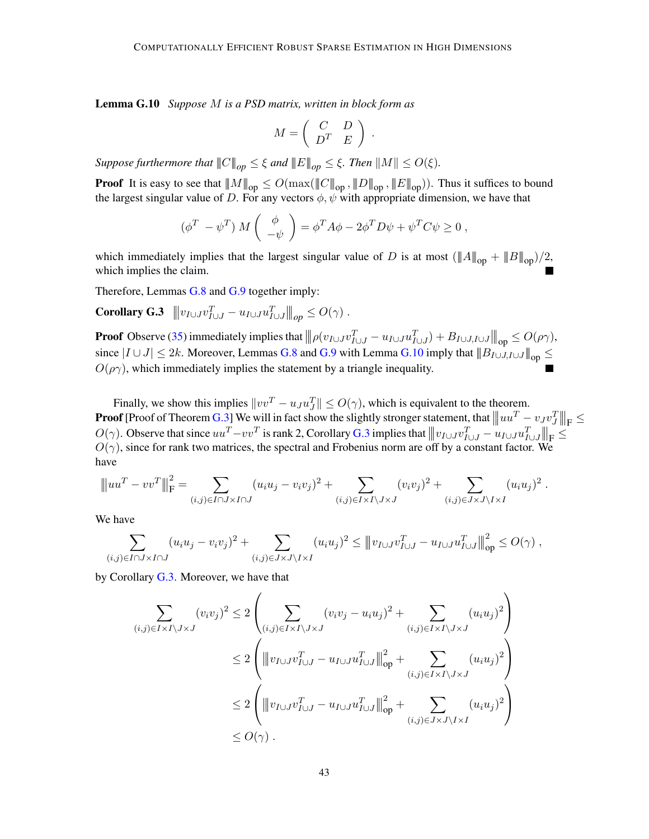Lemma G.10 *Suppose* M *is a PSD matrix, written in block form as*

$$
M = \left( \begin{array}{cc} C & D \\ D^T & E \end{array} \right) .
$$

*Suppose furthermore that*  $||C||_{op} \leq \xi$  *and*  $||E||_{op} \leq \xi$ *. Then*  $||M|| \leq O(\xi)$ *.* 

**Proof** It is easy to see that  $||M||_{op} \leq O(\max(||C||_{op}, ||D||_{op}, ||E||_{op}))$ . Thus it suffices to bound the largest singular value of D. For any vectors  $\phi$ ,  $\psi$  with appropriate dimension, we have that

<span id="page-42-0"></span>
$$
(\phi^T - \psi^T) M\begin{pmatrix} \phi \\ -\psi \end{pmatrix} = \phi^T A \phi - 2\phi^T D \psi + \psi^T C \psi \ge 0,
$$

which immediately implies that the largest singular value of D is at most  $(\|A\|_{op} + \|B\|_{op})/2$ , which implies the claim.

Therefore, Lemmas [G.8](#page-41-2) and [G.9](#page-41-4) together imply:

 $\textbf{Corollary G.3} \quad ||v_{I \cup J} v_{I \cup J}^T - u_{I \cup J} u_{I \cup J}^T||_{op} \leq O(\gamma)$ .

**Proof** Observe [\(35\)](#page-41-0) immediately implies that  $\|\rho(v_{I\cup J}v_{I\cup J}^T - u_{I\cup J}u_{I\cup J}^T) + B_{I\cup J,I\cup J}\|_{op} \leq O(\rho\gamma)$ , since  $|I \cup J| \leq 2k$ . Moreover, Lemmas [G.8](#page-41-2) and [G.9](#page-41-4) with Lemma [G.10](#page-41-5) imply that  $||B_{I \cup J, I \cup J}||_{op} \leq$  $O(\rho\gamma)$ , which immediately implies the statement by a triangle inequality.

Finally, we show this implies  $||vv^T - u_J u_J^T|| \le O(\gamma)$ , which is equivalent to the theorem. **Proof** [Proof of Theorem [G.3\]](#page-39-3) We will in fact show the slightly stronger statement, that  $|||uu^T - vyv_J^T||_{\text{F}} \le$  $O(\gamma)$ . Observe that since  $uu^T - vv^T$  is rank 2, Corollary [G.3](#page-42-0) implies that  $||w_{I \cup J}v_{I \cup J}^T - u_{I \cup J}u_{I \cup J}^T||_F \le$  $O(\gamma)$ , since for rank two matrices, the spectral and Frobenius norm are off by a constant factor. We have

$$
\|uu^T - vv^T\|_{\mathcal{F}}^2 = \sum_{(i,j)\in I\cap J\times I\cap J} (u_iu_j - v_iv_j)^2 + \sum_{(i,j)\in I\times I\setminus J\times J} (v_iv_j)^2 + \sum_{(i,j)\in J\times J\setminus I\times I} (u_iu_j)^2.
$$

We have

$$
\sum_{(i,j)\in I\cap J\times I\cap J} (u_i u_j - v_i v_j)^2 + \sum_{(i,j)\in J\times J\setminus I\times I} (u_i u_j)^2 \le ||v_{I\cup J}v_{I\cup J}^T - u_{I\cup J}u_{I\cup J}^T||_{op}^2 \le O(\gamma) ,
$$

by Corollary [G.3.](#page-42-0) Moreover, we have that

$$
\sum_{(i,j)\in I\times I\setminus J\times J} (v_i v_j)^2 \le 2\left(\sum_{(i,j)\in I\times I\setminus J\times J} (v_i v_j - u_i u_j)^2 + \sum_{(i,j)\in I\times I\setminus J\times J} (u_i u_j)^2\right)
$$
\n
$$
\le 2\left(\left\|v_{I\cup J}v_{I\cup J}^T - u_{I\cup J}u_{I\cup J}^T\right\|_{\text{op}}^2 + \sum_{(i,j)\in I\times I\setminus J\times J} (u_i u_j)^2\right)
$$
\n
$$
\le 2\left(\left\|v_{I\cup J}v_{I\cup J}^T - u_{I\cup J}u_{I\cup J}^T\right\|_{\text{op}}^2 + \sum_{(i,j)\in J\times J\setminus I\times I} (u_i u_j)^2\right)
$$
\n
$$
\le O(\gamma).
$$